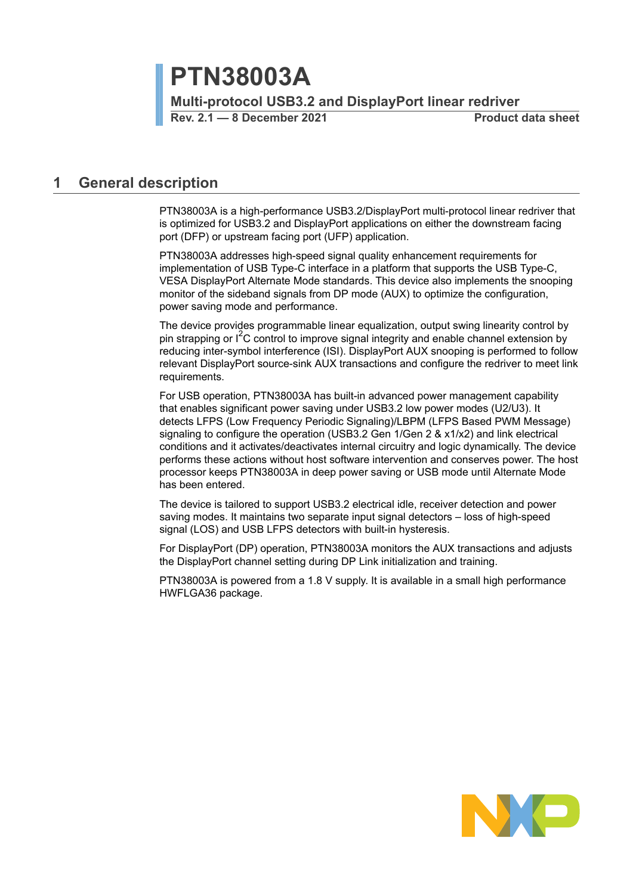**PTN38003A**

**Multi-protocol USB3.2 and DisplayPort linear redriver**

**Rev. 2.1 — 8 December 2021 Product data sheet**

### <span id="page-0-0"></span>**1 General description**

PTN38003A is a high-performance USB3.2/DisplayPort multi-protocol linear redriver that is optimized for USB3.2 and DisplayPort applications on either the downstream facing port (DFP) or upstream facing port (UFP) application.

PTN38003A addresses high-speed signal quality enhancement requirements for implementation of USB Type-C interface in a platform that supports the USB Type-C, VESA DisplayPort Alternate Mode standards. This device also implements the snooping monitor of the sideband signals from DP mode (AUX) to optimize the configuration, power saving mode and performance.

The device provides programmable linear equalization, output swing linearity control by pin strapping or  $I^2C$  control to improve signal integrity and enable channel extension by reducing inter-symbol interference (ISI). DisplayPort AUX snooping is performed to follow relevant DisplayPort source-sink AUX transactions and configure the redriver to meet link requirements.

For USB operation, PTN38003A has built-in advanced power management capability that enables significant power saving under USB3.2 low power modes (U2/U3). It detects LFPS (Low Frequency Periodic Signaling)/LBPM (LFPS Based PWM Message) signaling to configure the operation (USB3.2 Gen 1/Gen 2 & x1/x2) and link electrical conditions and it activates/deactivates internal circuitry and logic dynamically. The device performs these actions without host software intervention and conserves power. The host processor keeps PTN38003A in deep power saving or USB mode until Alternate Mode has been entered.

The device is tailored to support USB3.2 electrical idle, receiver detection and power saving modes. It maintains two separate input signal detectors – loss of high-speed signal (LOS) and USB LFPS detectors with built-in hysteresis.

For DisplayPort (DP) operation, PTN38003A monitors the AUX transactions and adjusts the DisplayPort channel setting during DP Link initialization and training.

PTN38003A is powered from a 1.8 V supply. It is available in a small high performance HWFLGA36 package.

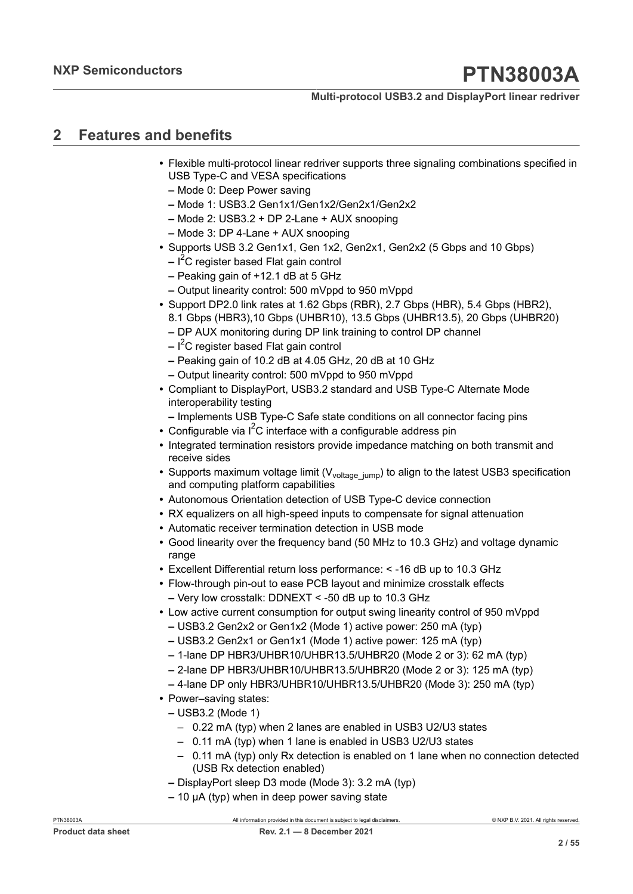#### **Multi-protocol USB3.2 and DisplayPort linear redriver**

## <span id="page-1-0"></span>**2 Features and benefits**

- **•** Flexible multi-protocol linear redriver supports three signaling combinations specified in USB Type-C and VESA specifications
	- **–** Mode 0: Deep Power saving
	- **–** Mode 1: USB3.2 Gen1x1/Gen1x2/Gen2x1/Gen2x2
	- **–** Mode 2: USB3.2 + DP 2-Lane + AUX snooping
	- **–** Mode 3: DP 4-Lane + AUX snooping
- **•** Supports USB 3.2 Gen1x1, Gen 1x2, Gen2x1, Gen2x2 (5 Gbps and 10 Gbps)
	- **–** I <sup>2</sup>C register based Flat gain control
	- **–** Peaking gain of +12.1 dB at 5 GHz
	- **–** Output linearity control: 500 mVppd to 950 mVppd
- **•** Support DP2.0 link rates at 1.62 Gbps (RBR), 2.7 Gbps (HBR), 5.4 Gbps (HBR2), 8.1 Gbps (HBR3),10 Gbps (UHBR10), 13.5 Gbps (UHBR13.5), 20 Gbps (UHBR20)
	- **–** DP AUX monitoring during DP link training to control DP channel
	- **–** I <sup>2</sup>C register based Flat gain control
	- **–** Peaking gain of 10.2 dB at 4.05 GHz, 20 dB at 10 GHz
	- **–** Output linearity control: 500 mVppd to 950 mVppd
- **•** Compliant to DisplayPort, USB3.2 standard and USB Type-C Alternate Mode interoperability testing
	- **–** Implements USB Type-C Safe state conditions on all connector facing pins
- Configurable via  $I^2C$  interface with a configurable address pin
- **•** Integrated termination resistors provide impedance matching on both transmit and receive sides
- Supports maximum voltage limit (V<sub>voltage jump</sub>) to align to the latest USB3 specification and computing platform capabilities
- **•** Autonomous Orientation detection of USB Type-C device connection
- **•** RX equalizers on all high-speed inputs to compensate for signal attenuation
- **•** Automatic receiver termination detection in USB mode
- **•** Good linearity over the frequency band (50 MHz to 10.3 GHz) and voltage dynamic range
- **•** Excellent Differential return loss performance: < -16 dB up to 10.3 GHz
- **•** Flow-through pin-out to ease PCB layout and minimize crosstalk effects **–** Very low crosstalk: DDNEXT < -50 dB up to 10.3 GHz
- **•** Low active current consumption for output swing linearity control of 950 mVppd
	- **–** USB3.2 Gen2x2 or Gen1x2 (Mode 1) active power: 250 mA (typ)
	- **–** USB3.2 Gen2x1 or Gen1x1 (Mode 1) active power: 125 mA (typ)
	- **–** 1-lane DP HBR3/UHBR10/UHBR13.5/UHBR20 (Mode 2 or 3): 62 mA (typ)
	- **–** 2-lane DP HBR3/UHBR10/UHBR13.5/UHBR20 (Mode 2 or 3): 125 mA (typ)
	- **–** 4-lane DP only HBR3/UHBR10/UHBR13.5/UHBR20 (Mode 3): 250 mA (typ)
- **•** Power–saving states:
	- **–** USB3.2 (Mode 1)
		- 0.22 mA (typ) when 2 lanes are enabled in USB3 U2/U3 states
		- 0.11 mA (typ) when 1 lane is enabled in USB3 U2/U3 states
		- 0.11 mA (typ) only Rx detection is enabled on 1 lane when no connection detected (USB Rx detection enabled)
	- **–** DisplayPort sleep D3 mode (Mode 3): 3.2 mA (typ)
	- **–** 10 μA (typ) when in deep power saving state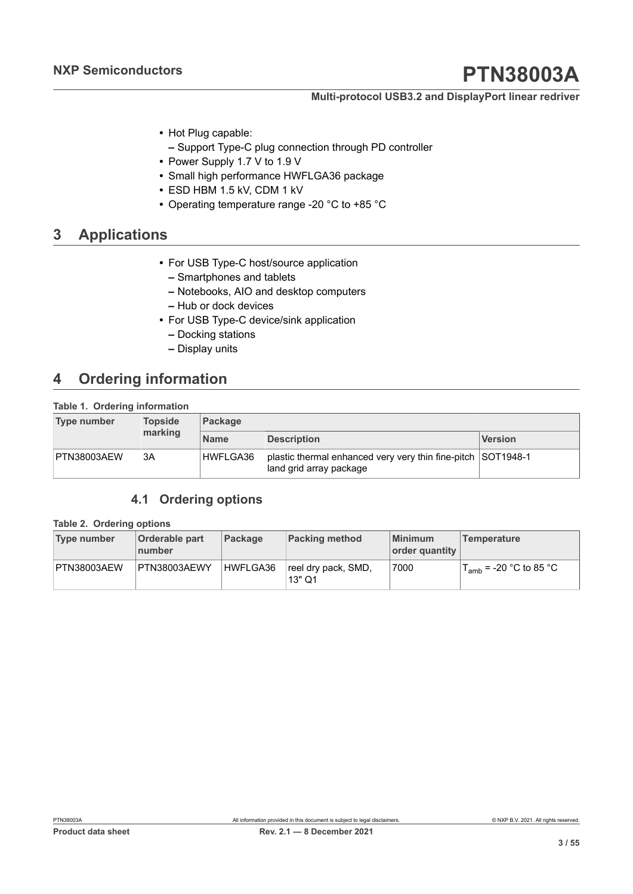#### **Multi-protocol USB3.2 and DisplayPort linear redriver**

- **•** Hot Plug capable:
	- **–** Support Type-C plug connection through PD controller
- **•** Power Supply 1.7 V to 1.9 V
- **•** Small high performance HWFLGA36 package
- **•** ESD HBM 1.5 kV, CDM 1 kV
- **•** Operating temperature range -20 °C to +85 °C

## <span id="page-2-2"></span>**3 Applications**

- **•** For USB Type-C host/source application
	- **–** Smartphones and tablets
	- **–** Notebooks, AIO and desktop computers
	- **–** Hub or dock devices
- <span id="page-2-0"></span>**•** For USB Type-C device/sink application
	- **–** Docking stations
	- **–** Display units

## <span id="page-2-3"></span>**4 Ordering information**

#### **Table 1. Ordering information**

| Type number | <b>Topside</b><br>marking | <b>Package</b> |                                                                                         |                |  |  |  |  |
|-------------|---------------------------|----------------|-----------------------------------------------------------------------------------------|----------------|--|--|--|--|
|             |                           | <b>Name</b>    | <b>Description</b>                                                                      | <b>Version</b> |  |  |  |  |
| PTN38003AEW | 3A                        | HWFLGA36       | plastic thermal enhanced very very thin fine-pitch SOT1948-1<br>land grid array package |                |  |  |  |  |

### <span id="page-2-4"></span><span id="page-2-1"></span>**4.1 Ordering options**

#### **Table 2. Ordering options**

| Type number | <b>Orderable part</b><br>number | Package  | <b>Packing method</b>         | <b>Minimum</b><br>order quantity | <b>Temperature</b>                 |
|-------------|---------------------------------|----------|-------------------------------|----------------------------------|------------------------------------|
| PTN38003AEW | PTN38003AEWY                    | HWFLGA36 | reel dry pack, SMD,<br>13" Q1 | 7000                             | $T_{\text{amb}}$ = -20 °C to 85 °C |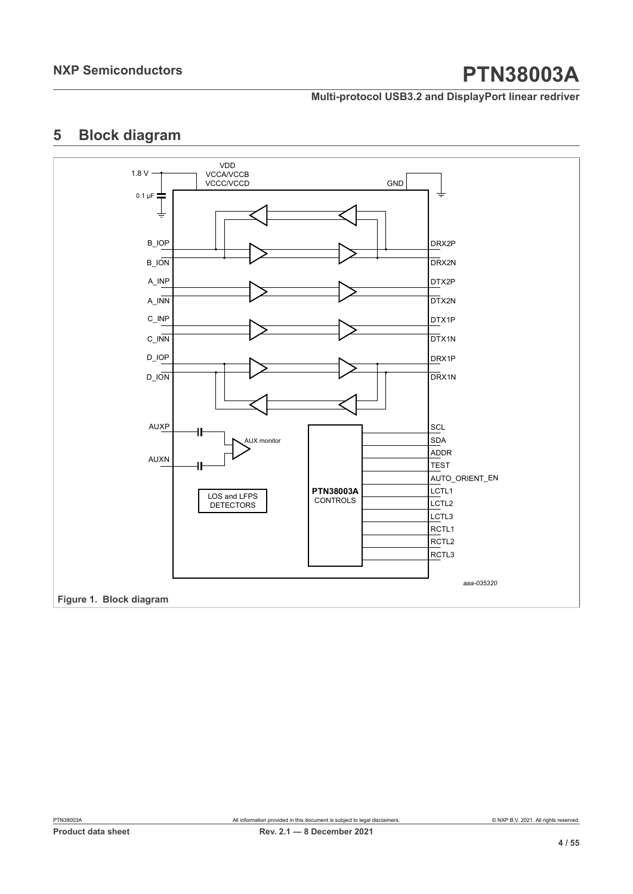**Multi-protocol USB3.2 and DisplayPort linear redriver**

## <span id="page-3-1"></span>**5 Block diagram**

<span id="page-3-0"></span>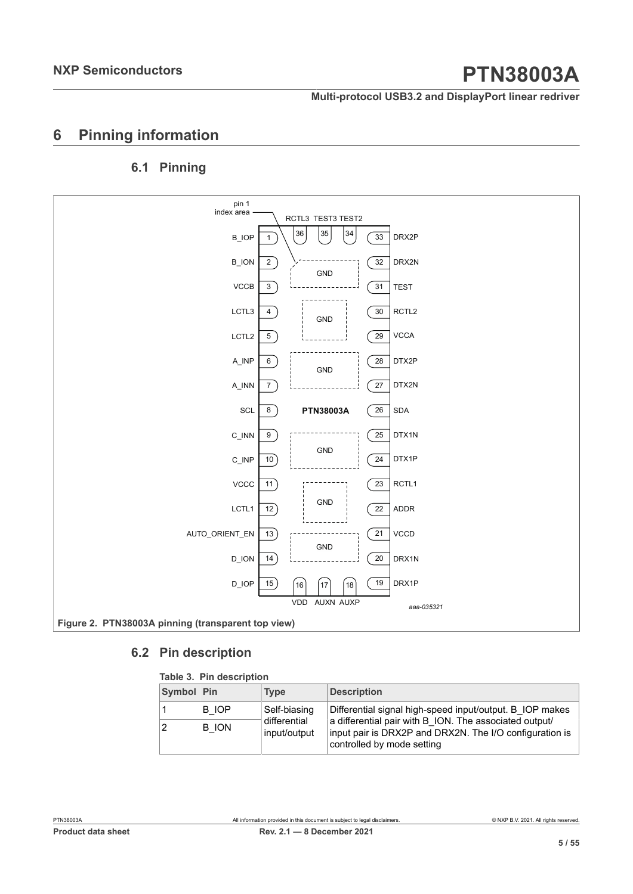**Multi-protocol USB3.2 and DisplayPort linear redriver**

## <span id="page-4-2"></span>**6 Pinning information**

## <span id="page-4-3"></span>**6.1 Pinning**

<span id="page-4-1"></span>

### **6.2 Pin description**

#### <span id="page-4-4"></span><span id="page-4-0"></span>**Table 3. Pin description**

| Symbol Pin     |              | <b>Type</b>                  | <b>Description</b>                                                                                                                              |
|----------------|--------------|------------------------------|-------------------------------------------------------------------------------------------------------------------------------------------------|
|                | B IOP        | Self-biasing                 | Differential signal high-speed input/output. B IOP makes                                                                                        |
| $\overline{2}$ | <b>B</b> ION | differential<br>input/output | a differential pair with B ION. The associated output/<br>input pair is DRX2P and DRX2N. The I/O configuration is<br>controlled by mode setting |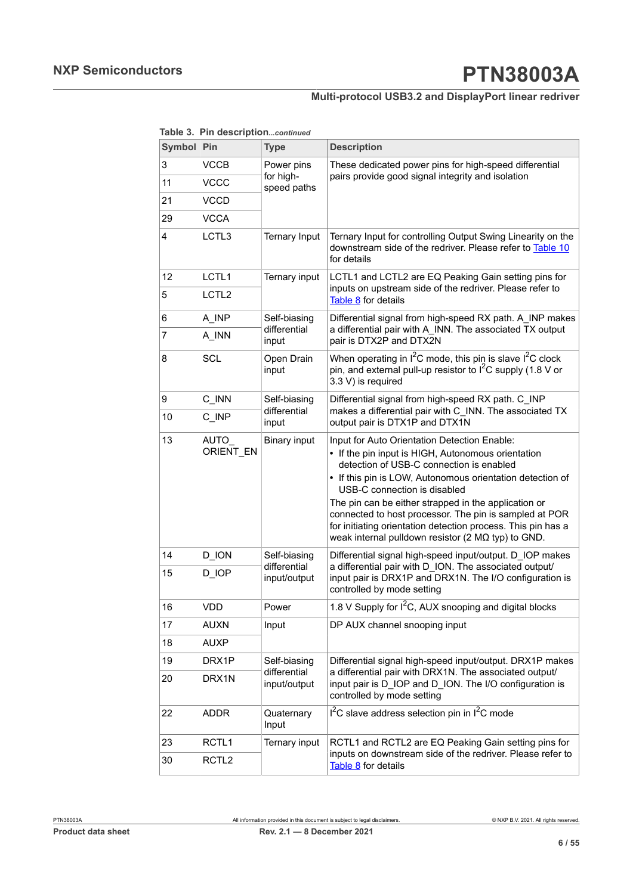### **Multi-protocol USB3.2 and DisplayPort linear redriver**

|  |  | Table 3. Pin descriptioncontinued |
|--|--|-----------------------------------|
|--|--|-----------------------------------|

| Symbol Pin |                   | <b>Type</b>                  | <b>Description</b>                                                                                                                                                                                                                                                                                                                                                                                                                                                                         |  |  |  |  |
|------------|-------------------|------------------------------|--------------------------------------------------------------------------------------------------------------------------------------------------------------------------------------------------------------------------------------------------------------------------------------------------------------------------------------------------------------------------------------------------------------------------------------------------------------------------------------------|--|--|--|--|
| 3          | <b>VCCB</b>       | Power pins                   | These dedicated power pins for high-speed differential                                                                                                                                                                                                                                                                                                                                                                                                                                     |  |  |  |  |
| 11         | <b>VCCC</b>       | for high-<br>speed paths     | pairs provide good signal integrity and isolation                                                                                                                                                                                                                                                                                                                                                                                                                                          |  |  |  |  |
| 21         | VCCD              |                              |                                                                                                                                                                                                                                                                                                                                                                                                                                                                                            |  |  |  |  |
| 29         | <b>VCCA</b>       |                              |                                                                                                                                                                                                                                                                                                                                                                                                                                                                                            |  |  |  |  |
| 4          | LCTL3             | <b>Ternary Input</b>         | Ternary Input for controlling Output Swing Linearity on the<br>downstream side of the redriver. Please refer to Table 10<br>for details                                                                                                                                                                                                                                                                                                                                                    |  |  |  |  |
| 12         | LCTL1             | Ternary input                | LCTL1 and LCTL2 are EQ Peaking Gain setting pins for                                                                                                                                                                                                                                                                                                                                                                                                                                       |  |  |  |  |
| 5          | LCTL <sub>2</sub> |                              | inputs on upstream side of the redriver. Please refer to<br>Table 8 for details                                                                                                                                                                                                                                                                                                                                                                                                            |  |  |  |  |
| 6          | A INP             | Self-biasing                 | Differential signal from high-speed RX path. A_INP makes                                                                                                                                                                                                                                                                                                                                                                                                                                   |  |  |  |  |
| 7          | A INN             | differential<br>input        | a differential pair with A_INN. The associated TX output<br>pair is DTX2P and DTX2N                                                                                                                                                                                                                                                                                                                                                                                                        |  |  |  |  |
| 8          | <b>SCL</b>        | Open Drain<br>input          | When operating in $I^2C$ mode, this pin is slave $I^2C$ clock<br>pin, and external pull-up resistor to I <sup>2</sup> C supply (1.8 V or<br>3.3 V) is required                                                                                                                                                                                                                                                                                                                             |  |  |  |  |
| 9          | C_INN             | Self-biasing                 | Differential signal from high-speed RX path. C_INP                                                                                                                                                                                                                                                                                                                                                                                                                                         |  |  |  |  |
| 10         | C INP             | differential<br>input        | makes a differential pair with C_INN. The associated TX<br>output pair is DTX1P and DTX1N                                                                                                                                                                                                                                                                                                                                                                                                  |  |  |  |  |
| 13         | AUTO<br>ORIENT EN | <b>Binary input</b>          | Input for Auto Orientation Detection Enable:<br>• If the pin input is HIGH, Autonomous orientation<br>detection of USB-C connection is enabled<br>• If this pin is LOW, Autonomous orientation detection of<br>USB-C connection is disabled<br>The pin can be either strapped in the application or<br>connected to host processor. The pin is sampled at POR<br>for initiating orientation detection process. This pin has a<br>weak internal pulldown resistor (2 $M\Omega$ typ) to GND. |  |  |  |  |
| 14         | D_ION             | Self-biasing                 | Differential signal high-speed input/output. D_IOP makes                                                                                                                                                                                                                                                                                                                                                                                                                                   |  |  |  |  |
| 15         | D_IOP             | differential<br>input/output | a differential pair with D_ION. The associated output/<br>input pair is DRX1P and DRX1N. The I/O configuration is<br>controlled by mode setting                                                                                                                                                                                                                                                                                                                                            |  |  |  |  |
| 16         | <b>VDD</b>        | Power                        | 1.8 V Supply for I <sup>2</sup> C, AUX snooping and digital blocks                                                                                                                                                                                                                                                                                                                                                                                                                         |  |  |  |  |
| 17         | <b>AUXN</b>       | Input                        | DP AUX channel snooping input                                                                                                                                                                                                                                                                                                                                                                                                                                                              |  |  |  |  |
| 18         | <b>AUXP</b>       |                              |                                                                                                                                                                                                                                                                                                                                                                                                                                                                                            |  |  |  |  |
| 19         | DRX1P             | Self-biasing                 | Differential signal high-speed input/output. DRX1P makes                                                                                                                                                                                                                                                                                                                                                                                                                                   |  |  |  |  |
| 20         | DRX1N             | differential<br>input/output | a differential pair with DRX1N. The associated output/<br>input pair is D_IOP and D_ION. The I/O configuration is<br>controlled by mode setting                                                                                                                                                                                                                                                                                                                                            |  |  |  |  |
| 22         | <b>ADDR</b>       | Quaternary<br>Input          | $I2C$ slave address selection pin in $I2C$ mode                                                                                                                                                                                                                                                                                                                                                                                                                                            |  |  |  |  |
| 23         | RCTL <sub>1</sub> | Ternary input                | RCTL1 and RCTL2 are EQ Peaking Gain setting pins for                                                                                                                                                                                                                                                                                                                                                                                                                                       |  |  |  |  |
| 30         | RCTL <sub>2</sub> |                              | inputs on downstream side of the redriver. Please refer to<br>Table 8 for details                                                                                                                                                                                                                                                                                                                                                                                                          |  |  |  |  |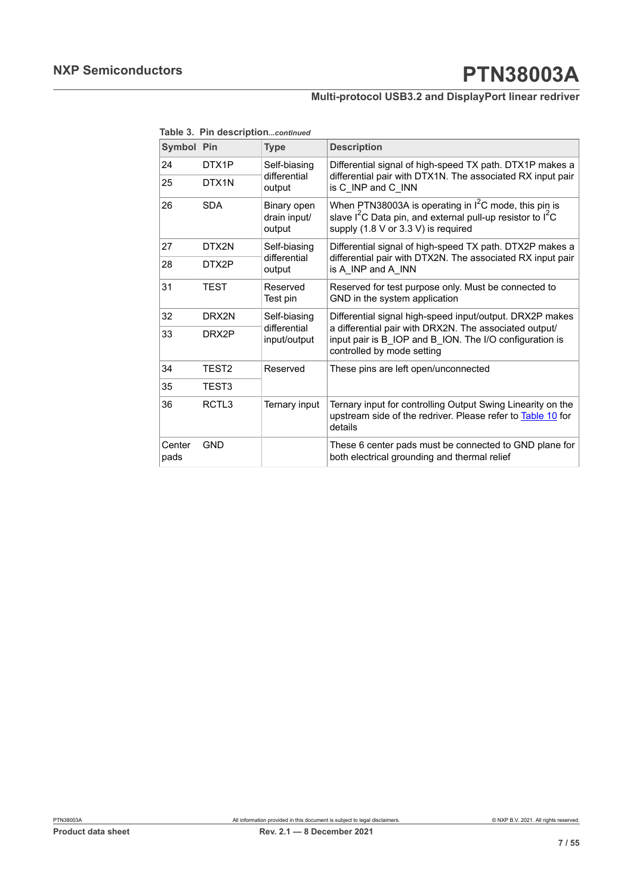### **Multi-protocol USB3.2 and DisplayPort linear redriver**

**Table 3. Pin description***...continued*

| Symbol Pin     |            | <b>Type</b>                           | <b>Description</b>                                                                                                                                                                   |  |  |  |  |
|----------------|------------|---------------------------------------|--------------------------------------------------------------------------------------------------------------------------------------------------------------------------------------|--|--|--|--|
| 24             | DTX1P      | Self-biasing                          | Differential signal of high-speed TX path. DTX1P makes a                                                                                                                             |  |  |  |  |
| 25             | DTX1N      | differential<br>output                | differential pair with DTX1N. The associated RX input pair<br>is C INP and C INN                                                                                                     |  |  |  |  |
| 26             | <b>SDA</b> | Binary open<br>drain input/<br>output | When PTN38003A is operating in $I^2C$ mode, this pin is<br>slave I <sup>2</sup> C Data pin, and external pull-up resistor to I <sup>2</sup> C<br>supply (1.8 V or 3.3 V) is required |  |  |  |  |
| 27             | DTX2N      | Self-biasing<br>differential          | Differential signal of high-speed TX path. DTX2P makes a                                                                                                                             |  |  |  |  |
| 28             | DTX2P      | output                                | differential pair with DTX2N. The associated RX input pair<br>is A INP and A INN                                                                                                     |  |  |  |  |
| 31             | TEST       | Reserved<br>Test pin                  | Reserved for test purpose only. Must be connected to<br>GND in the system application                                                                                                |  |  |  |  |
| 32             | DRX2N      | Self-biasing                          | Differential signal high-speed input/output. DRX2P makes                                                                                                                             |  |  |  |  |
| 33             | DRX2P      | differential<br>input/output          | a differential pair with DRX2N. The associated output/<br>input pair is B IOP and B ION. The I/O configuration is<br>controlled by mode setting                                      |  |  |  |  |
| 34             | TEST2      | Reserved                              | These pins are left open/unconnected                                                                                                                                                 |  |  |  |  |
| 35             | TEST3      |                                       |                                                                                                                                                                                      |  |  |  |  |
| 36             | RCTL3      | Ternary input                         | Ternary input for controlling Output Swing Linearity on the<br>upstream side of the redriver. Please refer to Table 10 for<br>details                                                |  |  |  |  |
| Center<br>pads | <b>GND</b> |                                       | These 6 center pads must be connected to GND plane for<br>both electrical grounding and thermal relief                                                                               |  |  |  |  |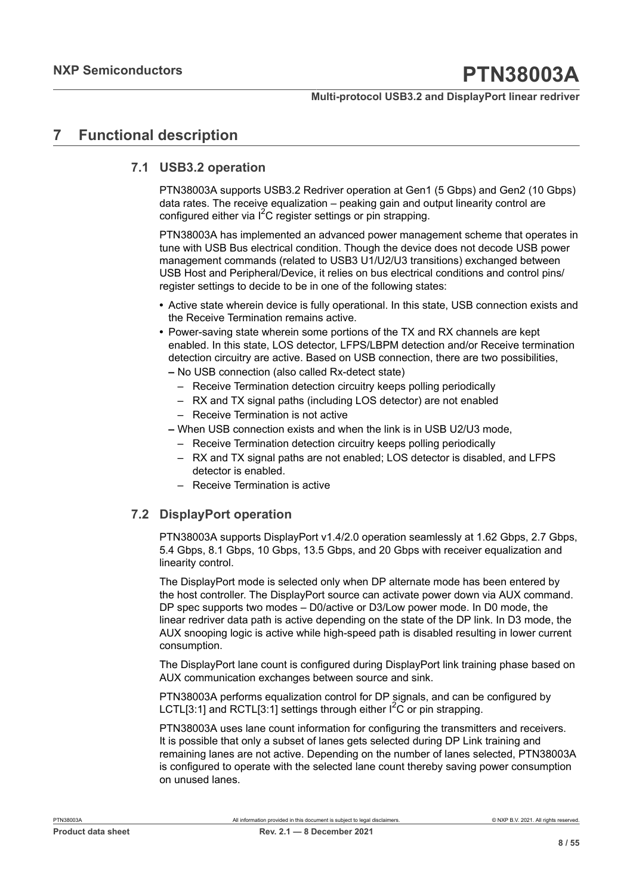## <span id="page-7-0"></span>**7 Functional description**

### **7.1 USB3.2 operation**

<span id="page-7-1"></span>PTN38003A supports USB3.2 Redriver operation at Gen1 (5 Gbps) and Gen2 (10 Gbps) data rates. The receive equalization – peaking gain and output linearity control are configured either via  $I^2C$  register settings or pin strapping.

PTN38003A has implemented an advanced power management scheme that operates in tune with USB Bus electrical condition. Though the device does not decode USB power management commands (related to USB3 U1/U2/U3 transitions) exchanged between USB Host and Peripheral/Device, it relies on bus electrical conditions and control pins/ register settings to decide to be in one of the following states:

- **•** Active state wherein device is fully operational. In this state, USB connection exists and the Receive Termination remains active.
- **•** Power-saving state wherein some portions of the TX and RX channels are kept enabled. In this state, LOS detector, LFPS/LBPM detection and/or Receive termination detection circuitry are active. Based on USB connection, there are two possibilities,
	- **–** No USB connection (also called Rx-detect state)
		- Receive Termination detection circuitry keeps polling periodically
		- RX and TX signal paths (including LOS detector) are not enabled
		- Receive Termination is not active
	- **–** When USB connection exists and when the link is in USB U2/U3 mode,
		- Receive Termination detection circuitry keeps polling periodically
		- RX and TX signal paths are not enabled; LOS detector is disabled, and LFPS detector is enabled.
		- Receive Termination is active

### **7.2 DisplayPort operation**

<span id="page-7-2"></span>PTN38003A supports DisplayPort v1.4/2.0 operation seamlessly at 1.62 Gbps, 2.7 Gbps, 5.4 Gbps, 8.1 Gbps, 10 Gbps, 13.5 Gbps, and 20 Gbps with receiver equalization and linearity control.

The DisplayPort mode is selected only when DP alternate mode has been entered by the host controller. The DisplayPort source can activate power down via AUX command. DP spec supports two modes – D0/active or D3/Low power mode. In D0 mode, the linear redriver data path is active depending on the state of the DP link. In D3 mode, the AUX snooping logic is active while high-speed path is disabled resulting in lower current consumption.

The DisplayPort lane count is configured during DisplayPort link training phase based on AUX communication exchanges between source and sink.

PTN38003A performs equalization control for DP signals, and can be configured by LCTL[3:1] and RCTL[3:1] settings through either  $I^2C$  or pin strapping.

PTN38003A uses lane count information for configuring the transmitters and receivers. It is possible that only a subset of lanes gets selected during DP Link training and remaining lanes are not active. Depending on the number of lanes selected, PTN38003A is configured to operate with the selected lane count thereby saving power consumption on unused lanes.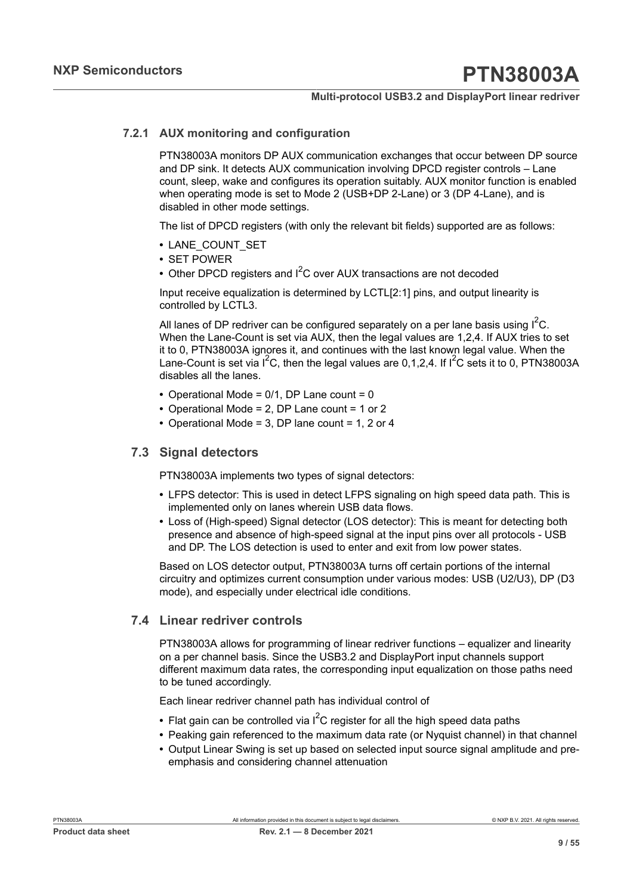### **7.2.1 AUX monitoring and configuration**

<span id="page-8-0"></span>PTN38003A monitors DP AUX communication exchanges that occur between DP source and DP sink. It detects AUX communication involving DPCD register controls – Lane count, sleep, wake and configures its operation suitably. AUX monitor function is enabled when operating mode is set to Mode 2 (USB+DP 2-Lane) or 3 (DP 4-Lane), and is disabled in other mode settings.

The list of DPCD registers (with only the relevant bit fields) supported are as follows:

- **•** LANE\_COUNT\_SET
- **•** SET POWER
- Other DPCD registers and I<sup>2</sup>C over AUX transactions are not decoded

Input receive equalization is determined by LCTL[2:1] pins, and output linearity is controlled by LCTL3.

All lanes of DP redriver can be configured separately on a per lane basis using  $I^2C$ . When the Lane-Count is set via AUX, then the legal values are 1,2,4. If AUX tries to set it to 0, PTN38003A ignores it, and continues with the last known legal value. When the Lane-Count is set via  $I^2C$ , then the legal values are 0,1,2,4. If  $I^2C$  sets it to 0, PTN38003A disables all the lanes.

- **•** Operational Mode = 0/1, DP Lane count = 0
- **•** Operational Mode = 2, DP Lane count = 1 or 2
- <span id="page-8-1"></span>**•** Operational Mode = 3, DP lane count = 1, 2 or 4

### **7.3 Signal detectors**

PTN38003A implements two types of signal detectors:

- **•** LFPS detector: This is used in detect LFPS signaling on high speed data path. This is implemented only on lanes wherein USB data flows.
- **•** Loss of (High-speed) Signal detector (LOS detector): This is meant for detecting both presence and absence of high-speed signal at the input pins over all protocols - USB and DP. The LOS detection is used to enter and exit from low power states.

Based on LOS detector output, PTN38003A turns off certain portions of the internal circuitry and optimizes current consumption under various modes: USB (U2/U3), DP (D3 mode), and especially under electrical idle conditions.

### **7.4 Linear redriver controls**

<span id="page-8-2"></span>PTN38003A allows for programming of linear redriver functions – equalizer and linearity on a per channel basis. Since the USB3.2 and DisplayPort input channels support different maximum data rates, the corresponding input equalization on those paths need to be tuned accordingly.

Each linear redriver channel path has individual control of

- Flat gain can be controlled via  $I^2C$  register for all the high speed data paths
- **•** Peaking gain referenced to the maximum data rate (or Nyquist channel) in that channel
- **•** Output Linear Swing is set up based on selected input source signal amplitude and preemphasis and considering channel attenuation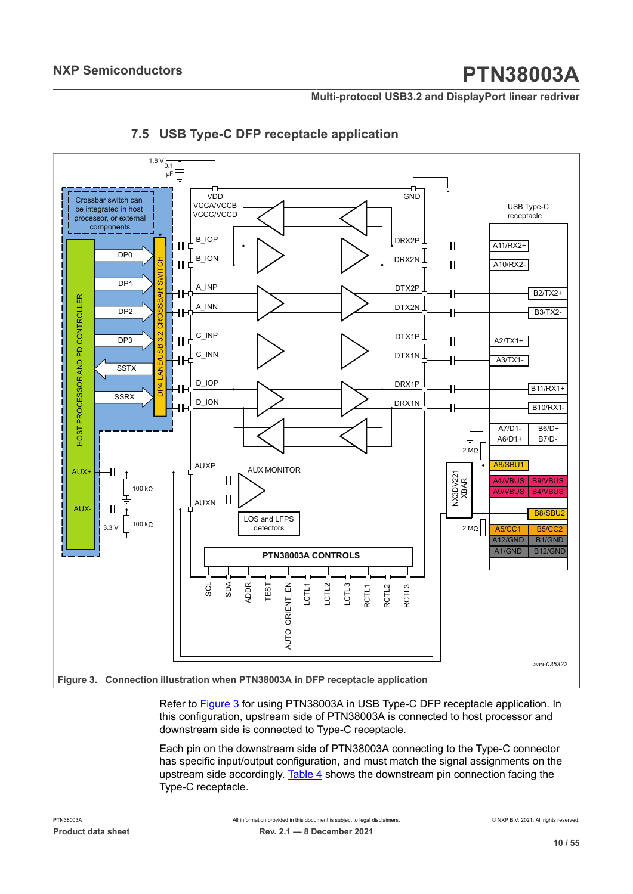**Multi-protocol USB3.2 and DisplayPort linear redriver**

<span id="page-9-0"></span>

### <span id="page-9-1"></span>**7.5 USB Type-C DFP receptacle application**

**Figure 3.  Connection illustration when PTN38003A in DFP receptacle application**

Refer to [Figure 3](#page-9-0) for using PTN38003A in USB Type-C DFP receptacle application. In this configuration, upstream side of PTN38003A is connected to host processor and downstream side is connected to Type-C receptacle.

Each pin on the downstream side of PTN38003A connecting to the Type-C connector has specific input/output configuration, and must match the signal assignments on the upstream side accordingly. [Table](#page-10-0) 4 shows the downstream pin connection facing the Type-C receptacle.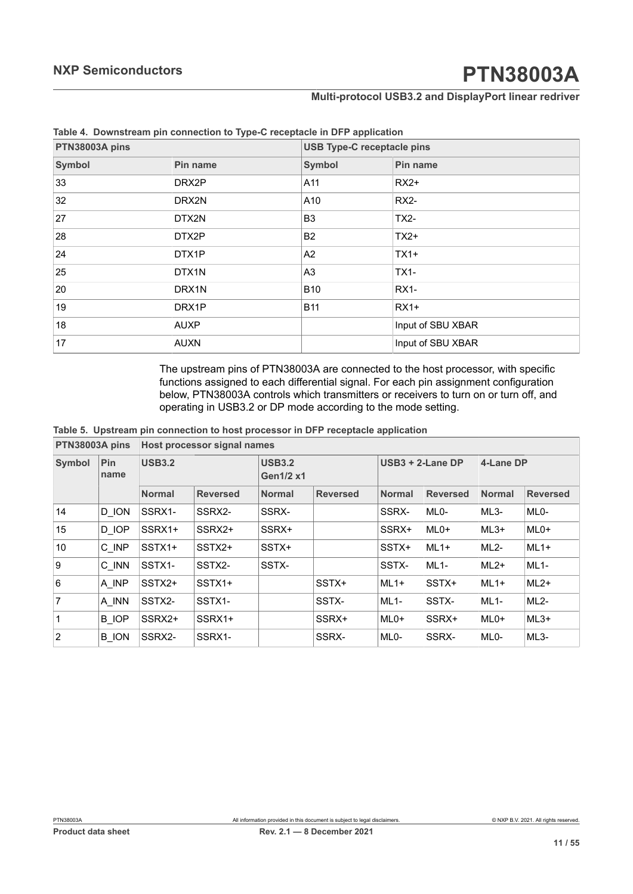#### **Multi-protocol USB3.2 and DisplayPort linear redriver**

<span id="page-10-1"></span>

| PTN38003A pins |                           |                | <b>USB Type-C receptacle pins</b> |  |  |  |
|----------------|---------------------------|----------------|-----------------------------------|--|--|--|
| Symbol         | <b>Symbol</b><br>Pin name |                | Pin name                          |  |  |  |
| 33             | DRX2P                     | A11            | $RX2+$                            |  |  |  |
| 32             | DRX2N                     | A10            | <b>RX2-</b>                       |  |  |  |
| 27             | DTX2N                     | B <sub>3</sub> | <b>TX2-</b>                       |  |  |  |
| 28             | DTX2P                     | B <sub>2</sub> | $TX2+$                            |  |  |  |
| 24             | DTX1P                     | A2             | $TX1+$                            |  |  |  |
| 25             | DTX1N                     | A <sub>3</sub> | <b>TX1-</b>                       |  |  |  |
| 20             | DRX1N                     | <b>B10</b>     | <b>RX1-</b>                       |  |  |  |
| 19             | DRX1P                     | <b>B11</b>     | $RX1+$                            |  |  |  |
| 18             | <b>AUXP</b>               |                | Input of SBU XBAR                 |  |  |  |
| 17             | <b>AUXN</b>               |                | Input of SBU XBAR                 |  |  |  |

<span id="page-10-0"></span>**Table 4. Downstream pin connection to Type-C receptacle in DFP application**

<span id="page-10-2"></span>The upstream pins of PTN38003A are connected to the host processor, with specific functions assigned to each differential signal. For each pin assignment configuration below, PTN38003A controls which transmitters or receivers to turn on or turn off, and operating in USB3.2 or DP mode according to the mode setting.

**PTN38003A pins Host processor signal names Table 5. Upstream pin connection to host processor in DFP receptacle application**

|                  |              | <u>FINJUUUA UIIIS TIUSLUIUCESSUI SIYIIIAI IIAIIIIES</u> |                 |               |                  |                   |                     |                   |                   |  |
|------------------|--------------|---------------------------------------------------------|-----------------|---------------|------------------|-------------------|---------------------|-------------------|-------------------|--|
| <b>Symbol</b>    | Pin<br>name  | <b>USB3.2</b>                                           |                 | <b>USB3.2</b> | <b>Gen1/2 x1</b> |                   | $USB3 + 2$ -Lane DP |                   | 4-Lane DP         |  |
|                  |              | <b>Normal</b>                                           | <b>Reversed</b> | <b>Normal</b> | <b>Reversed</b>  | <b>Normal</b>     | <b>Reversed</b>     | <b>Normal</b>     | <b>Reversed</b>   |  |
| 14               | D ION        | SSRX1-                                                  | SSRX2-          | SSRX-         |                  | SSRX-             | ML <sub>0</sub> -   | $ML3-$            | ML <sub>0</sub> - |  |
| 15 <sup>15</sup> | D IOP        | SSRX1+                                                  | SSRX2+          | SSRX+         |                  | SSRX+             | $MLO+$              | $ML3+$            | $MLO+$            |  |
| 10               | C INP        | SSTX1+                                                  | SSTX2+          | SSTX+         |                  | SSTX+             | $ML1+$              | $ML2-$            | $ML1+$            |  |
| 9                | C INN        | SSTX1-                                                  | SSTX2-          | SSTX-         |                  | SSTX-             | $ML1-$              | $ML2+$            | $ML1-$            |  |
| 6                | A INP        | SSTX2+                                                  | SSTX1+          |               | SSTX+            | $ML1+$            | SSTX+               | $ML1+$            | $ML2+$            |  |
| $\overline{7}$   | A INN        | SSTX2-                                                  | SSTX1-          |               | SSTX-            | $ML1-$            | SSTX-               | $ML1-$            | $ML2-$            |  |
| $\mathbf{1}$     | B IOP        | SSRX2+                                                  | SSRX1+          |               | SSRX+            | $MLO+$            | SSRX+               | $MLO+$            | $ML3+$            |  |
| $\overline{2}$   | <b>B</b> ION | SSRX2-                                                  | SSRX1-          |               | SSRX-            | ML <sub>0</sub> - | SSRX-               | ML <sub>0</sub> - | ML3-              |  |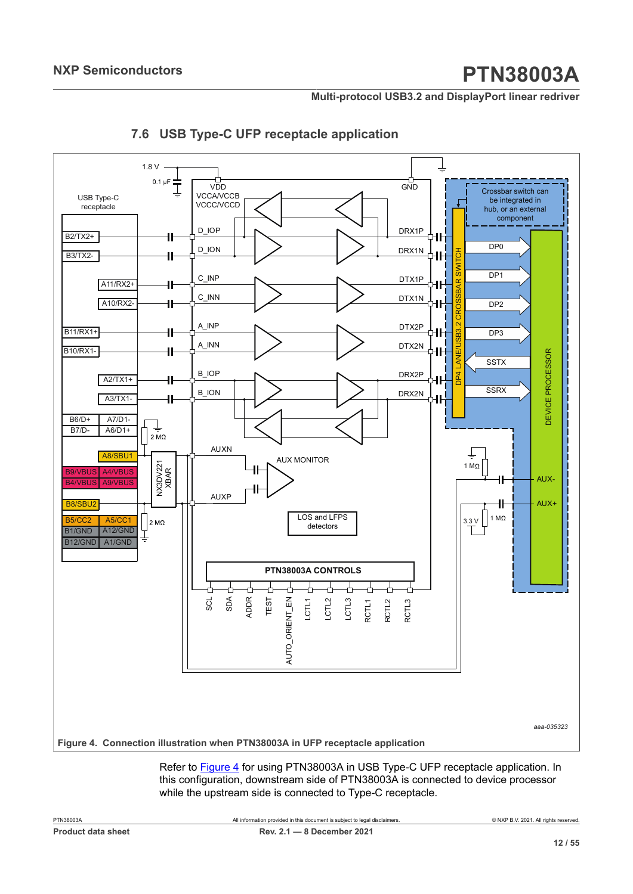**Multi-protocol USB3.2 and DisplayPort linear redriver**

<span id="page-11-0"></span>

### <span id="page-11-1"></span>**7.6 USB Type-C UFP receptacle application**

Refer to [Figure 4](#page-11-0) for using PTN38003A in USB Type-C UFP receptacle application. In

this configuration, downstream side of PTN38003A is connected to device processor while the upstream side is connected to Type-C receptacle.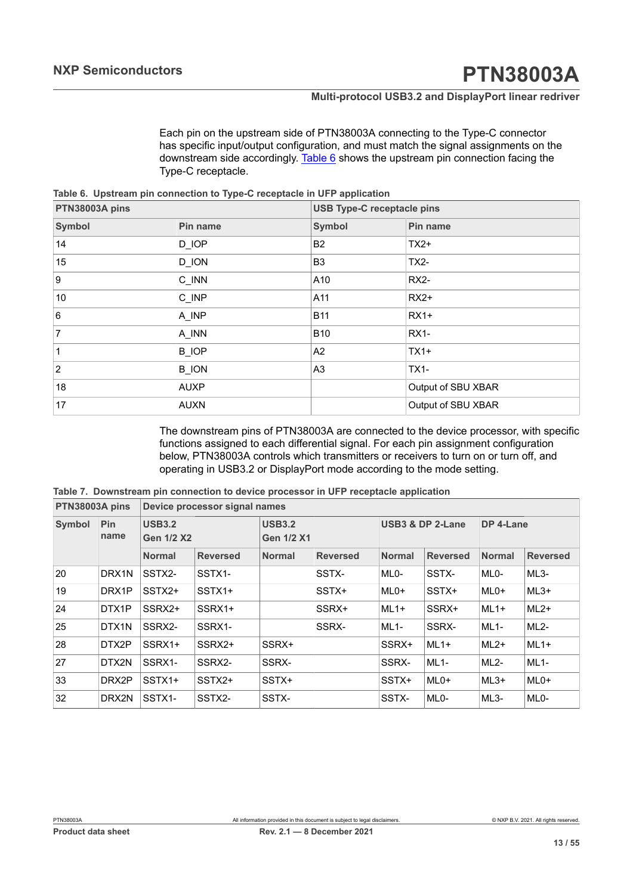<span id="page-12-1"></span>Each pin on the upstream side of PTN38003A connecting to the Type-C connector has specific input/output configuration, and must match the signal assignments on the downstream side accordingly. [Table](#page-12-0) 6 shows the upstream pin connection facing the Type-C receptacle.

<span id="page-12-0"></span>**Table 6. Upstream pin connection to Type-C receptacle in UFP application**

| PTN38003A pins  |                    | <b>USB Type-C receptacle pins</b> |                    |  |  |
|-----------------|--------------------|-----------------------------------|--------------------|--|--|
| <b>Symbol</b>   | Pin name           | <b>Symbol</b>                     | Pin name           |  |  |
| 14              | D_IOP              | B <sub>2</sub>                    | $TX2+$             |  |  |
| 15              | D_ION              | B <sub>3</sub>                    | $TX2-$             |  |  |
| 9               | $C$ <sub>INN</sub> | A10                               | <b>RX2-</b>        |  |  |
| 10              | $C$ <sub>INP</sub> | A11                               | $RX2+$             |  |  |
| $6\phantom{a}6$ | A_INP              | <b>B11</b>                        | $RX1+$             |  |  |
| $\overline{7}$  | A INN              | <b>B10</b>                        | <b>RX1-</b>        |  |  |
| $\mathbf 1$     | <b>B_IOP</b>       | A2                                | $TX1+$             |  |  |
| $\overline{2}$  | <b>B_ION</b>       | A <sub>3</sub>                    | <b>TX1-</b>        |  |  |
| 18              | <b>AUXP</b>        |                                   | Output of SBU XBAR |  |  |
| 17              | <b>AUXN</b>        |                                   | Output of SBU XBAR |  |  |

<span id="page-12-2"></span>The downstream pins of PTN38003A are connected to the device processor, with specific functions assigned to each differential signal. For each pin assignment configuration below, PTN38003A controls which transmitters or receivers to turn on or turn off, and operating in USB3.2 or DisplayPort mode according to the mode setting.

**Table 7. Downstream pin connection to device processor in UFP receptacle application**

| PTN38003A pins |             | Device processor signal names      |                 |               |                   |                   |                   |                   |                 |  |
|----------------|-------------|------------------------------------|-----------------|---------------|-------------------|-------------------|-------------------|-------------------|-----------------|--|
| <b>Symbol</b>  | Pin<br>name | <b>USB3.2</b><br><b>Gen 1/2 X2</b> |                 | <b>USB3.2</b> | <b>Gen 1/2 X1</b> |                   | USB3 & DP 2-Lane  |                   | DP 4-Lane       |  |
|                |             | <b>Normal</b>                      | <b>Reversed</b> | <b>Normal</b> | <b>Reversed</b>   | <b>Normal</b>     | <b>Reversed</b>   | <b>Normal</b>     | <b>Reversed</b> |  |
| 20             | DRX1N       | SSTX2-                             | SSTX1-          |               | SSTX-             | ML <sub>0</sub> - | SSTX-             | ML <sub>0</sub> - | $ML3-$          |  |
| 19             | DRX1P       | SSTX2+                             | SSTX1+          |               | SSTX+             | $MLO+$            | SSTX+             | $MLO+$            | $ML3+$          |  |
| 24             | DTX1P       | SSRX2+                             | SSRX1+          |               | SSRX+             | $ML1+$            | SSRX+             | $ML1+$            | $ML2+$          |  |
| 25             | DTX1N       | SSRX2-                             | SSRX1-          |               | SSRX-             | $ML1-$            | SSRX-             | $ML1-$            | $ML2-$          |  |
| 28             | DTX2P       | SSRX1+                             | SSRX2+          | SSRX+         |                   | SSRX+             | $ML1+$            | $ML2+$            | $ML1+$          |  |
| 27             | DTX2N       | SSRX1-                             | SSRX2-          | SSRX-         |                   | SSRX-             | $ML1-$            | $ML2-$            | $ML1-$          |  |
| 33             | DRX2P       | SSTX1+                             | SSTX2+          | SSTX+         |                   | SSTX+             | $MLO+$            | $ML3+$            | $MLO+$          |  |
| 32             | DRX2N       | SSTX1-                             | SSTX2-          | SSTX-         |                   | SSTX-             | ML <sub>0</sub> - | $ML3-$            | $MLO-$          |  |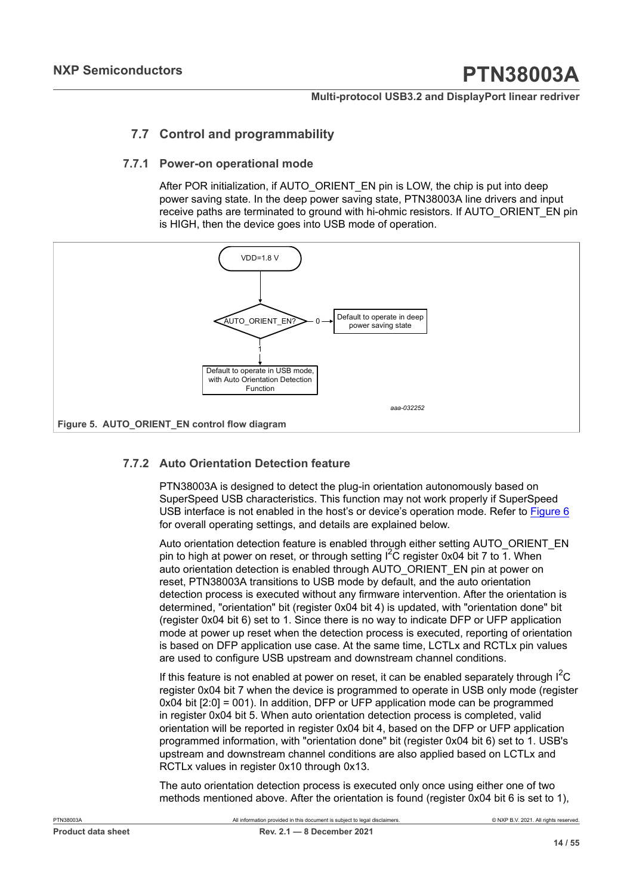### <span id="page-13-1"></span>**7.7 Control and programmability**

#### **7.7.1 Power-on operational mode**

<span id="page-13-2"></span>After POR initialization, if AUTO\_ORIENT\_EN pin is LOW, the chip is put into deep power saving state. In the deep power saving state, PTN38003A line drivers and input receive paths are terminated to ground with hi-ohmic resistors. If AUTO\_ORIENT\_EN pin is HIGH, then the device goes into USB mode of operation.

<span id="page-13-0"></span>

### **7.7.2 Auto Orientation Detection feature**

<span id="page-13-3"></span>PTN38003A is designed to detect the plug-in orientation autonomously based on SuperSpeed USB characteristics. This function may not work properly if SuperSpeed USB interface is not enabled in the host's or device's operation mode. Refer to **[Figure 6](#page-14-0)** for overall operating settings, and details are explained below.

Auto orientation detection feature is enabled through either setting AUTO\_ORIENT\_EN pin to high at power on reset, or through setting  $I^2C$  register 0x04 bit 7 to 1. When auto orientation detection is enabled through AUTO\_ORIENT\_EN pin at power on reset, PTN38003A transitions to USB mode by default, and the auto orientation detection process is executed without any firmware intervention. After the orientation is determined, "orientation" bit (register 0x04 bit 4) is updated, with "orientation done" bit (register 0x04 bit 6) set to 1. Since there is no way to indicate DFP or UFP application mode at power up reset when the detection process is executed, reporting of orientation is based on DFP application use case. At the same time, LCTLx and RCTLx pin values are used to configure USB upstream and downstream channel conditions.

If this feature is not enabled at power on reset, it can be enabled separately through  $\mathsf{I}^{\mathsf{C}}\mathsf{C}$ register 0x04 bit 7 when the device is programmed to operate in USB only mode (register 0x04 bit [2:0] = 001). In addition, DFP or UFP application mode can be programmed in register 0x04 bit 5. When auto orientation detection process is completed, valid orientation will be reported in register 0x04 bit 4, based on the DFP or UFP application programmed information, with "orientation done" bit (register 0x04 bit 6) set to 1. USB's upstream and downstream channel conditions are also applied based on LCTLx and RCTLx values in register 0x10 through 0x13.

The auto orientation detection process is executed only once using either one of two methods mentioned above. After the orientation is found (register 0x04 bit 6 is set to 1),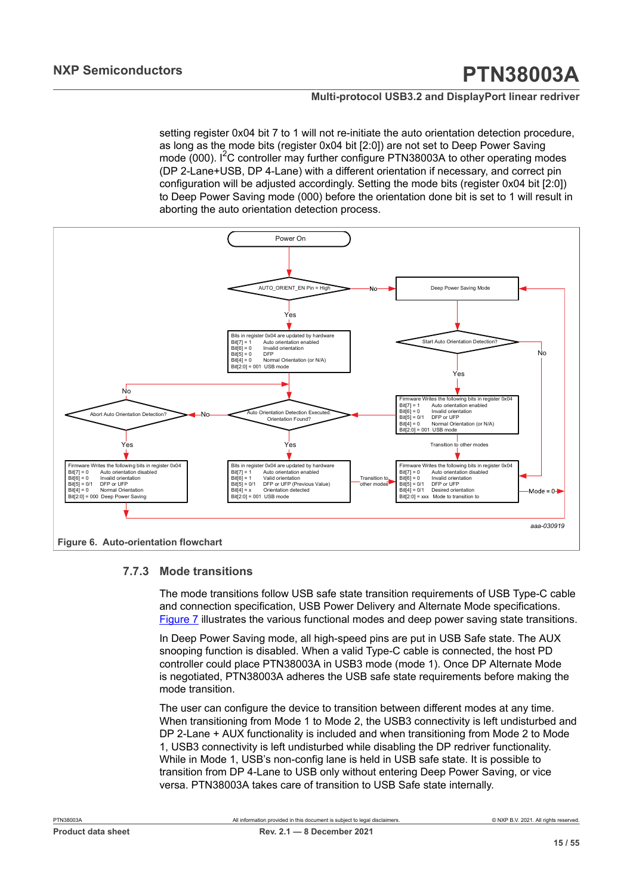setting register 0x04 bit 7 to 1 will not re-initiate the auto orientation detection procedure, as long as the mode bits (register 0x04 bit [2:0]) are not set to Deep Power Saving mode  $(000)$ . I<sup>2</sup>C controller may further configure PTN38003A to other operating modes (DP 2-Lane+USB, DP 4-Lane) with a different orientation if necessary, and correct pin configuration will be adjusted accordingly. Setting the mode bits (register 0x04 bit [2:0]) to Deep Power Saving mode (000) before the orientation done bit is set to 1 will result in aborting the auto orientation detection process.

<span id="page-14-0"></span>

#### **7.7.3 Mode transitions**

<span id="page-14-1"></span>The mode transitions follow USB safe state transition requirements of USB Type-C cable and connection specification, USB Power Delivery and Alternate Mode specifications. [Figure 7](#page-15-0) illustrates the various functional modes and deep power saving state transitions.

In Deep Power Saving mode, all high-speed pins are put in USB Safe state. The AUX snooping function is disabled. When a valid Type-C cable is connected, the host PD controller could place PTN38003A in USB3 mode (mode 1). Once DP Alternate Mode is negotiated, PTN38003A adheres the USB safe state requirements before making the mode transition.

The user can configure the device to transition between different modes at any time. When transitioning from Mode 1 to Mode 2, the USB3 connectivity is left undisturbed and DP 2-Lane + AUX functionality is included and when transitioning from Mode 2 to Mode 1, USB3 connectivity is left undisturbed while disabling the DP redriver functionality. While in Mode 1, USB's non-config lane is held in USB safe state. It is possible to transition from DP 4-Lane to USB only without entering Deep Power Saving, or vice versa. PTN38003A takes care of transition to USB Safe state internally.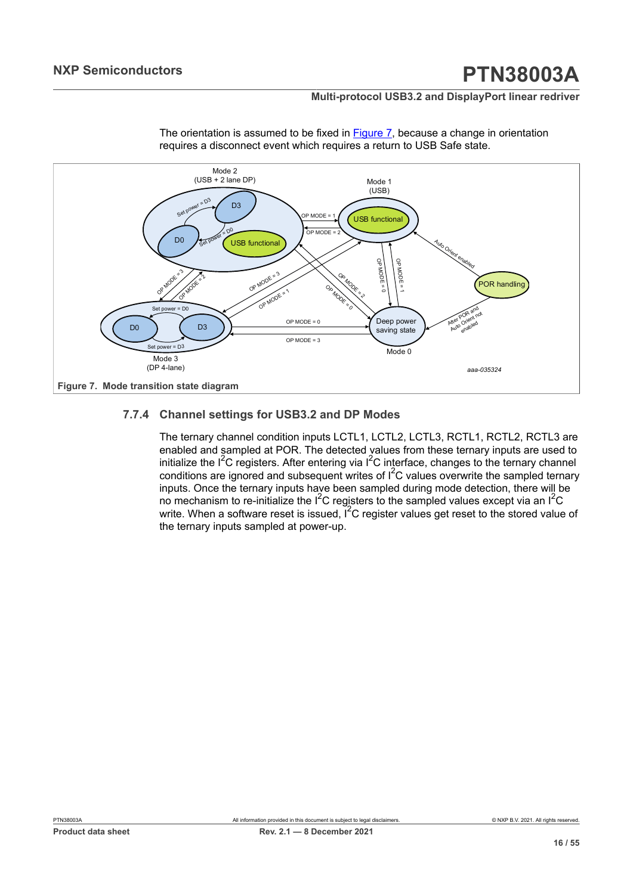#### **Multi-protocol USB3.2 and DisplayPort linear redriver**

<span id="page-15-2"></span>

The orientation is assumed to be fixed in **Figure 7**, because a change in orientation requires a disconnect event which requires a return to USB Safe state.

#### <span id="page-15-0"></span>**7.7.4 Channel settings for USB3.2 and DP Modes**

<span id="page-15-1"></span>The ternary channel condition inputs LCTL1, LCTL2, LCTL3, RCTL1, RCTL2, RCTL3 are enabled and sampled at POR. The detected values from these ternary inputs are used to initialize the  $I^2C$  registers. After entering via  $I^2C$  interface, changes to the ternary channel conditions are ignored and subsequent writes of  $I^2C$  values overwrite the sampled ternary inputs. Once the ternary inputs have been sampled during mode detection, there will be no mechanism to re-initialize the  $I^2C$  registers to the sampled values except via an  $I^2C$ write. When a software reset is issued,  $I^2C$  register values get reset to the stored value of the ternary inputs sampled at power-up.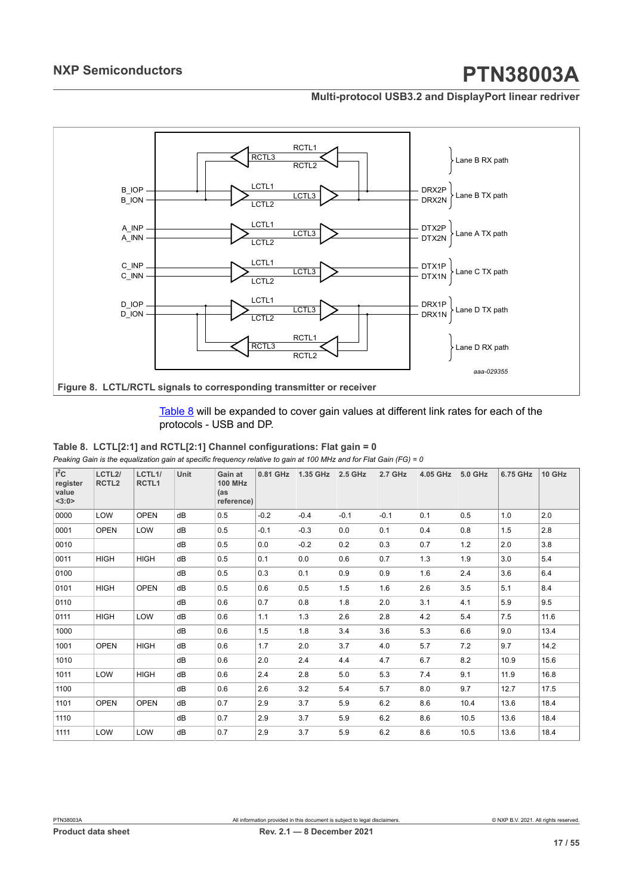#### **Multi-protocol USB3.2 and DisplayPort linear redriver**

<span id="page-16-1"></span>

#### **Figure 8. LCTL/RCTL signals to corresponding transmitter or receiver**

#### <span id="page-16-0"></span>[Table](#page-16-0) 8 will be expanded to cover gain values at different link rates for each of the protocols - USB and DP.

| Table 8. LCTL[2:1] and RCTL[2:1] Channel configurations: Flat gain = 0                                             |
|--------------------------------------------------------------------------------------------------------------------|
| Peaking Gain is the equalization gain at specific frequency relative to gain at 100 MHz and for Flat Gain (FG) = 0 |

| $I^2C$<br>register<br>value<br><3:0> | LCTL <sub>2</sub> /<br>RCTL <sub>2</sub> | LCTL1/<br>RCTL <sub>1</sub> | Unit | Gain at<br><b>100 MHz</b><br>(as<br>reference) | 0.81 GHz | 1.35 GHz | 2.5 GHz | 2.7 GHz | 4.05 GHz | 5.0 GHz | <b>6.75 GHz</b> | 10 GHz |
|--------------------------------------|------------------------------------------|-----------------------------|------|------------------------------------------------|----------|----------|---------|---------|----------|---------|-----------------|--------|
| 0000                                 | LOW                                      | <b>OPEN</b>                 | dB   | 0.5                                            | $-0.2$   | $-0.4$   | $-0.1$  | $-0.1$  | 0.1      | 0.5     | 1.0             | 2.0    |
| 0001                                 | <b>OPEN</b>                              | LOW                         | dB   | 0.5                                            | $-0.1$   | $-0.3$   | 0.0     | 0.1     | 0.4      | 0.8     | 1.5             | 2.8    |
| 0010                                 |                                          |                             | dB   | 0.5                                            | 0.0      | $-0.2$   | 0.2     | 0.3     | 0.7      | 1.2     | 2.0             | 3.8    |
| 0011                                 | <b>HIGH</b>                              | <b>HIGH</b>                 | dB   | 0.5                                            | 0.1      | 0.0      | 0.6     | 0.7     | 1.3      | 1.9     | 3.0             | 5.4    |
| 0100                                 |                                          |                             | dB   | 0.5                                            | 0.3      | 0.1      | 0.9     | 0.9     | 1.6      | 2.4     | 3.6             | 6.4    |
| 0101                                 | <b>HIGH</b>                              | <b>OPEN</b>                 | dB   | 0.5                                            | 0.6      | 0.5      | 1.5     | 1.6     | 2.6      | 3.5     | 5.1             | 8.4    |
| 0110                                 |                                          |                             | dB   | 0.6                                            | 0.7      | 0.8      | 1.8     | 2.0     | 3.1      | 4.1     | 5.9             | 9.5    |
| 0111                                 | <b>HIGH</b>                              | LOW                         | dB   | 0.6                                            | 1.1      | 1.3      | 2.6     | 2.8     | 4.2      | 5.4     | 7.5             | 11.6   |
| 1000                                 |                                          |                             | dB   | 0.6                                            | 1.5      | 1.8      | 3.4     | 3.6     | 5.3      | 6.6     | 9.0             | 13.4   |
| 1001                                 | <b>OPEN</b>                              | <b>HIGH</b>                 | dB   | 0.6                                            | 1.7      | 2.0      | 3.7     | 4.0     | 5.7      | 7.2     | 9.7             | 14.2   |
| 1010                                 |                                          |                             | dB   | 0.6                                            | 2.0      | 2.4      | 4.4     | 4.7     | 6.7      | 8.2     | 10.9            | 15.6   |
| 1011                                 | LOW                                      | <b>HIGH</b>                 | dB   | 0.6                                            | 2.4      | 2.8      | 5.0     | 5.3     | 7.4      | 9.1     | 11.9            | 16.8   |
| 1100                                 |                                          |                             | dB   | 0.6                                            | 2.6      | 3.2      | 5.4     | 5.7     | 8.0      | 9.7     | 12.7            | 17.5   |
| 1101                                 | <b>OPEN</b>                              | <b>OPEN</b>                 | dB   | 0.7                                            | 2.9      | 3.7      | 5.9     | 6.2     | 8.6      | 10.4    | 13.6            | 18.4   |
| 1110                                 |                                          |                             | dB   | 0.7                                            | 2.9      | 3.7      | 5.9     | 6.2     | 8.6      | 10.5    | 13.6            | 18.4   |
| 1111                                 | LOW                                      | LOW                         | dB   | 0.7                                            | 2.9      | 3.7      | 5.9     | 6.2     | 8.6      | 10.5    | 13.6            | 18.4   |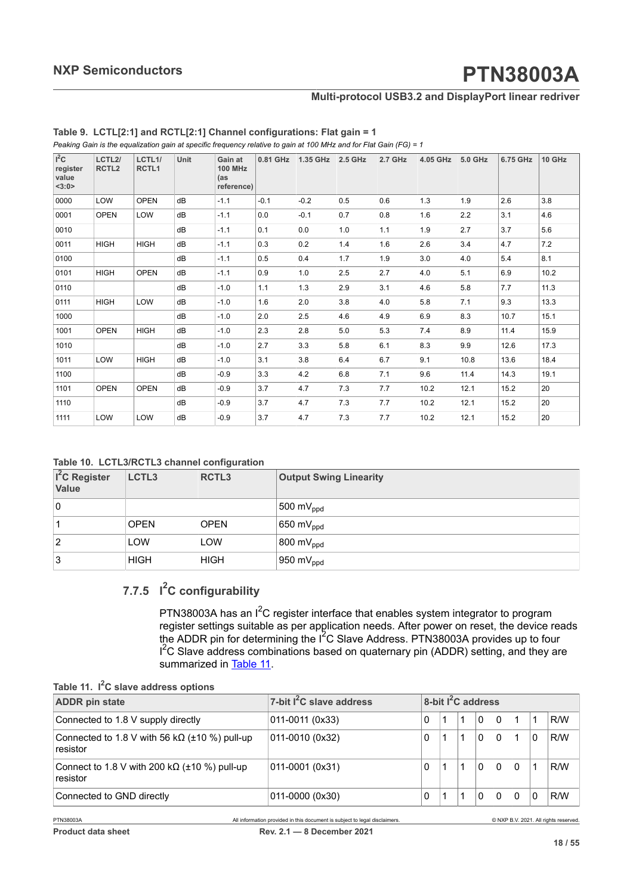#### **Multi-protocol USB3.2 and DisplayPort linear redriver**

| $I^2C$<br>register<br>value<br><3:0> | LCTL <sub>2</sub> /<br>RCTL <sub>2</sub> | LCTL1/<br>RCTL <sub>1</sub> | Unit | Gain at<br><b>100 MHz</b><br>(as<br>reference) | 0.81 GHz | 1.35 GHz | 2.5 GHz | 2.7 GHz | 4.05 GHz | 5.0 GHz | 6.75 GHz | 10 GHz |
|--------------------------------------|------------------------------------------|-----------------------------|------|------------------------------------------------|----------|----------|---------|---------|----------|---------|----------|--------|
| 0000                                 | LOW                                      | <b>OPEN</b>                 | dB   | $-1.1$                                         | $-0.1$   | $-0.2$   | 0.5     | 0.6     | 1.3      | 1.9     | 2.6      | 3.8    |
| 0001                                 | <b>OPEN</b>                              | LOW                         | dB   | $-1.1$                                         | 0.0      | $-0.1$   | 0.7     | 0.8     | 1.6      | 2.2     | 3.1      | 4.6    |
| 0010                                 |                                          |                             | dB   | $-1.1$                                         | 0.1      | 0.0      | 1.0     | 1.1     | 1.9      | 2.7     | 3.7      | 5.6    |
| 0011                                 | <b>HIGH</b>                              | <b>HIGH</b>                 | dB   | $-1.1$                                         | 0.3      | 0.2      | 1.4     | 1.6     | 2.6      | 3.4     | 4.7      | 7.2    |
| 0100                                 |                                          |                             | dB   | $-1.1$                                         | 0.5      | 0.4      | 1.7     | 1.9     | 3.0      | 4.0     | 5.4      | 8.1    |
| 0101                                 | <b>HIGH</b>                              | <b>OPEN</b>                 | dB   | $-1.1$                                         | 0.9      | 1.0      | 2.5     | 2.7     | 4.0      | 5.1     | 6.9      | 10.2   |
| 0110                                 |                                          |                             | dB   | $-1.0$                                         | 1.1      | 1.3      | 2.9     | 3.1     | 4.6      | 5.8     | 7.7      | 11.3   |
| 0111                                 | <b>HIGH</b>                              | LOW                         | dB   | $-1.0$                                         | 1.6      | 2.0      | 3.8     | 4.0     | 5.8      | 7.1     | 9.3      | 13.3   |
| 1000                                 |                                          |                             | dB   | $-1.0$                                         | 2.0      | 2.5      | 4.6     | 4.9     | 6.9      | 8.3     | 10.7     | 15.1   |
| 1001                                 | <b>OPEN</b>                              | <b>HIGH</b>                 | dB   | $-1.0$                                         | 2.3      | 2.8      | 5.0     | 5.3     | 7.4      | 8.9     | 11.4     | 15.9   |
| 1010                                 |                                          |                             | dB   | $-1.0$                                         | 2.7      | 3.3      | 5.8     | 6.1     | 8.3      | 9.9     | 12.6     | 17.3   |
| 1011                                 | LOW                                      | <b>HIGH</b>                 | dB   | $-1.0$                                         | 3.1      | 3.8      | 6.4     | 6.7     | 9.1      | 10.8    | 13.6     | 18.4   |
| 1100                                 |                                          |                             | dB   | $-0.9$                                         | 3.3      | 4.2      | 6.8     | 7.1     | 9.6      | 11.4    | 14.3     | 19.1   |
| 1101                                 | <b>OPEN</b>                              | <b>OPEN</b>                 | dB   | $-0.9$                                         | 3.7      | 4.7      | 7.3     | 7.7     | 10.2     | 12.1    | 15.2     | 20     |
| 1110                                 |                                          |                             | dB   | $-0.9$                                         | 3.7      | 4.7      | 7.3     | 7.7     | 10.2     | 12.1    | 15.2     | 20     |
| 1111                                 | LOW                                      | LOW                         | dB   | $-0.9$                                         | 3.7      | 4.7      | 7.3     | 7.7     | 10.2     | 12.1    | 15.2     | 20     |

<span id="page-17-2"></span>*Peaking Gain is the equalization gain at specific frequency relative to gain at 100 MHz and for Flat Gain (FG) = 1* **Table 9. LCTL[2:1] and RCTL[2:1] Channel configurations: Flat gain = 1**

<span id="page-17-0"></span>

| I <sup>2</sup> C Register<br><b>Value</b> | LCTL3       | <b>RCTL3</b> | <b>Output Swing Linearity</b> |
|-------------------------------------------|-------------|--------------|-------------------------------|
| 10                                        |             |              | 500 m $V_{\text{ppd}}$        |
|                                           | <b>OPEN</b> | <b>OPEN</b>  | 650 m $V_{\text{ppd}}$        |
| 2                                         | <b>LOW</b>  | LOW          | 800 m $V_{\text{ppd}}$        |
| 3                                         | <b>HIGH</b> | <b>HIGH</b>  | 950 m $V_{\text{ppd}}$        |

### **7.7.5 I <sup>2</sup>C configurability**

<span id="page-17-3"></span><span id="page-17-1"></span>PTN38003A has an  $I^2C$  register interface that enables system integrator to program register settings suitable as per application needs. After power on reset, the device reads the ADDR pin for determining the  $I<sup>2</sup>C$  Slave Address. PTN38003A provides up to four I<sup>2</sup>C Slave address combinations based on quaternary pin (ADDR) setting, and they are summarized in [Table](#page-17-1) 11.

|  | Table 11. I <sup>2</sup> C slave address options |  |  |
|--|--------------------------------------------------|--|--|
|--|--------------------------------------------------|--|--|

| <b>ADDR</b> pin state                                                   | 7-bit $I^2C$ slave address |   |  | 8-bit $I^2C$ address |          |          |   |     |
|-------------------------------------------------------------------------|----------------------------|---|--|----------------------|----------|----------|---|-----|
| Connected to 1.8 V supply directly                                      | 011-0011 (0x33)            |   |  | 0                    | $\Omega$ |          |   | R/W |
| Connected to 1.8 V with 56 k $\Omega$ ( $\pm$ 10 %) pull-up<br>resistor | 011-0010 (0x32)            | 0 |  |                      | $\Omega$ |          | 0 | R/W |
| Connect to 1.8 V with 200 k $\Omega$ ( $\pm$ 10 %) pull-up<br>resistor  | 011-0001 (0x31)            | 0 |  |                      | $\Omega$ | $\Omega$ |   | R/W |
| Connected to GND directly                                               | 011-0000 (0x30)            | 0 |  |                      | $\Omega$ | $\Omega$ | 0 | R/W |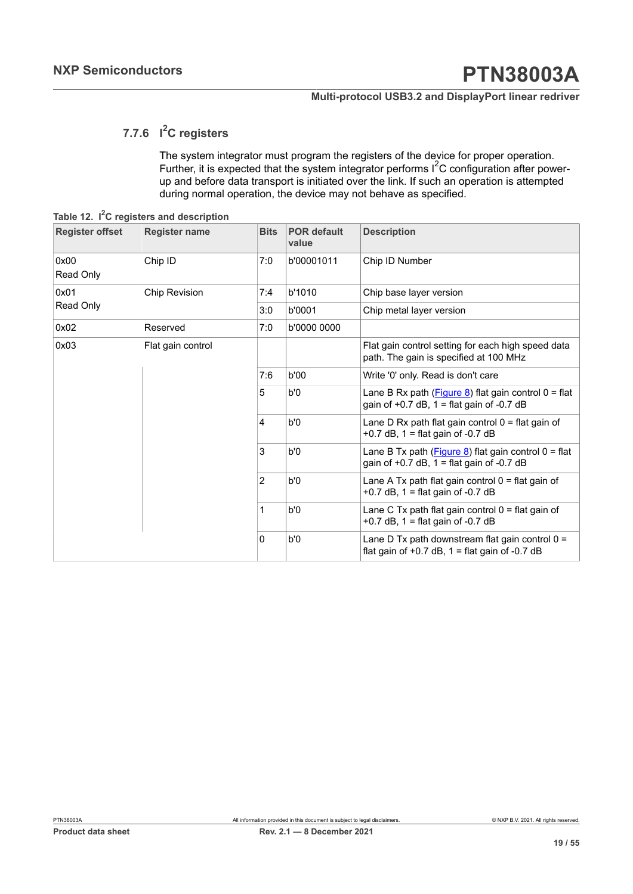## **7.7.6 I <sup>2</sup>C registers**

<span id="page-18-1"></span><span id="page-18-0"></span>The system integrator must program the registers of the device for proper operation. Further, it is expected that the system integrator performs  $I^2C$  configuration after powerup and before data transport is initiated over the link. If such an operation is attempted during normal operation, the device may not behave as specified.

**Table 12. I <sup>2</sup>C registers and description**

| <b>Register offset</b> | <b>Register name</b> | <b>Bits</b>    | <b>POR default</b><br>value                                                                | <b>Description</b>                                                                                      |
|------------------------|----------------------|----------------|--------------------------------------------------------------------------------------------|---------------------------------------------------------------------------------------------------------|
| 0x00<br>Read Only      | Chip ID              | 7:0            | b'00001011                                                                                 | Chip ID Number                                                                                          |
| 0x01                   | <b>Chip Revision</b> | 7:4            | b'1010                                                                                     | Chip base layer version                                                                                 |
| Read Only              |                      | 3:0            | b'0001                                                                                     | Chip metal layer version                                                                                |
| 0x02                   | Reserved             | 7:0            | b'0000 0000                                                                                |                                                                                                         |
| 0x03                   | Flat gain control    |                |                                                                                            | Flat gain control setting for each high speed data<br>path. The gain is specified at 100 MHz            |
|                        |                      | 7:6            | b'00                                                                                       | Write '0' only. Read is don't care                                                                      |
|                        |                      | 5              | b'0                                                                                        | Lane B Rx path $(Figure 8)$ flat gain control $0 = flat$<br>gain of $+0.7$ dB, 1 = flat gain of -0.7 dB |
|                        |                      | $\overline{4}$ | b'0                                                                                        | Lane D Rx path flat gain control $0 =$ flat gain of<br>+0.7 dB, $1 =$ flat gain of -0.7 dB              |
|                        |                      | 3              | b'0                                                                                        | Lane B Tx path $(Figure 8)$ flat gain control $0 = flat$<br>gain of $+0.7$ dB, 1 = flat gain of -0.7 dB |
|                        |                      | 2              | b'0                                                                                        | Lane A Tx path flat gain control $0 =$ flat gain of<br>+0.7 dB, $1 =$ flat gain of -0.7 dB              |
|                        |                      | 1              | Lane C Tx path flat gain control $0 =$ flat gain of<br>+0.7 dB, $1 =$ flat gain of -0.7 dB |                                                                                                         |
|                        |                      | 0              | b'0                                                                                        | Lane D Tx path downstream flat gain control $0 =$<br>flat gain of $+0.7$ dB, 1 = flat gain of -0.7 dB   |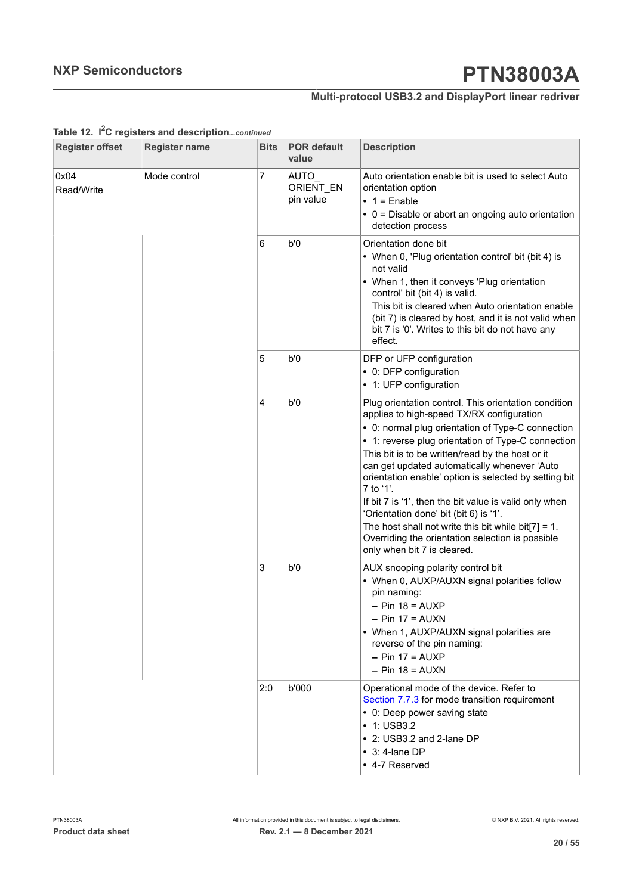## **Multi-protocol USB3.2 and DisplayPort linear redriver**

| <b>Register offset</b> | <b>Register name</b> | <b>Bits</b> | <b>POR default</b><br>value    | <b>Description</b>                                                                                                                                                                                                                                                                                                                                                                                                                                                                                                                                                                                                                   |
|------------------------|----------------------|-------------|--------------------------------|--------------------------------------------------------------------------------------------------------------------------------------------------------------------------------------------------------------------------------------------------------------------------------------------------------------------------------------------------------------------------------------------------------------------------------------------------------------------------------------------------------------------------------------------------------------------------------------------------------------------------------------|
| 0x04<br>Read/Write     | Mode control         | 7           | AUTO<br>ORIENT EN<br>pin value | Auto orientation enable bit is used to select Auto<br>orientation option<br>$\bullet$ 1 = Enable<br>• 0 = Disable or abort an ongoing auto orientation<br>detection process                                                                                                                                                                                                                                                                                                                                                                                                                                                          |
|                        |                      | 6           | b'0                            | Orientation done bit<br>• When 0, 'Plug orientation control' bit (bit 4) is<br>not valid<br>• When 1, then it conveys 'Plug orientation<br>control' bit (bit 4) is valid.<br>This bit is cleared when Auto orientation enable<br>(bit 7) is cleared by host, and it is not valid when<br>bit 7 is '0'. Writes to this bit do not have any<br>effect.                                                                                                                                                                                                                                                                                 |
|                        |                      | 5           | b'0                            | DFP or UFP configuration<br>• 0: DFP configuration<br>• 1: UFP configuration                                                                                                                                                                                                                                                                                                                                                                                                                                                                                                                                                         |
|                        |                      | 4           | b'0                            | Plug orientation control. This orientation condition<br>applies to high-speed TX/RX configuration<br>• 0: normal plug orientation of Type-C connection<br>• 1: reverse plug orientation of Type-C connection<br>This bit is to be written/read by the host or it<br>can get updated automatically whenever 'Auto<br>orientation enable' option is selected by setting bit<br>7 to '1'.<br>If bit 7 is '1', then the bit value is valid only when<br>'Orientation done' bit (bit 6) is '1'.<br>The host shall not write this bit while bit[7] = 1.<br>Overriding the orientation selection is possible<br>only when bit 7 is cleared. |
|                        |                      | 3           | b'0                            | AUX snooping polarity control bit<br>• When 0, AUXP/AUXN signal polarities follow<br>pin naming:<br>$-$ Pin 18 = AUXP<br>$-$ Pin 17 = AUXN<br>• When 1, AUXP/AUXN signal polarities are<br>reverse of the pin naming:<br>$-$ Pin 17 = AUXP<br>$-$ Pin 18 = AUXN                                                                                                                                                                                                                                                                                                                                                                      |
|                        |                      | 2:0         | b'000                          | Operational mode of the device. Refer to<br>Section 7.7.3 for mode transition requirement<br>• 0: Deep power saving state<br>$\cdot$ 1: USB3.2<br>• 2: USB3.2 and 2-lane DP<br>$\cdot$ 3: 4-lane DP<br>• 4-7 Reserved                                                                                                                                                                                                                                                                                                                                                                                                                |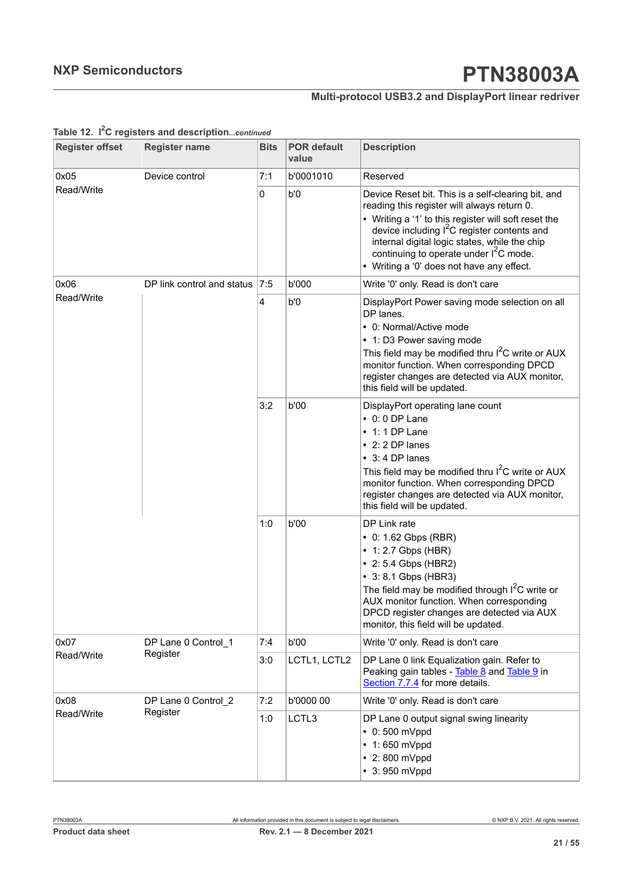### **Multi-protocol USB3.2 and DisplayPort linear redriver**

| <b>Register offset</b> | <b>Register name</b>       | <b>Bits</b> | <b>POR default</b><br>value | <b>Description</b>                                                                                                                                                                                                                                                                                                                                                       |
|------------------------|----------------------------|-------------|-----------------------------|--------------------------------------------------------------------------------------------------------------------------------------------------------------------------------------------------------------------------------------------------------------------------------------------------------------------------------------------------------------------------|
| 0x05                   | Device control             | 7:1         | b'0001010                   | Reserved                                                                                                                                                                                                                                                                                                                                                                 |
| Read/Write             |                            | 0           | b'0                         | Device Reset bit. This is a self-clearing bit, and<br>reading this register will always return 0.<br>• Writing a '1' to this register will soft reset the<br>device including I <sup>2</sup> C register contents and<br>internal digital logic states, while the chip<br>continuing to operate under I <sup>2</sup> C mode.<br>• Writing a '0' does not have any effect. |
| 0x06                   | DP link control and status | 7:5         | b'000                       | Write '0' only. Read is don't care                                                                                                                                                                                                                                                                                                                                       |
| Read/Write             |                            | 4           | b'0                         | DisplayPort Power saving mode selection on all<br>DP lanes.<br>• 0: Normal/Active mode<br>• 1: D3 Power saving mode<br>This field may be modified thru I <sup>2</sup> C write or AUX<br>monitor function. When corresponding DPCD<br>register changes are detected via AUX monitor,<br>this field will be updated.                                                       |
|                        |                            | 3:2         | b'00                        | DisplayPort operating lane count<br>$\cdot$ 0: 0 DP Lane<br>$\cdot$ 1:1 DP Lane<br>$\cdot$ 2: 2 DP lanes<br>$\cdot$ 3:4 DP lanes<br>This field may be modified thru I <sup>2</sup> C write or AUX<br>monitor function. When corresponding DPCD<br>register changes are detected via AUX monitor,<br>this field will be updated.                                          |
|                        |                            | 1:0         | b'00                        | DP Link rate<br>• 0: 1.62 Gbps (RBR)<br>• 1: 2.7 Gbps (HBR)<br>• 2: 5.4 Gbps (HBR2)<br>• 3: 8.1 Gbps (HBR3)<br>The field may be modified through $I2C$ write or<br>AUX monitor function. When corresponding<br>DPCD register changes are detected via AUX<br>monitor, this field will be updated.                                                                        |
| 0x07                   | DP Lane 0 Control 1        | 7:4         | b'00                        | Write '0' only. Read is don't care                                                                                                                                                                                                                                                                                                                                       |
| Read/Write             | Register                   | 3:0         | LCTL1, LCTL2                | DP Lane 0 link Equalization gain. Refer to<br>Peaking gain tables - Table 8 and Table 9 in<br>Section 7.7.4 for more details.                                                                                                                                                                                                                                            |
| 0x08                   | DP Lane 0 Control 2        | 7:2         | b'0000 00                   | Write '0' only. Read is don't care                                                                                                                                                                                                                                                                                                                                       |
| Read/Write             | Register                   | 1:0         | LCTL3                       | DP Lane 0 output signal swing linearity<br>$\cdot$ 0:500 mVppd<br>$\cdot$ 1:650 mVppd<br>• 2:800 mVppd<br>$\cdot$ 3: 950 mVppd                                                                                                                                                                                                                                           |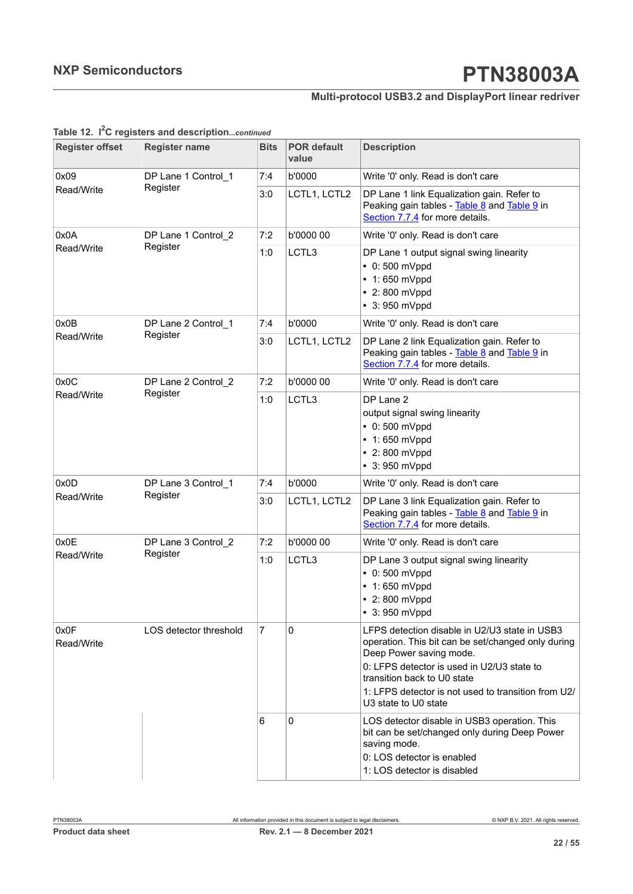### **Multi-protocol USB3.2 and DisplayPort linear redriver**

|                        | rapic is. I closed and acouptioncommen |                |                             |                                                                                                                                                                                                                                                                                            |
|------------------------|----------------------------------------|----------------|-----------------------------|--------------------------------------------------------------------------------------------------------------------------------------------------------------------------------------------------------------------------------------------------------------------------------------------|
| <b>Register offset</b> | <b>Register name</b>                   | <b>Bits</b>    | <b>POR default</b><br>value | <b>Description</b>                                                                                                                                                                                                                                                                         |
| 0x09                   | DP Lane 1 Control_1                    | 7:4            | b'0000                      | Write '0' only. Read is don't care                                                                                                                                                                                                                                                         |
| Read/Write             | Register                               | 3:0            | LCTL1, LCTL2                | DP Lane 1 link Equalization gain. Refer to<br>Peaking gain tables - Table 8 and Table 9 in<br>Section 7.7.4 for more details.                                                                                                                                                              |
| 0x0A                   | DP Lane 1 Control_2                    |                | b'0000 00                   | Write '0' only. Read is don't care                                                                                                                                                                                                                                                         |
| Read/Write             | Register                               | 1:0            | LCTL3                       | DP Lane 1 output signal swing linearity<br>$\cdot$ 0:500 mVppd<br>$\cdot$ 1:650 mVppd<br>$\cdot$ 2:800 mVppd<br>$• 3:950$ mVppd                                                                                                                                                            |
| 0x0B                   | DP Lane 2 Control_1                    | 7:4            | b'0000                      | Write '0' only. Read is don't care                                                                                                                                                                                                                                                         |
| Read/Write             | Register                               | 3:0            | LCTL1, LCTL2                | DP Lane 2 link Equalization gain. Refer to<br>Peaking gain tables - Table 8 and Table 9 in<br>Section 7.7.4 for more details.                                                                                                                                                              |
| 0x0C                   | DP Lane 2 Control 2                    | 7:2            | b'0000 00                   | Write '0' only. Read is don't care                                                                                                                                                                                                                                                         |
| Read/Write             | Register                               | 1:0            | LCTL3                       | DP Lane 2<br>output signal swing linearity<br>$\cdot$ 0:500 mVppd<br>$\cdot$ 1:650 mVppd<br>$\cdot$ 2:800 mVppd<br>$• 3:950$ mVppd                                                                                                                                                         |
| 0x0D                   | DP Lane 3 Control_1                    | 7:4            | b'0000                      | Write '0' only. Read is don't care                                                                                                                                                                                                                                                         |
| Read/Write             | Register                               | 3:0            | LCTL1, LCTL2                | DP Lane 3 link Equalization gain. Refer to<br>Peaking gain tables - Table 8 and Table 9 in<br>Section 7.7.4 for more details.                                                                                                                                                              |
| 0x0E                   | DP Lane 3 Control_2                    | 7:2            | b'0000 00                   | Write '0' only. Read is don't care                                                                                                                                                                                                                                                         |
| Read/Write             | Register                               | 1:0            | LCTL3                       | DP Lane 3 output signal swing linearity<br>$\cdot$ 0:500 mVppd<br>$\cdot$ 1:650 mVppd<br>• 2:800 mVppd<br>3: 950 mVppd                                                                                                                                                                     |
| 0x0F<br>Read/Write     | LOS detector threshold                 | $\overline{7}$ | $\mathbf 0$                 | LFPS detection disable in U2/U3 state in USB3<br>operation. This bit can be set/changed only during<br>Deep Power saving mode.<br>0: LFPS detector is used in U2/U3 state to<br>transition back to U0 state<br>1: LFPS detector is not used to transition from U2/<br>U3 state to U0 state |
|                        |                                        | 6              | 0                           | LOS detector disable in USB3 operation. This<br>bit can be set/changed only during Deep Power<br>saving mode.<br>0: LOS detector is enabled<br>1: LOS detector is disabled                                                                                                                 |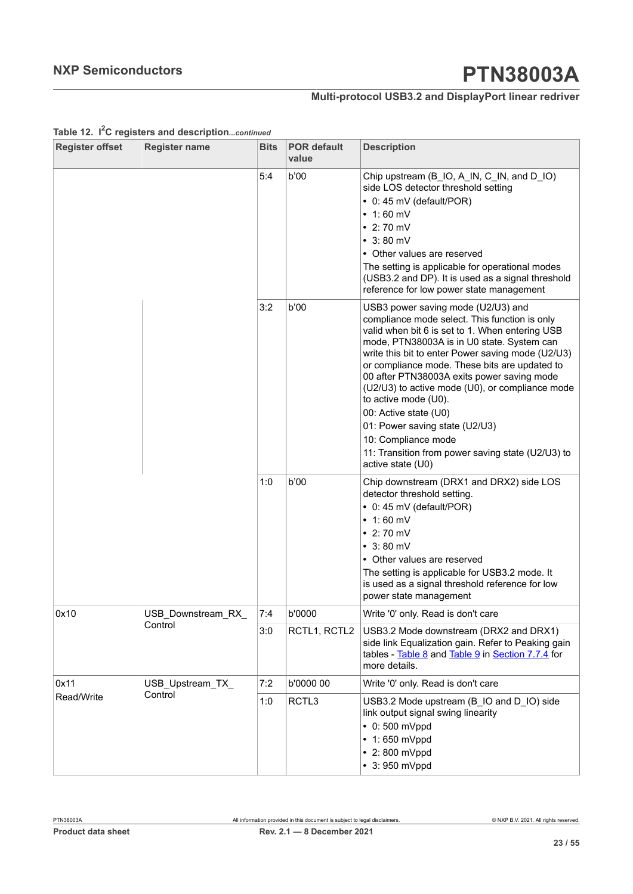### **Multi-protocol USB3.2 and DisplayPort linear redriver**

| <b>Register offset</b> | <b>Register name</b> | <b>Bits</b> | <b>POR default</b><br>value | <b>Description</b>                                                                                                                                                                                                                                                                                                                                                                                                                                                                                                                                                              |
|------------------------|----------------------|-------------|-----------------------------|---------------------------------------------------------------------------------------------------------------------------------------------------------------------------------------------------------------------------------------------------------------------------------------------------------------------------------------------------------------------------------------------------------------------------------------------------------------------------------------------------------------------------------------------------------------------------------|
|                        |                      | 5:4         | b'00                        | Chip upstream (B_IO, A_IN, C_IN, and D_IO)<br>side LOS detector threshold setting<br>• 0: 45 mV (default/POR)<br>$\cdot$ 1:60 mV<br>$\cdot$ 2:70 mV<br>$\cdot$ 3:80 mV<br>• Other values are reserved<br>The setting is applicable for operational modes<br>(USB3.2 and DP). It is used as a signal threshold<br>reference for low power state management                                                                                                                                                                                                                       |
|                        |                      | 3:2         | b'00                        | USB3 power saving mode (U2/U3) and<br>compliance mode select. This function is only<br>valid when bit 6 is set to 1. When entering USB<br>mode, PTN38003A is in U0 state. System can<br>write this bit to enter Power saving mode (U2/U3)<br>or compliance mode. These bits are updated to<br>00 after PTN38003A exits power saving mode<br>(U2/U3) to active mode (U0), or compliance mode<br>to active mode (U0).<br>00: Active state (U0)<br>01: Power saving state (U2/U3)<br>10: Compliance mode<br>11: Transition from power saving state (U2/U3) to<br>active state (U0) |
|                        |                      | 1:0         | b'00                        | Chip downstream (DRX1 and DRX2) side LOS<br>detector threshold setting.<br>$\bullet$ 0: 45 mV (default/POR)<br>$\cdot$ 1:60 mV<br>$\cdot$ 2:70 mV<br>$\cdot$ 3:80 mV<br>• Other values are reserved<br>The setting is applicable for USB3.2 mode. It<br>is used as a signal threshold reference for low<br>power state management                                                                                                                                                                                                                                               |
| 0x10                   | USB_Downstream_RX_   | 7:4         | b'0000                      | Write '0' only. Read is don't care                                                                                                                                                                                                                                                                                                                                                                                                                                                                                                                                              |
|                        | Control              | 3:0         | RCTL1, RCTL2                | USB3.2 Mode downstream (DRX2 and DRX1)<br>side link Equalization gain. Refer to Peaking gain<br>tables - Table 8 and Table 9 in Section 7.7.4 for<br>more details.                                                                                                                                                                                                                                                                                                                                                                                                              |
| 0x11                   | USB_Upstream_TX_     | 7:2         | b'0000 00                   | Write '0' only. Read is don't care                                                                                                                                                                                                                                                                                                                                                                                                                                                                                                                                              |
| Read/Write             | Control              | 1:0         | RCTL3                       | USB3.2 Mode upstream (B_IO and D_IO) side<br>link output signal swing linearity<br>$\cdot$ 0:500 mVppd<br>$\cdot$ 1:650 mVppd<br>$\cdot$ 2:800 mVppd<br>$\cdot$ 3: 950 mVppd                                                                                                                                                                                                                                                                                                                                                                                                    |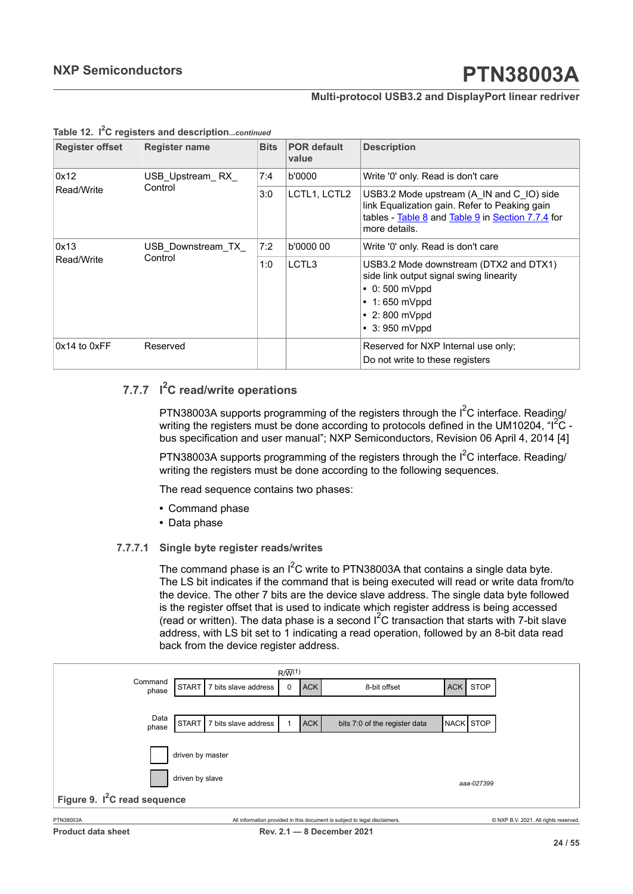#### **Multi-protocol USB3.2 and DisplayPort linear redriver**

| <b>Register offset</b> | <b>Register name</b> | <b>Bits</b> | <b>POR default</b><br>value | <b>Description</b>                                                                                                                                                            |  |  |
|------------------------|----------------------|-------------|-----------------------------|-------------------------------------------------------------------------------------------------------------------------------------------------------------------------------|--|--|
| 0x12                   | USB Upstream RX      | 7:4         | b'0000                      | Write '0' only. Read is don't care                                                                                                                                            |  |  |
| Read/Write             | Control              | 3:0         | LCTL1, LCTL2                | USB3.2 Mode upstream (A IN and C IO) side<br>link Equalization gain. Refer to Peaking gain<br>tables - Table 8 and Table 9 in Section 7.7.4 for<br>more details.              |  |  |
| 0x13                   | USB Downstream TX    | 7:2         | b'0000 00                   | Write '0' only. Read is don't care                                                                                                                                            |  |  |
| Read/Write             | Control              | 1:0         | LCTL3                       | USB3.2 Mode downstream (DTX2 and DTX1)<br>side link output signal swing linearity<br>$\cdot$ 0:500 mVppd<br>$\cdot$ 1:650 mVppd<br>$\cdot$ 2:800 mVppd<br>$\cdot$ 3:950 mVppd |  |  |
| $0x14$ to $0xFF$       | Reserved             |             |                             | Reserved for NXP Internal use only;<br>Do not write to these registers                                                                                                        |  |  |

#### **Table 12. I <sup>2</sup>C registers and description***...continued*

### **7.7.7 I <sup>2</sup>C read/write operations**

<span id="page-23-1"></span>PTN38003A supports programming of the registers through the I<sup>2</sup>C interface. Reading/ writing the registers must be done according to protocols defined in the UM10204,  $\text{H}^2\text{C}$  bus specification and user manual"; NXP Semiconductors, Revision 06 April 4, 2014 [4]

PTN38003A supports programming of the registers through the  $I^2C$  interface. Reading/ writing the registers must be done according to the following sequences.

The read sequence contains two phases:

- **•** Command phase
- <span id="page-23-2"></span>**•** Data phase

#### **7.7.7.1 Single byte register reads/writes**

The command phase is an  $I^2C$  write to PTN38003A that contains a single data byte. The LS bit indicates if the command that is being executed will read or write data from/to the device. The other 7 bits are the device slave address. The single data byte followed is the register offset that is used to indicate which register address is being accessed (read or written). The data phase is a second  $1^2C$  transaction that starts with 7-bit slave address, with LS bit set to 1 indicating a read operation, followed by an 8-bit data read back from the device register address.

<span id="page-23-0"></span>

| $R/\overline{W}^{(1)}$                   |                               |                      |   |            |                               |                  |             |  |  |  |
|------------------------------------------|-------------------------------|----------------------|---|------------|-------------------------------|------------------|-------------|--|--|--|
| Command<br>phase                         | START                         | 7 bits slave address | 0 | <b>ACK</b> | 8-bit offset                  | ACK              | <b>STOP</b> |  |  |  |
|                                          |                               |                      |   |            |                               |                  |             |  |  |  |
| Data                                     | START <sup>I</sup>            | 7 bits slave address |   | <b>ACK</b> | bits 7:0 of the register data | <b>NACK STOP</b> |             |  |  |  |
| phase                                    |                               |                      |   |            |                               |                  |             |  |  |  |
|                                          | driven by master              |                      |   |            |                               |                  |             |  |  |  |
|                                          | driven by slave<br>aaa-027399 |                      |   |            |                               |                  |             |  |  |  |
| Figure 9. I <sup>2</sup> C read sequence |                               |                      |   |            |                               |                  |             |  |  |  |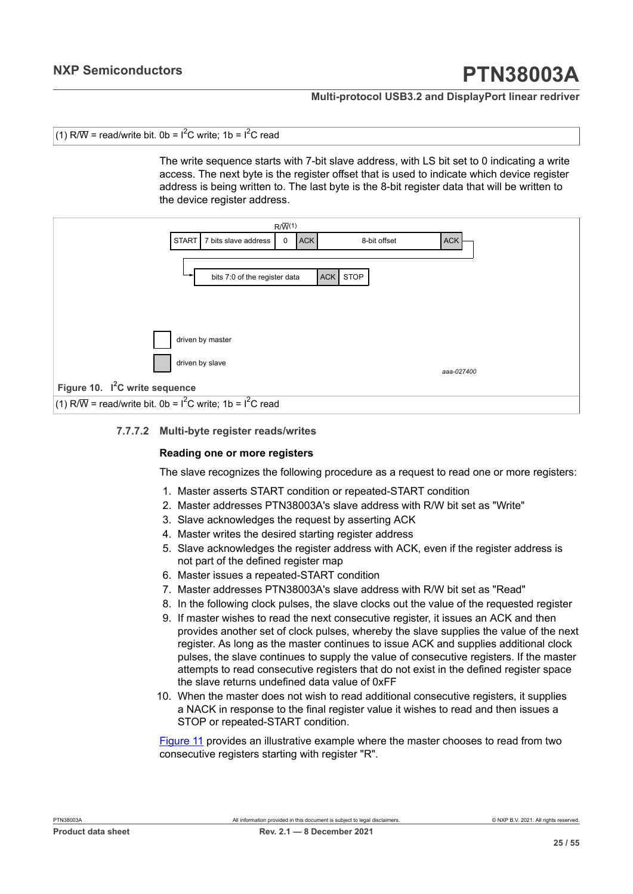#### **Multi-protocol USB3.2 and DisplayPort linear redriver**

```
(1) R/\overline{W} = read/write bit. 0b = 1^2C write: 1b = 1^2C read
```
The write sequence starts with 7-bit slave address, with LS bit set to 0 indicating a write access. The next byte is the register offset that is used to indicate which device register address is being written to. The last byte is the 8-bit register data that will be written to the device register address.

<span id="page-24-0"></span>

#### **7.7.7.2 Multi-byte register reads/writes**

#### <span id="page-24-1"></span>**Reading one or more registers**

The slave recognizes the following procedure as a request to read one or more registers:

- 1. Master asserts START condition or repeated-START condition
- 2. Master addresses PTN38003A's slave address with R/W bit set as "Write"
- 3. Slave acknowledges the request by asserting ACK
- 4. Master writes the desired starting register address
- 5. Slave acknowledges the register address with ACK, even if the register address is not part of the defined register map
- 6. Master issues a repeated-START condition
- 7. Master addresses PTN38003A's slave address with R/W bit set as "Read"
- 8. In the following clock pulses, the slave clocks out the value of the requested register
- 9. If master wishes to read the next consecutive register, it issues an ACK and then provides another set of clock pulses, whereby the slave supplies the value of the next register. As long as the master continues to issue ACK and supplies additional clock pulses, the slave continues to supply the value of consecutive registers. If the master attempts to read consecutive registers that do not exist in the defined register space the slave returns undefined data value of 0xFF
- 10. When the master does not wish to read additional consecutive registers, it supplies a NACK in response to the final register value it wishes to read and then issues a STOP or repeated-START condition.

[Figure](#page-25-0) 11 provides an illustrative example where the master chooses to read from two consecutive registers starting with register "R".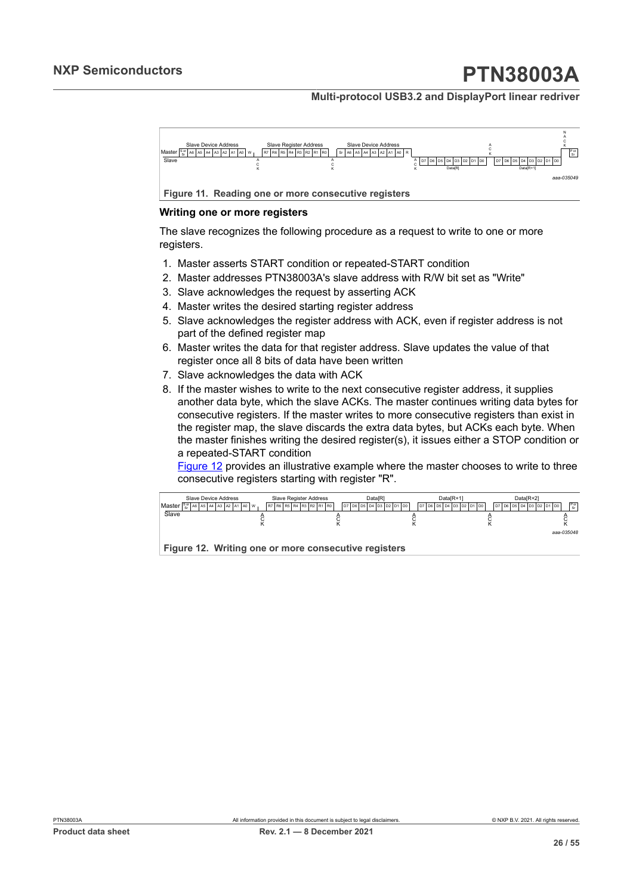#### **Multi-protocol USB3.2 and DisplayPort linear redriver**

<span id="page-25-0"></span>

#### **Writing one or more registers**

The slave recognizes the following procedure as a request to write to one or more registers.

- 1. Master asserts START condition or repeated-START condition
- 2. Master addresses PTN38003A's slave address with R/W bit set as "Write"
- 3. Slave acknowledges the request by asserting ACK
- 4. Master writes the desired starting register address
- 5. Slave acknowledges the register address with ACK, even if register address is not part of the defined register map
- 6. Master writes the data for that register address. Slave updates the value of that register once all 8 bits of data have been written
- 7. Slave acknowledges the data with ACK
- 8. If the master wishes to write to the next consecutive register address, it supplies another data byte, which the slave ACKs. The master continues writing data bytes for consecutive registers. If the master writes to more consecutive registers than exist in the register map, the slave discards the extra data bytes, but ACKs each byte. When the master finishes writing the desired register(s), it issues either a STOP condition or a repeated-START condition

[Figure 12](#page-25-1) provides an illustrative example where the master chooses to write to three consecutive registers starting with register "R".

<span id="page-25-1"></span>

| Slave Device Address<br>Master $\frac{8 \alpha}{96}$ A6 A5 A4 A3 A2 A1 A0 W | <b>Slave Register Address</b><br>R7 R6 R5 R4 R3 R2 R1 R0 | DatalRI<br>lpz lp6 lp5 lp4 lp3 lp2 lp1 lp0 l | Data <sub>IR+1</sub><br>l D7 l D6 l D5 l D4 l D3 l D2 l D1 l D0 l | Data <sub>IR+21</sub><br>$P_{\alpha}$<br>$D7$ $D6$ $D5$ $D4$ $D3$ $D2$ $D1$ $D0$ |
|-----------------------------------------------------------------------------|----------------------------------------------------------|----------------------------------------------|-------------------------------------------------------------------|----------------------------------------------------------------------------------|
| Slave                                                                       |                                                          |                                              |                                                                   |                                                                                  |
| Figure 12. Writing one or more consecutive registers                        |                                                          |                                              |                                                                   | ааа-035048                                                                       |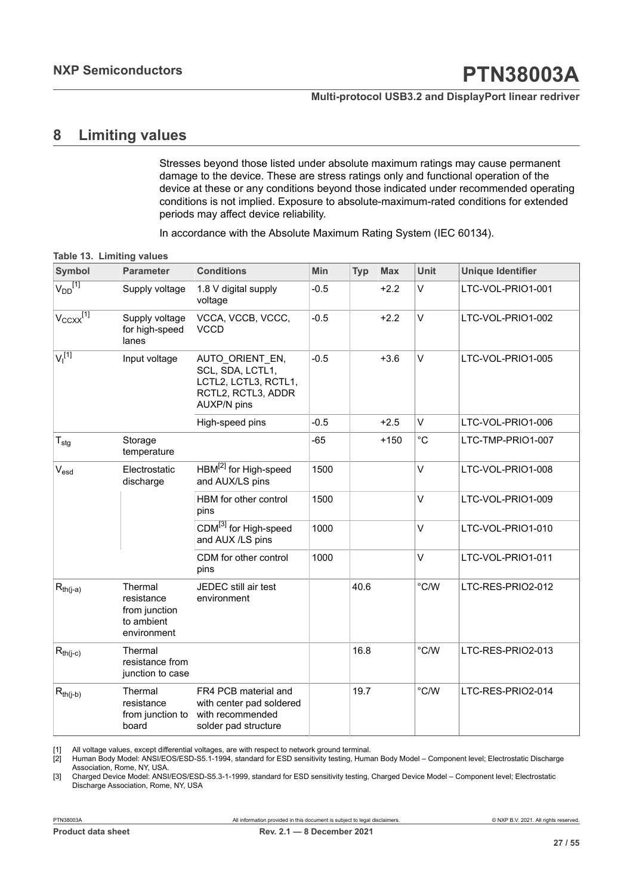## <span id="page-26-4"></span><span id="page-26-1"></span><span id="page-26-0"></span>**8 Limiting values**

<span id="page-26-2"></span>Stresses beyond those listed under absolute maximum ratings may cause permanent damage to the device. These are stress ratings only and functional operation of the device at these or any conditions beyond those indicated under recommended operating conditions is not implied. Exposure to absolute-maximum-rated conditions for extended periods may affect device reliability.

<span id="page-26-3"></span>In accordance with the Absolute Maximum Rating System (IEC 60134).

|  |  | Table 13. Limiting values |  |
|--|--|---------------------------|--|
|--|--|---------------------------|--|

| <b>Symbol</b>                 | <b>Parameter</b>                                                    | <b>Conditions</b>                                                                                       | Min    | <b>Typ</b> | <b>Max</b> | Unit           | <b>Unique Identifier</b> |
|-------------------------------|---------------------------------------------------------------------|---------------------------------------------------------------------------------------------------------|--------|------------|------------|----------------|--------------------------|
| $V_{DD}$ <sup>[1]</sup>       | Supply voltage                                                      | 1.8 V digital supply<br>voltage                                                                         | $-0.5$ |            | $+2.2$     | V              | LTC-VOL-PRIO1-001        |
| $V_{CCXX}$ <sup>[1]</sup>     | Supply voltage<br>for high-speed<br>lanes                           | VCCA, VCCB, VCCC,<br><b>VCCD</b>                                                                        | $-0.5$ |            | $+2.2$     | V              | LTC-VOL-PRIO1-002        |
| V <sub>1</sub> <sup>[1]</sup> | Input voltage                                                       | AUTO ORIENT EN,<br>SCL, SDA, LCTL1,<br>LCTL2, LCTL3, RCTL1,<br>RCTL2, RCTL3, ADDR<br><b>AUXP/N pins</b> | $-0.5$ |            | $+3.6$     | $\vee$         | LTC-VOL-PRIO1-005        |
|                               |                                                                     | High-speed pins                                                                                         | $-0.5$ |            | $+2.5$     | V              | LTC-VOL-PRIO1-006        |
| $\mathsf{T}_{\text{stg}}$     | Storage<br>temperature                                              |                                                                                                         | $-65$  |            | $+150$     | $^{\circ}$ C   | LTC-TMP-PRIO1-007        |
| $V_{esd}$                     | Electrostatic<br>discharge                                          | HBM <sup>[2]</sup> for High-speed<br>and AUX/LS pins                                                    | 1500   |            |            | V              | LTC-VOL-PRIO1-008        |
|                               |                                                                     | HBM for other control<br>pins                                                                           | 1500   |            |            | V              | LTC-VOL-PRIO1-009        |
|                               |                                                                     | CDM <sup>[3]</sup> for High-speed<br>and AUX /LS pins                                                   | 1000   |            |            | $\vee$         | LTC-VOL-PRIO1-010        |
|                               |                                                                     | CDM for other control<br>pins                                                                           | 1000   |            |            | V              | LTC-VOL-PRIO1-011        |
| $R_{\text{th}(j-a)}$          | Thermal<br>resistance<br>from junction<br>to ambient<br>environment | JEDEC still air test<br>environment                                                                     |        | 40.6       |            | °C/W           | LTC-RES-PRIO2-012        |
| $R_{th(j-c)}$                 | Thermal<br>resistance from<br>junction to case                      |                                                                                                         |        | 16.8       |            | °C/W           | LTC-RES-PRIO2-013        |
| $R_{th(j-b)}$                 | Thermal<br>resistance<br>from junction to<br>board                  | FR4 PCB material and<br>with center pad soldered<br>with recommended<br>solder pad structure            |        | 19.7       |            | $^{\circ}$ C/W | LTC-RES-PRIO2-014        |

[1] All voltage values, except differential voltages, are with respect to network ground terminal.<br>[2] Human Body Model: ANSI/EOS/ESD-S5.1-1994, standard for ESD sensitivity testing, Huma

[2] Human Body Model: ANSI/EOS/ESD-S5.1-1994, standard for ESD sensitivity testing, Human Body Model – Component level; Electrostatic Discharge Association, Rome, NY, USA.

[3] Charged Device Model: ANSI/EOS/ESD-S5.3-1-1999, standard for ESD sensitivity testing, Charged Device Model – Component level; Electrostatic Discharge Association, Rome, NY, USA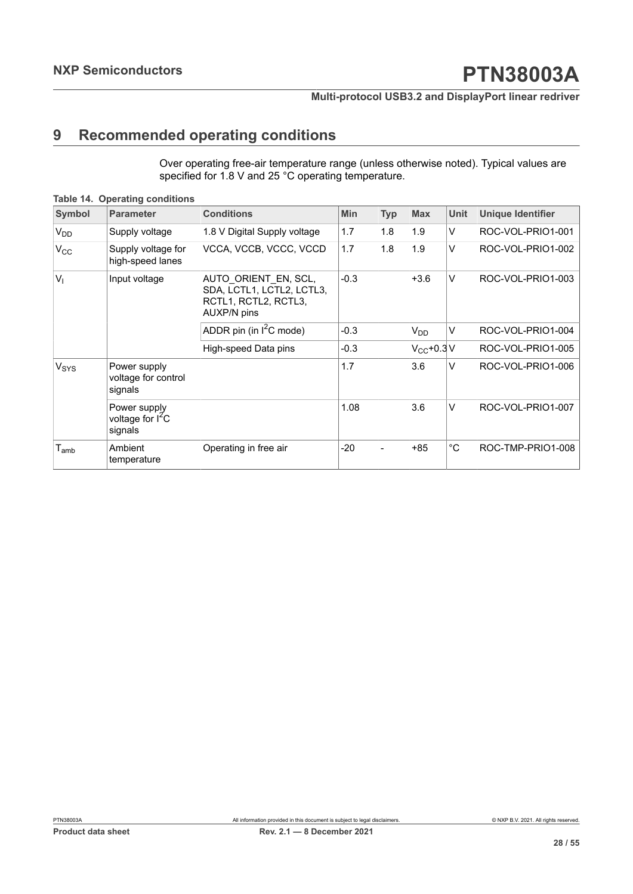## <span id="page-27-1"></span>**9 Recommended operating conditions**

<span id="page-27-0"></span>Over operating free-air temperature range (unless otherwise noted). Typical values are specified for 1.8 V and 25 °C operating temperature.

| <b>Symbol</b>               | <b>Parameter</b>                                        | <b>Conditions</b>                                                                        | Min    | <b>Typ</b> | <b>Max</b>    | <b>Unit</b> | <b>Unique Identifier</b> |
|-----------------------------|---------------------------------------------------------|------------------------------------------------------------------------------------------|--------|------------|---------------|-------------|--------------------------|
| <b>V<sub>DD</sub></b>       | Supply voltage                                          | 1.8 V Digital Supply voltage                                                             | 1.7    | 1.8        | 1.9           | V           | ROC-VOL-PRIO1-001        |
| $V_{\rm CC}$                | Supply voltage for<br>high-speed lanes                  | VCCA, VCCB, VCCC, VCCD                                                                   | 1.7    | 1.8        | 1.9           | V           | ROC-VOL-PRIO1-002        |
| $V_{1}$                     | Input voltage                                           | AUTO ORIENT EN, SCL,<br>SDA, LCTL1, LCTL2, LCTL3,<br>RCTL1, RCTL2, RCTL3,<br>AUXP/N pins | $-0.3$ |            | $+3.6$        | $\vee$      | ROC-VOL-PRIO1-003        |
|                             |                                                         | ADDR pin (in I <sup>2</sup> C mode)                                                      | $-0.3$ |            | $V_{DD}$      | V           | ROC-VOL-PRIO1-004        |
|                             |                                                         | High-speed Data pins                                                                     | $-0.3$ |            | $V_{C}C+0.3V$ |             | ROC-VOL-PRIO1-005        |
| V <sub>SYS</sub>            | Power supply<br>voltage for control<br>signals          |                                                                                          | 1.7    |            | 3.6           | V           | ROC-VOL-PRIO1-006        |
|                             | Power supply<br>voltage for I <sup>2</sup> C<br>signals |                                                                                          | 1.08   |            | 3.6           | $\vee$      | ROC-VOL-PRIO1-007        |
| $\mathsf{T}_{\mathsf{amb}}$ | Ambient<br>temperature                                  | Operating in free air                                                                    | $-20$  |            | $+85$         | $^{\circ}C$ | ROC-TMP-PRIO1-008        |

**Table 14. Operating conditions**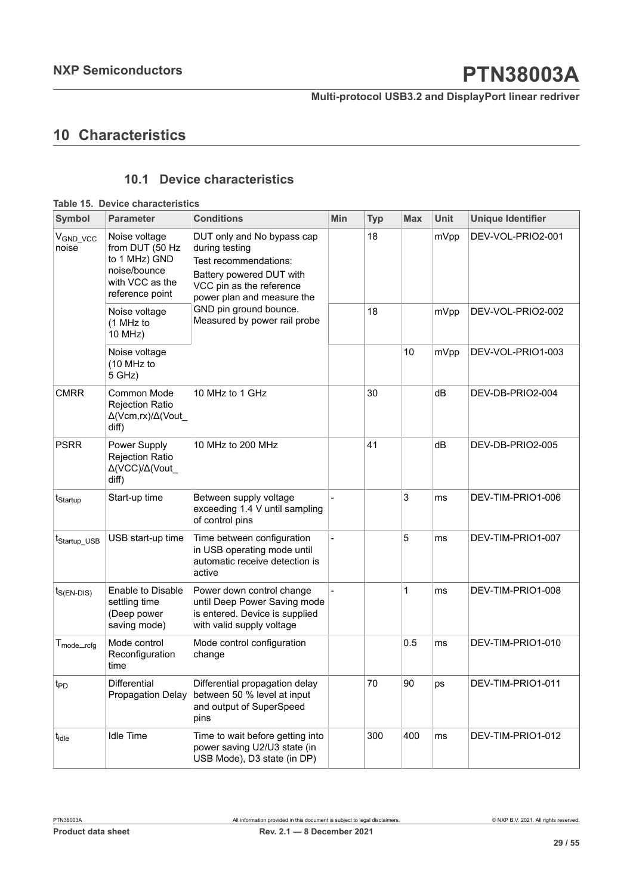## <span id="page-28-1"></span>**10 Characteristics**

### <span id="page-28-2"></span><span id="page-28-0"></span>**10.1 Device characteristics**

|                                  | Table 15. Device characteristics                                                                        |                                                                                                                                                             |     |            |            |             |                          |
|----------------------------------|---------------------------------------------------------------------------------------------------------|-------------------------------------------------------------------------------------------------------------------------------------------------------------|-----|------------|------------|-------------|--------------------------|
| <b>Symbol</b>                    | <b>Parameter</b>                                                                                        | <b>Conditions</b>                                                                                                                                           | Min | <b>Typ</b> | <b>Max</b> | <b>Unit</b> | <b>Unique Identifier</b> |
| $V_{GND_VCC}$<br>noise           | Noise voltage<br>from DUT (50 Hz<br>to 1 MHz) GND<br>noise/bounce<br>with VCC as the<br>reference point | DUT only and No bypass cap<br>during testing<br>Test recommendations:<br>Battery powered DUT with<br>VCC pin as the reference<br>power plan and measure the |     | 18         |            | mVpp        | DEV-VOL-PRIO2-001        |
|                                  | Noise voltage<br>(1 MHz to<br>10 MHz)                                                                   | GND pin ground bounce.<br>Measured by power rail probe                                                                                                      |     | 18         |            | mVpp        | DEV-VOL-PRIO2-002        |
|                                  | Noise voltage<br>(10 MHz to<br>5 GHz)                                                                   |                                                                                                                                                             |     |            | 10         | mVpp        | DEV-VOL-PRIO1-003        |
| <b>CMRR</b>                      | Common Mode<br><b>Rejection Ratio</b><br>Δ(Vcm,rx)/Δ(Vout<br>diff)                                      | 10 MHz to 1 GHz                                                                                                                                             |     | 30         |            | dB          | DEV-DB-PRIO2-004         |
| <b>PSRR</b>                      | Power Supply<br><b>Rejection Ratio</b><br>Δ(VCC)/Δ(Vout_<br>diff)                                       | 10 MHz to 200 MHz                                                                                                                                           |     | 41         |            | dB          | DEV-DB-PRIO2-005         |
| t <sub>Startup</sub>             | Start-up time                                                                                           | Between supply voltage<br>exceeding 1.4 V until sampling<br>of control pins                                                                                 |     |            | 3          | ms          | DEV-TIM-PRIO1-006        |
| t <sub>Startup_USB</sub>         | USB start-up time                                                                                       | Time between configuration<br>in USB operating mode until<br>automatic receive detection is<br>active                                                       |     |            | 5          | ms          | DEV-TIM-PRIO1-007        |
| $t_{S(EN-DIS)}$                  | Enable to Disable<br>settling time<br>(Deep power<br>saving mode)                                       | Power down control change<br>until Deep Power Saving mode<br>is entered. Device is supplied<br>with valid supply voltage                                    |     |            | 1          | ms          | DEV-TIM-PRIO1-008        |
| $\mathsf{T}_{\text{mode\_rcfg}}$ | Mode control<br>Reconfiguration<br>time                                                                 | Mode control configuration<br>change                                                                                                                        |     |            | 0.5        | ms          | DEV-TIM-PRIO1-010        |
| t <sub>PD</sub>                  | Differential<br><b>Propagation Delay</b>                                                                | Differential propagation delay<br>between 50 % level at input<br>and output of SuperSpeed<br>pins                                                           |     | 70         | 90         | ps          | DEV-TIM-PRIO1-011        |
| $t_{\sf idle}$                   | <b>Idle Time</b>                                                                                        | Time to wait before getting into<br>power saving U2/U3 state (in<br>USB Mode), D3 state (in DP)                                                             |     | 300        | 400        | ms          | DEV-TIM-PRIO1-012        |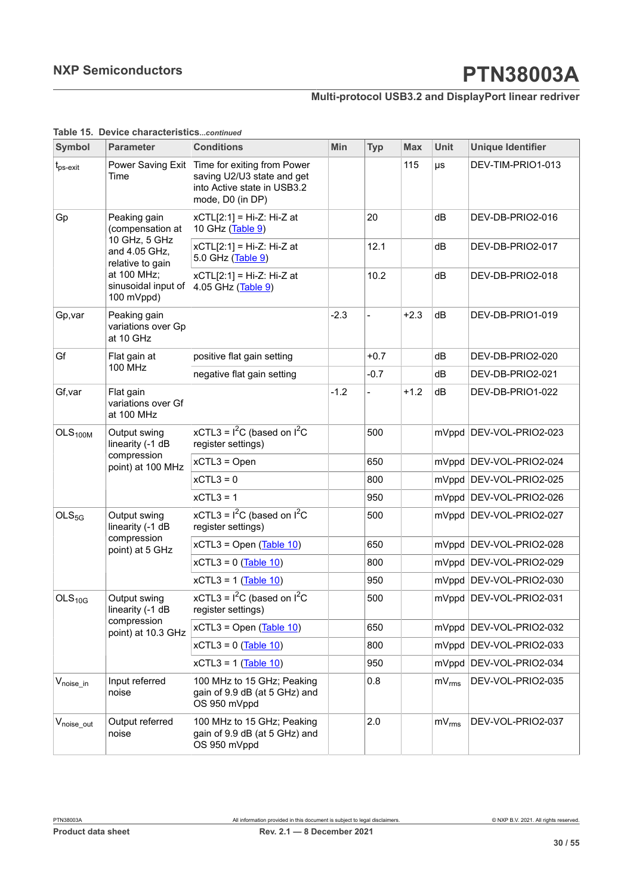### **Multi-protocol USB3.2 and DisplayPort linear redriver**

| Symbol                  | <b>Parameter</b>                                                     | <b>Conditions</b>                                                                                            | Min    | <b>Typ</b>               | <b>Max</b> | <b>Unit</b> | <b>Unique Identifier</b> |
|-------------------------|----------------------------------------------------------------------|--------------------------------------------------------------------------------------------------------------|--------|--------------------------|------------|-------------|--------------------------|
| t <sub>ps-exit</sub>    | Power Saving Exit<br>Time                                            | Time for exiting from Power<br>saving U2/U3 state and get<br>into Active state in USB3.2<br>mode, D0 (in DP) |        |                          | 115        | $\mu s$     | DEV-TIM-PRIO1-013        |
| Gp                      | Peaking gain<br>(compensation at                                     | xCTL[2:1] = Hi-Z: Hi-Z at<br>10 GHz (Table 9)                                                                |        | 20                       |            | dB          | DEV-DB-PRIO2-016         |
|                         | 10 GHz, 5 GHz<br>and 4.05 GHz,<br>relative to gain                   | $xCTL[2:1] = Hi-Z: Hi-Z$ at<br>5.0 GHz (Table 9)                                                             |        | 12.1                     |            | dB          | DEV-DB-PRIO2-017         |
|                         | at 100 MHz;<br>sinusoidal input of<br>100 mVppd)                     | xCTL[2:1] = Hi-Z: Hi-Z at<br>4.05 GHz (Table 9)                                                              |        | 10.2                     |            | dB          | DEV-DB-PRIO2-018         |
| Gp, var                 | Peaking gain<br>variations over Gp<br>at 10 GHz                      |                                                                                                              | $-2.3$ | $\overline{\phantom{a}}$ | $+2.3$     | dB          | DEV-DB-PRIO1-019         |
| Gf                      | Flat gain at                                                         | positive flat gain setting                                                                                   |        | $+0.7$                   |            | dB          | DEV-DB-PRIO2-020         |
|                         | <b>100 MHz</b>                                                       | negative flat gain setting                                                                                   |        | $-0.7$                   |            | dB          | DEV-DB-PRIO2-021         |
| Gf, var                 | Flat gain<br>variations over Gf<br>at 100 MHz                        |                                                                                                              | $-1.2$ | $\frac{1}{2}$            | $+1.2$     | dB          | DEV-DB-PRIO1-022         |
| OLS <sub>100M</sub>     | Output swing<br>linearity (-1 dB<br>compression<br>point) at 100 MHz | xCTL3 = $I^2C$ (based on $I^2C$<br>register settings)                                                        |        | 500                      |            |             | mVppd DEV-VOL-PRIO2-023  |
|                         |                                                                      | $xCTL3 = Open$                                                                                               |        | 650                      |            |             | mVppd DEV-VOL-PRIO2-024  |
|                         |                                                                      | $xCTL3 = 0$                                                                                                  |        | 800                      |            |             | mVppd DEV-VOL-PRIO2-025  |
|                         |                                                                      | $xCTL3 = 1$                                                                                                  |        | 950                      |            |             | mVppd DEV-VOL-PRIO2-026  |
| OLS <sub>5G</sub>       | Output swing<br>linearity (-1 dB                                     | xCTL3 = $I^2C$ (based on $I^2C$<br>register settings)                                                        |        | 500                      |            |             | mVppd DEV-VOL-PRIO2-027  |
|                         | compression<br>point) at 5 GHz                                       | $xCTL3 = Open (Table 10)$                                                                                    |        | 650                      |            |             | mVppd DEV-VOL-PRIO2-028  |
|                         |                                                                      | $xCTL3 = 0$ (Table 10)                                                                                       |        | 800                      |            |             | mVppd DEV-VOL-PRIO2-029  |
|                         |                                                                      | $xCTL3 = 1$ (Table 10)                                                                                       |        | 950                      |            |             | mVppd DEV-VOL-PRIO2-030  |
| OLS <sub>10G</sub>      | Output swing<br>linearity (-1 dB                                     | xCTL3 = $I^2C$ (based on $I^2C$<br>register settings)                                                        |        | 500                      |            |             | mVppd DEV-VOL-PRIO2-031  |
|                         | compression<br>point) at 10.3 GHz                                    | $xCTL3 = Open (Table 10)$                                                                                    |        | 650                      |            |             | mVppd DEV-VOL-PRIO2-032  |
|                         |                                                                      | $xCTL3 = 0$ (Table 10)                                                                                       |        | 800                      |            |             | mVppd DEV-VOL-PRIO2-033  |
|                         |                                                                      | $xCTL3 = 1$ (Table 10)                                                                                       |        | 950                      |            |             | mVppd DEV-VOL-PRIO2-034  |
| $V_{noise\_in}$         | Input referred<br>noise                                              | 100 MHz to 15 GHz; Peaking<br>gain of 9.9 dB (at 5 GHz) and<br>OS 950 mVppd                                  |        | 0.8                      |            | $mV_{rms}$  | DEV-VOL-PRIO2-035        |
| $V_{\text{noise\_out}}$ | Output referred<br>noise                                             | 100 MHz to 15 GHz; Peaking<br>gain of 9.9 dB (at 5 GHz) and<br>OS 950 mVppd                                  |        | 2.0                      |            | $mV_{rms}$  | DEV-VOL-PRIO2-037        |

#### **Table 15. Device characteristics***...continued*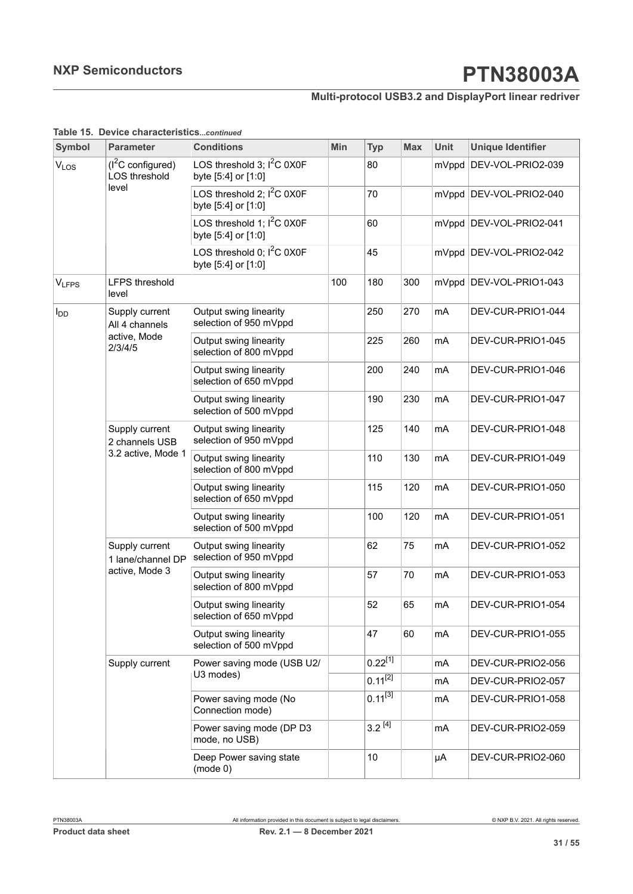### **Multi-protocol USB3.2 and DisplayPort linear redriver**

| Symbol                                 | <b>Parameter</b>                              | <b>Conditions</b>                                   | Min | <b>Typ</b>   | <b>Max</b> | <b>Unit</b> | <b>Unique Identifier</b> |
|----------------------------------------|-----------------------------------------------|-----------------------------------------------------|-----|--------------|------------|-------------|--------------------------|
| VLOS                                   | $(I^2C$ configured)<br>LOS threshold<br>level | LOS threshold 3; $I^2C$ 0X0F<br>byte [5:4] or [1:0] |     | 80           |            |             | mVppd DEV-VOL-PRIO2-039  |
|                                        |                                               | LOS threshold 2; $I^2C$ 0X0F<br>byte [5:4] or [1:0] |     | 70           |            |             | mVppd DEV-VOL-PRIO2-040  |
|                                        |                                               | LOS threshold 1; $I^2C$ 0X0F<br>byte [5:4] or [1:0] |     | 60           |            |             | mVppd DEV-VOL-PRIO2-041  |
| <b>VLFPS</b><br><b>I</b> <sub>DD</sub> |                                               | LOS threshold 0; $I^2C$ 0X0F<br>byte [5:4] or [1:0] |     | 45           |            |             | mVppd DEV-VOL-PRIO2-042  |
|                                        | <b>LFPS threshold</b><br>level                |                                                     | 100 | 180          | 300        |             | mVppd DEV-VOL-PRIO1-043  |
|                                        | Supply current<br>All 4 channels              | Output swing linearity<br>selection of 950 mVppd    |     | 250          | 270        | mA          | DEV-CUR-PRIO1-044        |
|                                        | active, Mode<br>2/3/4/5                       | Output swing linearity<br>selection of 800 mVppd    |     | 225          | 260        | mA          | DEV-CUR-PRIO1-045        |
|                                        |                                               | Output swing linearity<br>selection of 650 mVppd    |     | 200          | 240        | mA          | DEV-CUR-PRIO1-046        |
|                                        |                                               | Output swing linearity<br>selection of 500 mVppd    |     | 190          | 230        | mA          | DEV-CUR-PRIO1-047        |
|                                        | Supply current<br>2 channels USB              | Output swing linearity<br>selection of 950 mVppd    |     | 125          | 140        | mA          | DEV-CUR-PRIO1-048        |
|                                        | 3.2 active, Mode 1                            | Output swing linearity<br>selection of 800 mVppd    |     | 110          | 130        | mA          | DEV-CUR-PRIO1-049        |
|                                        |                                               | Output swing linearity<br>selection of 650 mVppd    |     | 115          | 120        | mA          | DEV-CUR-PRIO1-050        |
|                                        |                                               | Output swing linearity<br>selection of 500 mVppd    |     | 100          | 120        | mA          | DEV-CUR-PRIO1-051        |
|                                        | Supply current<br>1 lane/channel DP           | Output swing linearity<br>selection of 950 mVppd    |     | 62           | 75         | mA          | DEV-CUR-PRIO1-052        |
|                                        | active, Mode 3                                | Output swing linearity<br>selection of 800 mVppd    |     | 57           | 70         | mA          | DEV-CUR-PRIO1-053        |
|                                        |                                               | Output swing linearity<br>selection of 650 mVppd    |     | 52           | 65         | mA          | DEV-CUR-PRIO1-054        |
|                                        |                                               | Output swing linearity<br>selection of 500 mVppd    |     | 47           | 60         | mA          | DEV-CUR-PRIO1-055        |
|                                        | Supply current                                | Power saving mode (USB U2/                          |     | $0.22^{[1]}$ |            | mA          | DEV-CUR-PRIO2-056        |
|                                        |                                               | U3 modes)                                           |     | $0.11^{[2]}$ |            | mA          | DEV-CUR-PRIO2-057        |
|                                        |                                               | Power saving mode (No<br>Connection mode)           |     | $0.11^{[3]}$ |            | mA          | DEV-CUR-PRIO1-058        |
|                                        |                                               | Power saving mode (DP D3<br>mode, no USB)           |     | $3.2^{[4]}$  |            | mA          | DEV-CUR-PRIO2-059        |
|                                        |                                               | Deep Power saving state<br>(mod 0)                  |     | 10           |            | μA          | DEV-CUR-PRIO2-060        |

#### **Table 15. Device characteristics***...continued*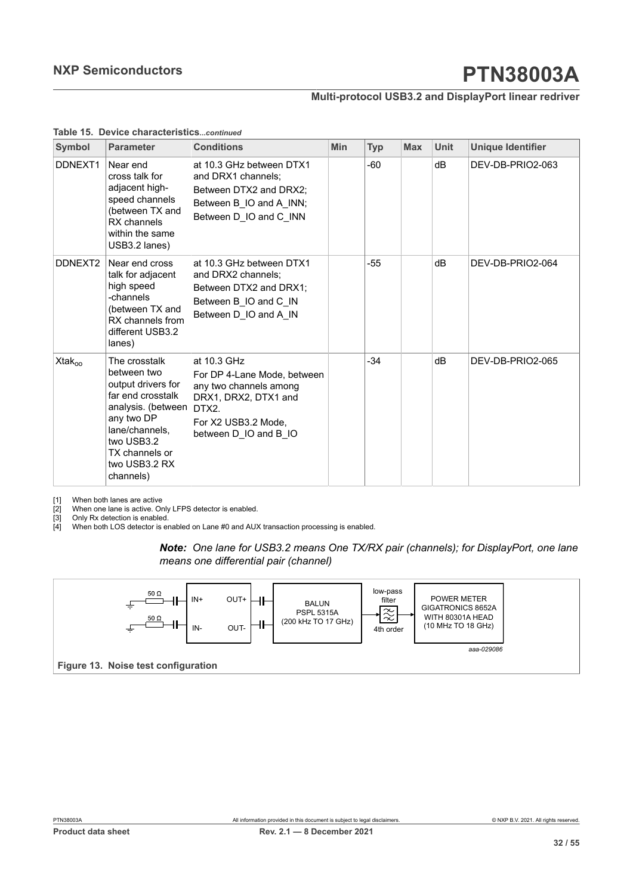#### **Multi-protocol USB3.2 and DisplayPort linear redriver**

<span id="page-31-3"></span><span id="page-31-2"></span><span id="page-31-1"></span>

| Symbol              | <b>Parameter</b>                                                                                                                                                                            | <b>Conditions</b>                                                                                                                                     | <b>Min</b> | <b>Typ</b> | <b>Max</b> | <b>Unit</b> | <b>Unique Identifier</b> |
|---------------------|---------------------------------------------------------------------------------------------------------------------------------------------------------------------------------------------|-------------------------------------------------------------------------------------------------------------------------------------------------------|------------|------------|------------|-------------|--------------------------|
| DDNEXT <sub>1</sub> | Near end<br>cross talk for<br>adjacent high-<br>speed channels<br>(between TX and<br>RX channels<br>within the same<br>USB3.2 lanes)                                                        | at 10.3 GHz between DTX1<br>and DRX1 channels;<br>Between DTX2 and DRX2;<br>Between B IO and A INN;<br>Between D IO and C INN                         |            | -60        |            | dB          | DEV-DB-PRIO2-063         |
| DDNEXT2             | Near end cross<br>talk for adjacent<br>high speed<br>-channels<br>(between TX and<br>RX channels from<br>different USB3.2<br>lanes)                                                         | at 10.3 GHz between DTX1<br>and DRX2 channels;<br>Between DTX2 and DRX1:<br>Between B_IO and C_IN<br>Between D_IO and A_IN                            |            | -55        |            | dB          | DEV-DB-PRIO2-064         |
| Xtak <sub>oo</sub>  | The crosstalk<br>between two<br>output drivers for<br>far end crosstalk<br>analysis. (between<br>any two DP<br>lane/channels.<br>two USB3.2<br>TX channels or<br>two USB3.2 RX<br>channels) | at 10.3 GHz<br>For DP 4-Lane Mode, between<br>any two channels among<br>DRX1, DRX2, DTX1 and<br>DTX2.<br>For X2 USB3.2 Mode.<br>between D IO and B IO |            | $-34$      |            | dB          | DEV-DB-PRIO2-065         |

#### <span id="page-31-0"></span>**Table 15. Device characteristics***...continued*

[1] When both lanes are active<br>[2] When one lane is active. Or<br>[3] Only Rx detection is enable

When one lane is active. Only LFPS detector is enabled.

[3] Only Rx detection is enabled.<br>[4] When both LOS detector is er

[4] When both LOS detector is enabled on Lane #0 and AUX transaction processing is enabled.

#### *Note: One lane for USB3.2 means One TX/RX pair (channels); for DisplayPort, one lane means one differential pair (channel)*

<span id="page-31-4"></span>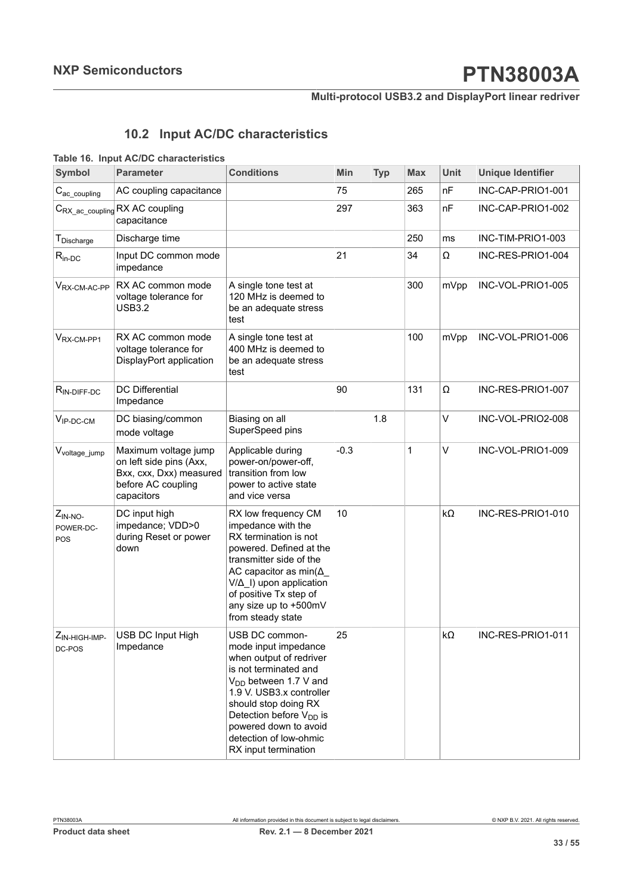### **Multi-protocol USB3.2 and DisplayPort linear redriver**

## <span id="page-32-1"></span><span id="page-32-0"></span>**10.2 Input AC/DC characteristics**

#### **Table 16. Input AC/DC characteristics**

| <b>Symbol</b>                   | <b>Parameter</b>                                                                                               | <b>Conditions</b>                                                                                                                                                                                                                                                                              | <b>Min</b> | <b>Typ</b> | <b>Max</b>   | Unit | <b>Unique Identifier</b> |
|---------------------------------|----------------------------------------------------------------------------------------------------------------|------------------------------------------------------------------------------------------------------------------------------------------------------------------------------------------------------------------------------------------------------------------------------------------------|------------|------------|--------------|------|--------------------------|
| $C_{\text{ac\_coupling}}$       | AC coupling capacitance                                                                                        |                                                                                                                                                                                                                                                                                                | 75         |            | 265          | nF   | INC-CAP-PRIO1-001        |
|                                 | C <sub>RX_ac_coupling</sub> RX AC coupling<br>capacitance                                                      |                                                                                                                                                                                                                                                                                                | 297        |            | 363          | nF   | INC-CAP-PRIO1-002        |
| T <sub>Discharge</sub>          | Discharge time                                                                                                 |                                                                                                                                                                                                                                                                                                |            |            | 250          | ms   | INC-TIM-PRIO1-003        |
| $R_{in-DC}$                     | Input DC common mode<br>impedance                                                                              |                                                                                                                                                                                                                                                                                                | 21         |            | 34           | Ω    | INC-RES-PRIO1-004        |
| $V_{\text{RX-CM-AC-PP}}$        | RX AC common mode<br>voltage tolerance for<br><b>USB3.2</b>                                                    | A single tone test at<br>120 MHz is deemed to<br>be an adequate stress<br>test                                                                                                                                                                                                                 |            |            | 300          | mVpp | INC-VOL-PRIO1-005        |
| V <sub>RX-CM-PP1</sub>          | RX AC common mode<br>voltage tolerance for<br>DisplayPort application                                          | A single tone test at<br>400 MHz is deemed to<br>be an adequate stress<br>test                                                                                                                                                                                                                 |            |            | 100          | mVpp | INC-VOL-PRIO1-006        |
| $R_{IN-DIFF-DC}$                | <b>DC</b> Differential<br>Impedance                                                                            |                                                                                                                                                                                                                                                                                                | 90         |            | 131          | Ω    | INC-RES-PRIO1-007        |
| $V_{IP-DC-CM}$                  | DC biasing/common<br>mode voltage                                                                              | Biasing on all<br>SuperSpeed pins                                                                                                                                                                                                                                                              |            | 1.8        |              | V    | INC-VOL-PRIO2-008        |
| V <sub>voltage</sub> _jump      | Maximum voltage jump<br>on left side pins (Axx,<br>Bxx, cxx, Dxx) measured<br>before AC coupling<br>capacitors | Applicable during<br>power-on/power-off,<br>transition from low<br>power to active state<br>and vice versa                                                                                                                                                                                     | $-0.3$     |            | $\mathbf{1}$ | V    | INC-VOL-PRIO1-009        |
| $Z_{IN-NO}$<br>POWER-DC-<br>POS | DC input high<br>impedance; VDD>0<br>during Reset or power<br>down                                             | RX low frequency CM<br>impedance with the<br>RX termination is not<br>powered. Defined at the<br>transmitter side of the<br>AC capacitor as $min(\Delta_$<br>V/Δ_I) upon application<br>of positive Tx step of<br>any size up to +500mV<br>from steady state                                   | 10         |            |              | kΩ   | INC-RES-PRIO1-010        |
| ZIN-HIGH-IMP-<br>DC-POS         | USB DC Input High<br>Impedance                                                                                 | USB DC common-<br>mode input impedance<br>when output of redriver<br>is not terminated and<br>V <sub>DD</sub> between 1.7 V and<br>1.9 V. USB3.x controller<br>should stop doing RX<br>Detection before $V_{DD}$ is<br>powered down to avoid<br>detection of low-ohmic<br>RX input termination | 25         |            |              | kΩ   | INC-RES-PRIO1-011        |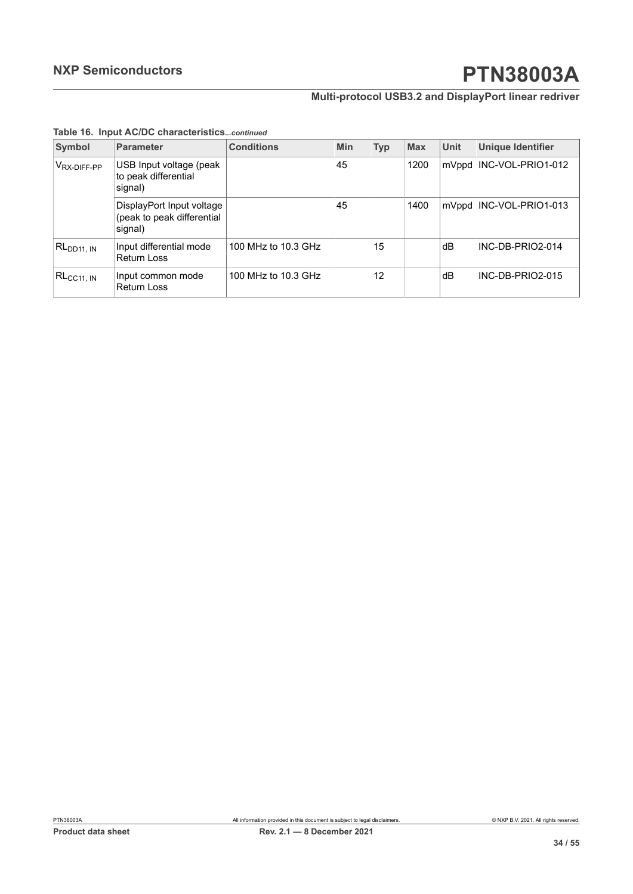### **Multi-protocol USB3.2 and DisplayPort linear redriver**

| Symbol                  | <b>Parameter</b>                                                   | <b>Conditions</b>   | <b>Min</b> | <b>Typ</b> | <b>Max</b> | <b>Unit</b> | <b>Unique Identifier</b>  |
|-------------------------|--------------------------------------------------------------------|---------------------|------------|------------|------------|-------------|---------------------------|
| V <sub>RX-DIFF-PP</sub> | USB Input voltage (peak<br>to peak differential<br>signal)         |                     | 45         |            | 1200       | mVppd       | INC-VOL-PRIO1-012         |
|                         | DisplayPort Input voltage<br>(peak to peak differential<br>signal) |                     | 45         |            | 1400       |             | mVppd   INC-VOL-PRIO1-013 |
| RL <sub>DD11, IN</sub>  | Input differential mode<br><b>Return Loss</b>                      | 100 MHz to 10.3 GHz |            | 15         |            | dВ          | INC-DB-PRIO2-014          |
| $RL_{\rm CC11, \, IN}$  | Input common mode<br><b>Return Loss</b>                            | 100 MHz to 10.3 GHz |            | 12         |            | dВ          | INC-DB-PRIO2-015          |

#### **Table 16. Input AC/DC characteristics***...continued*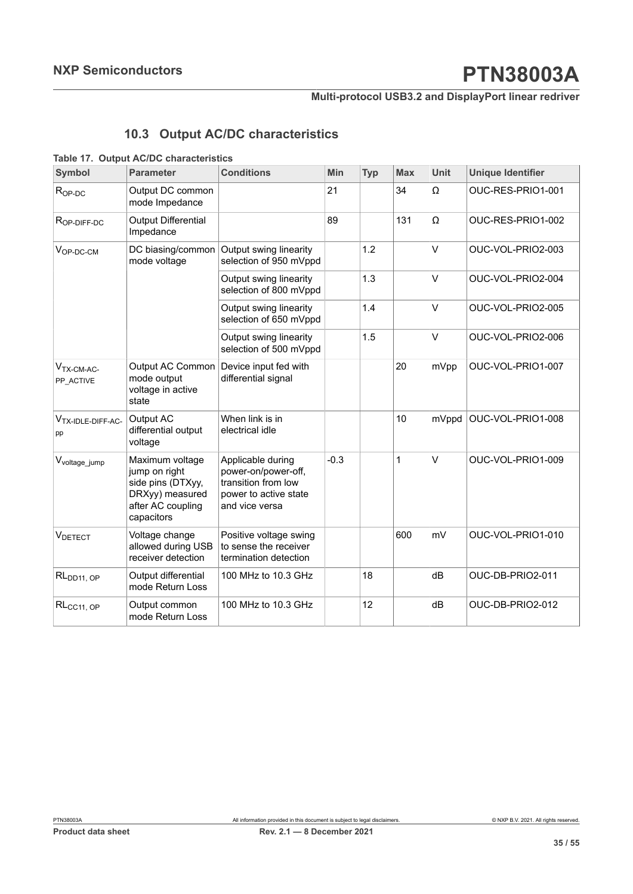**Multi-protocol USB3.2 and DisplayPort linear redriver**

## <span id="page-34-1"></span><span id="page-34-0"></span>**10.3 Output AC/DC characteristics**

#### **Table 17. Output AC/DC characteristics**

| Symbol                              | <b>Parameter</b>                                                                                            | <b>Conditions</b>                                                                                          | Min    | <b>Typ</b> | <b>Max</b> | Unit   | <b>Unique Identifier</b> |
|-------------------------------------|-------------------------------------------------------------------------------------------------------------|------------------------------------------------------------------------------------------------------------|--------|------------|------------|--------|--------------------------|
| $R_{OP-DC}$                         | Output DC common<br>mode Impedance                                                                          |                                                                                                            | 21     |            | 34         | Ω      | OUC-RES-PRIO1-001        |
| R <sub>OP-DIFF-DC</sub>             | <b>Output Differential</b><br>Impedance                                                                     |                                                                                                            | 89     |            | 131        | Ω      | OUC-RES-PRIO1-002        |
| $V_{OP-DC-CM}$                      | mode voltage                                                                                                | DC biasing/common Output swing linearity<br>selection of 950 mVppd                                         |        | 1.2        |            | V      | OUC-VOL-PRIO2-003        |
|                                     |                                                                                                             | Output swing linearity<br>selection of 800 mVppd                                                           |        | 1.3        |            | V      | OUC-VOL-PRIO2-004        |
|                                     |                                                                                                             | Output swing linearity<br>selection of 650 mVppd                                                           |        | 1.4        |            | $\vee$ | OUC-VOL-PRIO2-005        |
|                                     |                                                                                                             | Output swing linearity<br>selection of 500 mVppd                                                           |        | 1.5        |            | V      | OUC-VOL-PRIO2-006        |
| $VTX-CM-AC-$<br>PP_ACTIVE           | Output AC Common<br>mode output<br>voltage in active<br>state                                               | Device input fed with<br>differential signal                                                               |        |            | 20         | mVpp   | OUC-VOL-PRIO1-007        |
| V <sub>TX-IDLE-DIFF-AC-</sub><br>pp | Output AC<br>differential output<br>voltage                                                                 | When link is in<br>electrical idle                                                                         |        |            | 10         | mVppd  | OUC-VOL-PRIO1-008        |
| V <sub>voltage_jump</sub>           | Maximum voltage<br>jump on right<br>side pins (DTXyy,<br>DRXyy) measured<br>after AC coupling<br>capacitors | Applicable during<br>power-on/power-off,<br>transition from low<br>power to active state<br>and vice versa | $-0.3$ |            | 1          | V      | OUC-VOL-PRIO1-009        |
| VDETECT                             | Voltage change<br>allowed during USB<br>receiver detection                                                  | Positive voltage swing<br>to sense the receiver<br>termination detection                                   |        |            | 600        | mV     | OUC-VOL-PRIO1-010        |
| RL <sub>DD11, OP</sub>              | Output differential<br>mode Return Loss                                                                     | 100 MHz to 10.3 GHz                                                                                        |        | 18         |            | dB     | OUC-DB-PRIO2-011         |
| $RL_{CC11, OP}$                     | Output common<br>mode Return Loss                                                                           | 100 MHz to 10.3 GHz                                                                                        |        | 12         |            | dB     | OUC-DB-PRIO2-012         |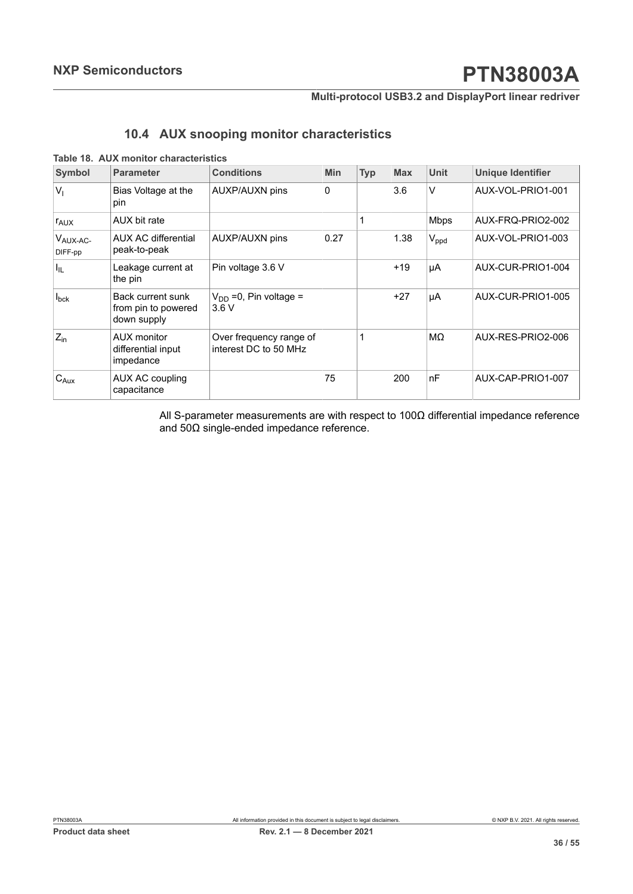#### **Multi-protocol USB3.2 and DisplayPort linear redriver**

### <span id="page-35-1"></span><span id="page-35-0"></span>**10.4 AUX snooping monitor characteristics**

#### **Table 18. AUX monitor characteristics**

| <b>Symbol</b>           | <b>Parameter</b>                                        | <b>Conditions</b>                                | <b>Min</b> | <b>Typ</b> | <b>Max</b> | Unit        | <b>Unique Identifier</b> |
|-------------------------|---------------------------------------------------------|--------------------------------------------------|------------|------------|------------|-------------|--------------------------|
| $V_{1}$                 | Bias Voltage at the<br>pin                              | <b>AUXP/AUXN pins</b>                            | 0          |            | 3.6        | V           | AUX-VOL-PRIO1-001        |
| <b>TAUX</b>             | AUX bit rate                                            |                                                  |            |            |            | <b>Mbps</b> | AUX-FRQ-PRIO2-002        |
| $V_{AUX-AC}$<br>DIFF-pp | <b>AUX AC differential</b><br>peak-to-peak              | <b>AUXP/AUXN pins</b>                            | 0.27       |            | 1.38       | $V_{ppd}$   | AUX-VOL-PRIO1-003        |
| Ι'n                     | Leakage current at<br>the pin                           | Pin voltage 3.6 V                                |            |            | $+19$      | μA          | AUX-CUR-PRIO1-004        |
| $I_{\text{bck}}$        | Back current sunk<br>from pin to powered<br>down supply | $V_{DD}$ =0, Pin voltage =<br>3.6V               |            |            | $+27$      | μA          | AUX-CUR-PRIO1-005        |
| $Z_{\text{in}}$         | AUX monitor<br>differential input<br>impedance          | Over frequency range of<br>interest DC to 50 MHz |            |            |            | MΩ          | AUX-RES-PRIO2-006        |
| $C_{Aux}$               | AUX AC coupling<br>capacitance                          |                                                  | 75         |            | 200        | nF          | AUX-CAP-PRIO1-007        |

All S-parameter measurements are with respect to 100Ω differential impedance reference and 50Ω single-ended impedance reference.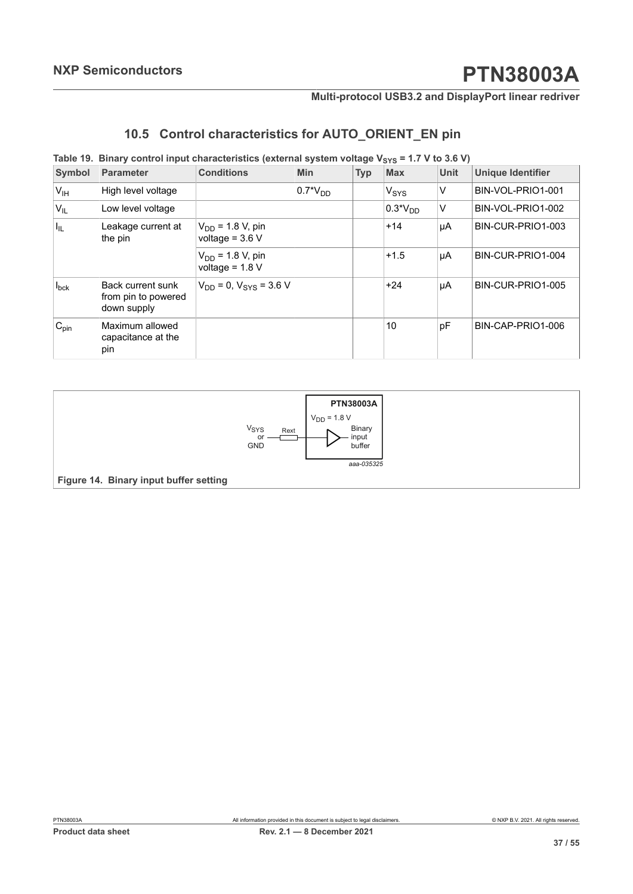## <span id="page-36-2"></span><span id="page-36-0"></span>**10.5 Control characteristics for AUTO\_ORIENT\_EN pin**

#### **Table** 19. Binary control input characteristics (external system voltage  $V_{SYS} = 1.7 V$  to 3.6 V)

| Symbol           | Parameter                                               | <b>Conditions</b>                          | <b>Min</b> | <b>Typ</b> | <b>Max</b>       | <b>Unit</b> | <b>Unique Identifier</b> |
|------------------|---------------------------------------------------------|--------------------------------------------|------------|------------|------------------|-------------|--------------------------|
| V <sub>IH</sub>  | High level voltage                                      |                                            | $0.7*VDD$  |            | V <sub>SYS</sub> | v           | BIN-VOL-PRIO1-001        |
| $V_{IL}$         | Low level voltage                                       |                                            |            |            | $0.3*VDD$        | V           | BIN-VOL-PRIO1-002        |
| $ I_{\rm IL} $   | Leakage current at<br>the pin                           | $V_{DD}$ = 1.8 V, pin<br>voltage = $3.6 V$ |            |            | $+14$            | μA          | BIN-CUR-PRIO1-003        |
|                  |                                                         | $V_{DD}$ = 1.8 V, pin<br>voltage = $1.8 V$ |            |            | $+1.5$           | μA          | BIN-CUR-PRIO1-004        |
| $I_{\text{bck}}$ | Back current sunk<br>from pin to powered<br>down supply | $V_{DD} = 0$ , $V_{SYS} = 3.6$ V           |            |            | $+24$            | μA          | BIN-CUR-PRIO1-005        |
| $C_{pin}$        | Maximum allowed<br>capacitance at the<br>pin            |                                            |            |            | 10               | pF          | BIN-CAP-PRIO1-006        |

<span id="page-36-1"></span>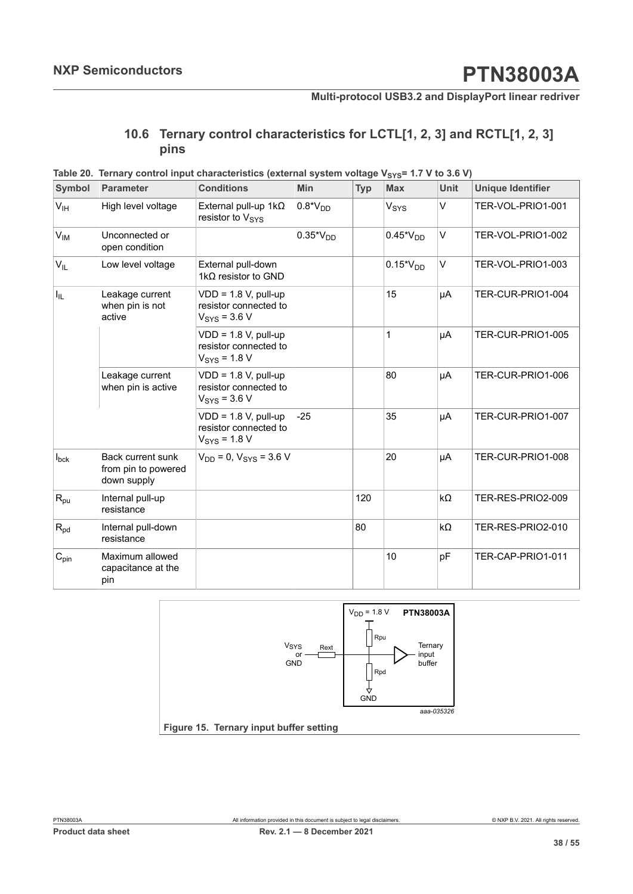## <span id="page-37-2"></span><span id="page-37-0"></span>**10.6 Ternary control characteristics for LCTL[1, 2, 3] and RCTL[1, 2, 3] pins**

| <b>Symbol</b>    | <b>Parameter</b>                                               | <b>Conditions</b>                                                            | Min           | <b>Typ</b> | <b>Max</b>       | <b>Unit</b> | <b>Unique Identifier</b> |
|------------------|----------------------------------------------------------------|------------------------------------------------------------------------------|---------------|------------|------------------|-------------|--------------------------|
| V <sub>IH</sub>  | High level voltage                                             | External pull-up $1k\Omega$<br>resistor to V <sub>SYS</sub>                  | $0.8*VDD$     |            | $V_{\text{SYS}}$ | $\vee$      | TER-VOL-PRIO1-001        |
| $V_{IM}$         | Unconnected or<br>open condition                               |                                                                              | $0.35*V_{DD}$ |            | $0.45*V_{DD}$    | $\vee$      | TER-VOL-PRIO1-002        |
| $V_{IL}$         | Low level voltage                                              | External pull-down<br>1 $k\Omega$ resistor to GND                            |               |            | $0.15*V_{DD}$    | V           | TER-VOL-PRIO1-003        |
| $I_{IL}$         | Leakage current<br>when pin is not<br>active                   | $VDD = 1.8 V$ , pull-up<br>resistor connected to<br>$V_{\text{SYS}}$ = 3.6 V |               |            | 15               | μA          | TER-CUR-PRIO1-004        |
|                  |                                                                | $VDD = 1.8 V$ , pull-up<br>resistor connected to<br>$V_{\text{SYS}}$ = 1.8 V |               |            | 1                | μA          | TER-CUR-PRIO1-005        |
|                  | Leakage current<br>when pin is active                          | $VDD = 1.8 V$ , pull-up<br>resistor connected to<br>$V_{\text{SYS}}$ = 3.6 V |               |            | 80               | μA          | TER-CUR-PRIO1-006        |
|                  |                                                                | $VDD = 1.8 V$ , pull-up<br>resistor connected to<br>$V_{SYS} = 1.8 V$        | $-25$         |            | 35               | μA          | TER-CUR-PRIO1-007        |
| $I_{\text{bck}}$ | <b>Back current sunk</b><br>from pin to powered<br>down supply | $V_{DD} = 0$ , $V_{SYS} = 3.6$ V                                             |               |            | 20               | μA          | TER-CUR-PRIO1-008        |
| $R_{pu}$         | Internal pull-up<br>resistance                                 |                                                                              |               | 120        |                  | $k\Omega$   | TER-RES-PRIO2-009        |
| $R_{pd}$         | Internal pull-down<br>resistance                               |                                                                              |               | 80         |                  | $k\Omega$   | TER-RES-PRIO2-010        |
| $C_{pin}$        | Maximum allowed<br>capacitance at the<br>pin                   |                                                                              |               |            | 10               | pF          | TER-CAP-PRIO1-011        |



<span id="page-37-1"></span>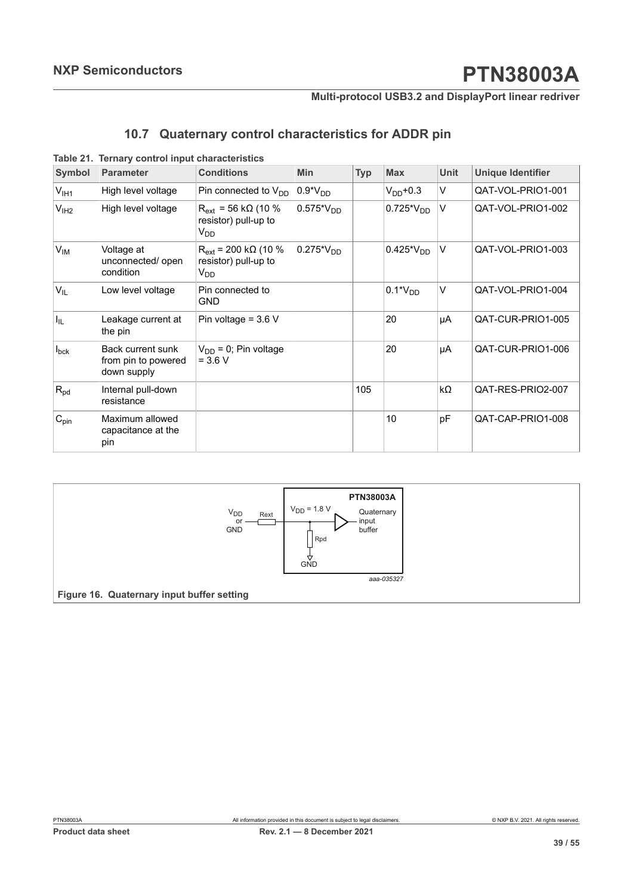### <span id="page-38-2"></span><span id="page-38-0"></span>**10.7 Quaternary control characteristics for ADDR pin**

| <b>Symbol</b>    | <b>Parameter</b>                                        | <b>Conditions</b>                                                           | <b>Min</b>     | <b>Typ</b> | <b>Max</b>     | Unit      | Unique Identifier |
|------------------|---------------------------------------------------------|-----------------------------------------------------------------------------|----------------|------------|----------------|-----------|-------------------|
| $V_{\sf IH1}$    | High level voltage                                      | Pin connected to $V_{DD}$                                                   | $0.9*VDD$      |            | $V_{DD}$ +0.3  | $\vee$    | QAT-VOL-PRIO1-001 |
| V <sub>IH2</sub> | High level voltage                                      | $R_{ext}$ = 56 kΩ (10 %<br>resistor) pull-up to<br>V <sub>DD</sub>          | $0.575*V_{DD}$ |            | $0.725*V_{DD}$ | $\vee$    | QAT-VOL-PRIO1-002 |
| $V_{IM}$         | Voltage at<br>unconnected/ open<br>condition            | $R_{ext}$ = 200 k $\Omega$ (10 %<br>resistor) pull-up to<br>V <sub>DD</sub> | $0.275*V_{DD}$ |            | $0.425*V_{DD}$ | V         | QAT-VOL-PRIO1-003 |
| V <sub>IL</sub>  | Low level voltage                                       | Pin connected to<br><b>GND</b>                                              |                |            | $0.1*VDD$      | $\vee$    | QAT-VOL-PRIO1-004 |
| I <sub>IL</sub>  | Leakage current at<br>the pin                           | Pin voltage = $3.6$ V                                                       |                |            | 20             | μA        | QAT-CUR-PRIO1-005 |
| $I_{\text{bck}}$ | Back current sunk<br>from pin to powered<br>down supply | $V_{DD} = 0$ ; Pin voltage<br>$= 3.6 V$                                     |                |            | 20             | μA        | QAT-CUR-PRIO1-006 |
| $R_{pd}$         | Internal pull-down<br>resistance                        |                                                                             |                | 105        |                | $k\Omega$ | QAT-RES-PRIO2-007 |
| $C_{pin}$        | Maximum allowed<br>capacitance at the<br>pin            |                                                                             |                |            | 10             | pF        | QAT-CAP-PRIO1-008 |

**Table 21. Ternary control input characteristics**

<span id="page-38-1"></span>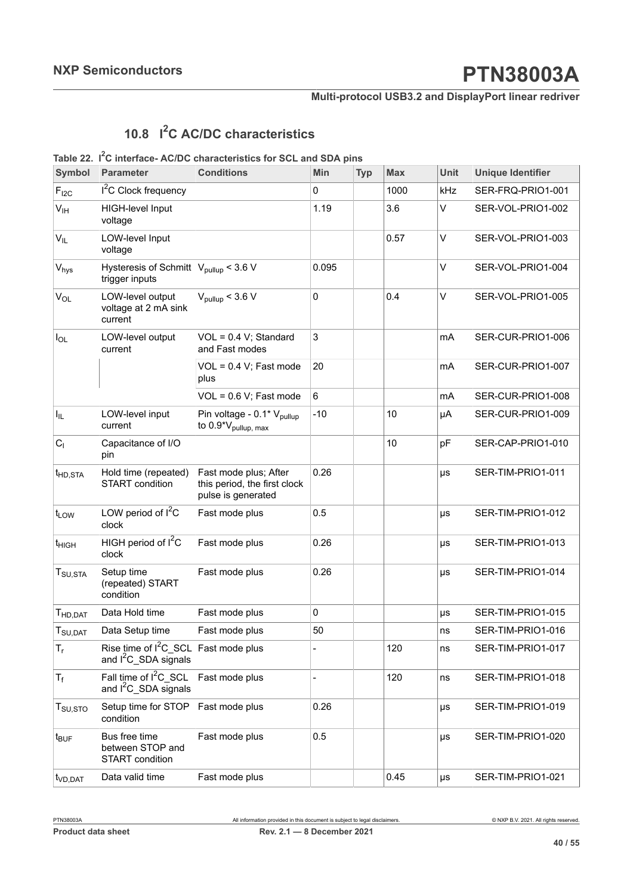### **Multi-protocol USB3.2 and DisplayPort linear redriver**

## <span id="page-39-1"></span><span id="page-39-0"></span>**10.8 I <sup>2</sup>C AC/DC characteristics**

#### **Table 22. I <sup>2</sup>C interface- AC/DC characteristics for SCL and SDA pins**

| <b>Symbol</b>                   | <b>Parameter</b>                                                      | <b>Conditions</b>                                                           | Min            | <b>Typ</b> | <b>Max</b> | <b>Unit</b> | <b>Unique Identifier</b> |
|---------------------------------|-----------------------------------------------------------------------|-----------------------------------------------------------------------------|----------------|------------|------------|-------------|--------------------------|
| $F_{12C}$                       | <sup>2</sup> C Clock frequency                                        |                                                                             | 0              |            | 1000       | kHz         | SER-FRQ-PRIO1-001        |
| $V_{\text{IH}}$                 | <b>HIGH-level Input</b><br>voltage                                    |                                                                             | 1.19           |            | 3.6        | $\vee$      | SER-VOL-PRIO1-002        |
| $V_{IL}$                        | LOW-level Input<br>voltage                                            |                                                                             |                |            | 0.57       | $\vee$      | SER-VOL-PRIO1-003        |
| $\rm V_{\rm hys}$               | Hysteresis of Schmitt $ V_{\text{pullup}}  < 3.6$ V<br>trigger inputs |                                                                             | 0.095          |            |            | $\vee$      | SER-VOL-PRIO1-004        |
| $V_{OL}$                        | LOW-level output<br>voltage at 2 mA sink<br>current                   | $V_{\text{pullup}}$ < 3.6 V                                                 | $\mathbf 0$    |            | 0.4        | $\vee$      | SER-VOL-PRIO1-005        |
| $I_{OL}$                        | LOW-level output<br>current                                           | $VOL = 0.4 V$ ; Standard<br>and Fast modes                                  | 3              |            |            | mA          | SER-CUR-PRIO1-006        |
|                                 |                                                                       | $VOL = 0.4 V$ ; Fast mode<br>plus                                           | 20             |            |            | mA          | SER-CUR-PRIO1-007        |
|                                 |                                                                       | $VOL = 0.6 V$ ; Fast mode                                                   | $6\phantom{1}$ |            |            | mA          | SER-CUR-PRIO1-008        |
| $I_{IL}$                        | LOW-level input<br>current                                            | Pin voltage - 0.1* V <sub>pullup</sub><br>to 0.9*V <sub>pullup, max</sub>   | $-10$          |            | 10         | μA          | SER-CUR-PRIO1-009        |
| C <sub>1</sub>                  | Capacitance of I/O<br>pin                                             |                                                                             |                |            | 10         | pF          | SER-CAP-PRIO1-010        |
| t <sub>HD,STA</sub>             | Hold time (repeated)<br><b>START</b> condition                        | Fast mode plus; After<br>this period, the first clock<br>pulse is generated | 0.26           |            |            | μs          | SER-TIM-PRIO1-011        |
| t <sub>LOW</sub>                | LOW period of $I^2C$<br>clock                                         | Fast mode plus                                                              | 0.5            |            |            | $\mu s$     | SER-TIM-PRIO1-012        |
| t <sub>HIGH</sub>               | HIGH period of I <sup>2</sup> C<br>clock                              | Fast mode plus                                                              | 0.26           |            |            | μs          | SER-TIM-PRIO1-013        |
| $T_{\text{SU,STA}}$             | Setup time<br>(repeated) START<br>condition                           | Fast mode plus                                                              | 0.26           |            |            | μs          | SER-TIM-PRIO1-014        |
| T <sub>HD,DAT</sub>             | Data Hold time                                                        | Fast mode plus                                                              | $\mathbf 0$    |            |            | $\mu s$     | SER-TIM-PRIO1-015        |
| $T_{\text{SU,DAT}}$             | Data Setup time                                                       | Fast mode plus                                                              | 50             |            |            | ns          | SER-TIM-PRIO1-016        |
| $T_{\rm r}$                     | Rise time of I <sup>2</sup> C SCL<br>and $I^2C$ SDA signals           | Fast mode plus                                                              |                |            | 120        | ns          | SER-TIM-PRIO1-017        |
| $T_f$                           | Fall time of I <sup>2</sup> C SCL<br>and $I^2C$ SDA signals           | Fast mode plus                                                              |                |            | 120        | ns          | SER-TIM-PRIO1-018        |
| $T_{\scriptstyle\text{SU,STO}}$ | Setup time for STOP<br>condition                                      | Fast mode plus                                                              | 0.26           |            |            | μs          | SER-TIM-PRIO1-019        |
| $t_{\text{BUF}}$                | Bus free time<br>between STOP and<br><b>START</b> condition           | Fast mode plus                                                              | 0.5            |            |            | μs          | SER-TIM-PRIO1-020        |
| t <sub>VD,DAT</sub>             | Data valid time                                                       | Fast mode plus                                                              |                |            | 0.45       | $\mu s$     | SER-TIM-PRIO1-021        |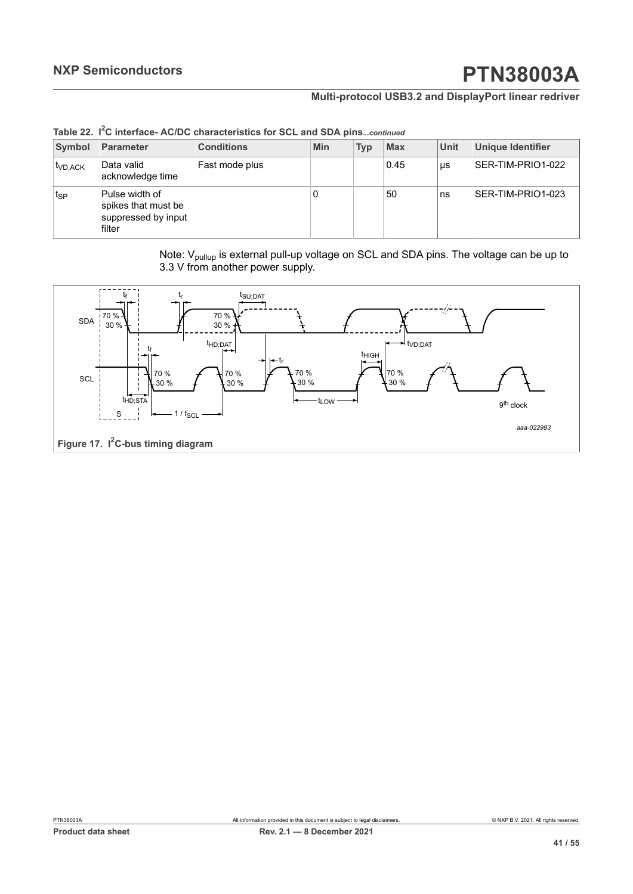### **Multi-protocol USB3.2 and DisplayPort linear redriver**

| Symbol              | Parameter                                                              | <b>Conditions</b> | <b>Min</b> | <b>Typ</b> | <b>Max</b> | <b>Unit</b> | <b>Unique Identifier</b> |
|---------------------|------------------------------------------------------------------------|-------------------|------------|------------|------------|-------------|--------------------------|
| <sup>t</sup> VD.ACK | Data valid<br>acknowledge time                                         | Fast mode plus    |            |            | 0.45       | μs          | SER-TIM-PRIO1-022        |
| t <sub>SP</sub>     | Pulse width of<br>spikes that must be<br>suppressed by input<br>filter |                   | U          |            | 50         | ns          | SER-TIM-PRIO1-023        |

**Table 22. I <sup>2</sup>C interface- AC/DC characteristics for SCL and SDA pins***...continued*

Note: V<sub>pullup</sub> is external pull-up voltage on SCL and SDA pins. The voltage can be up to 3.3 V from another power supply.

<span id="page-40-0"></span>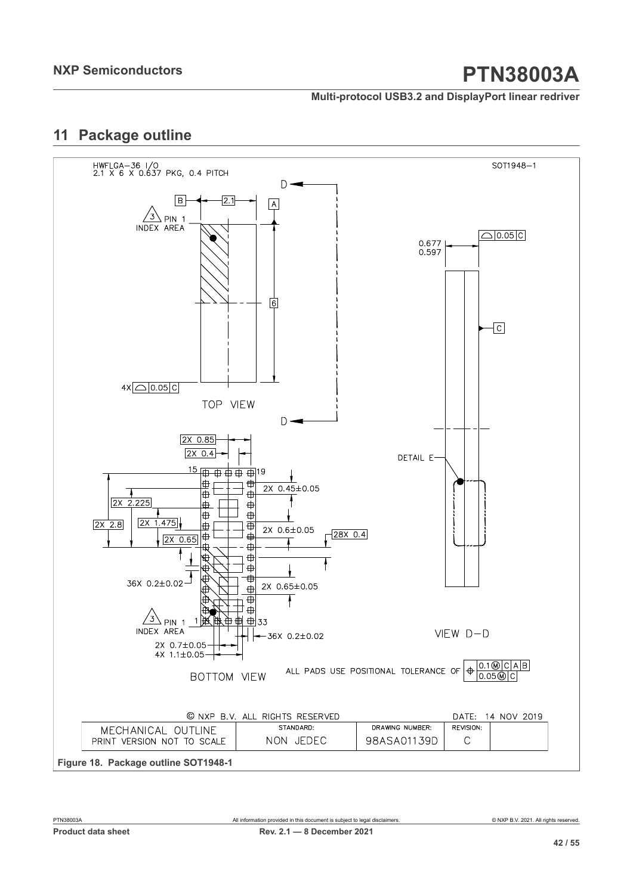**Multi-protocol USB3.2 and DisplayPort linear redriver**

## <span id="page-41-1"></span>**11 Package outline**

<span id="page-41-0"></span>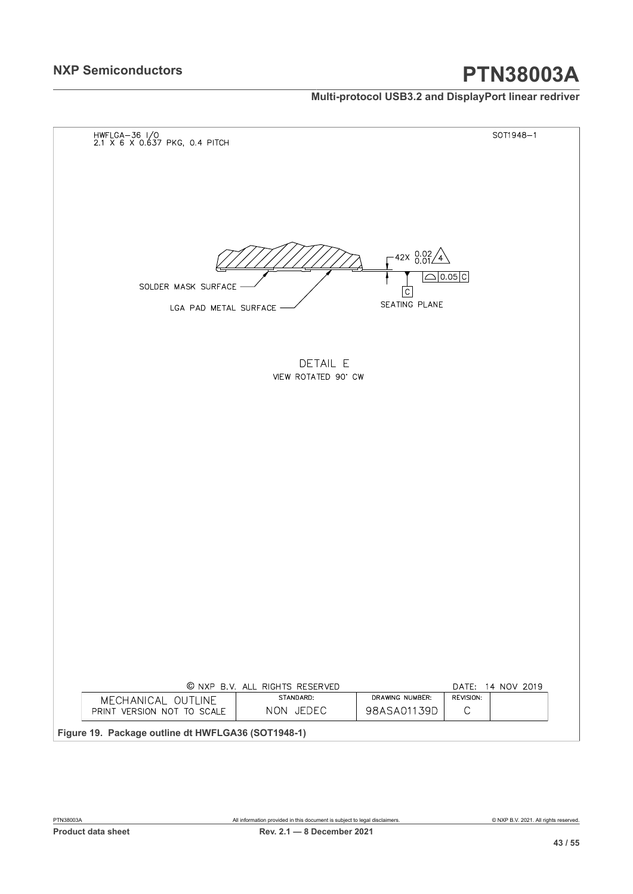### **Multi-protocol USB3.2 and DisplayPort linear redriver**

<span id="page-42-0"></span>

| HWFLGA-36 I/O<br>2.1 X 6 X 0.637 PKG, 0.4 PITCH                            |                                                            | SOT1948-1         |
|----------------------------------------------------------------------------|------------------------------------------------------------|-------------------|
|                                                                            |                                                            |                   |
|                                                                            |                                                            |                   |
|                                                                            |                                                            |                   |
|                                                                            |                                                            |                   |
|                                                                            |                                                            |                   |
|                                                                            | $-42x$ $0.02/4$                                            |                   |
| SOLDER MASK SURFACE                                                        | $\Box$ 0.05 $c$                                            |                   |
|                                                                            | $\overline{C}$<br>SEATING PLANE                            |                   |
| LGA PAD METAL SURFACE                                                      |                                                            |                   |
|                                                                            |                                                            |                   |
| DETAIL E                                                                   |                                                            |                   |
| VIEW ROTATED 90' CW                                                        |                                                            |                   |
|                                                                            |                                                            |                   |
|                                                                            |                                                            |                   |
|                                                                            |                                                            |                   |
|                                                                            |                                                            |                   |
|                                                                            |                                                            |                   |
|                                                                            |                                                            |                   |
|                                                                            |                                                            |                   |
|                                                                            |                                                            |                   |
|                                                                            |                                                            |                   |
|                                                                            |                                                            |                   |
|                                                                            |                                                            |                   |
|                                                                            |                                                            |                   |
|                                                                            |                                                            |                   |
|                                                                            |                                                            |                   |
|                                                                            |                                                            |                   |
| © NXP B.V. ALL RIGHTS RESERVED                                             |                                                            | DATE: 14 NOV 2019 |
| STANDARD:<br>MECHANICAL OUTLINE<br>NON JEDEC<br>PRINT VERSION NOT TO SCALE | DRAWING NUMBER:<br>REVISION:<br>98ASA01139D<br>$\mathsf C$ |                   |
|                                                                            |                                                            |                   |

PTN38003A All information provided in this document is subject to legal disclaimers. © NXP B.V. 2021. All rights reserved.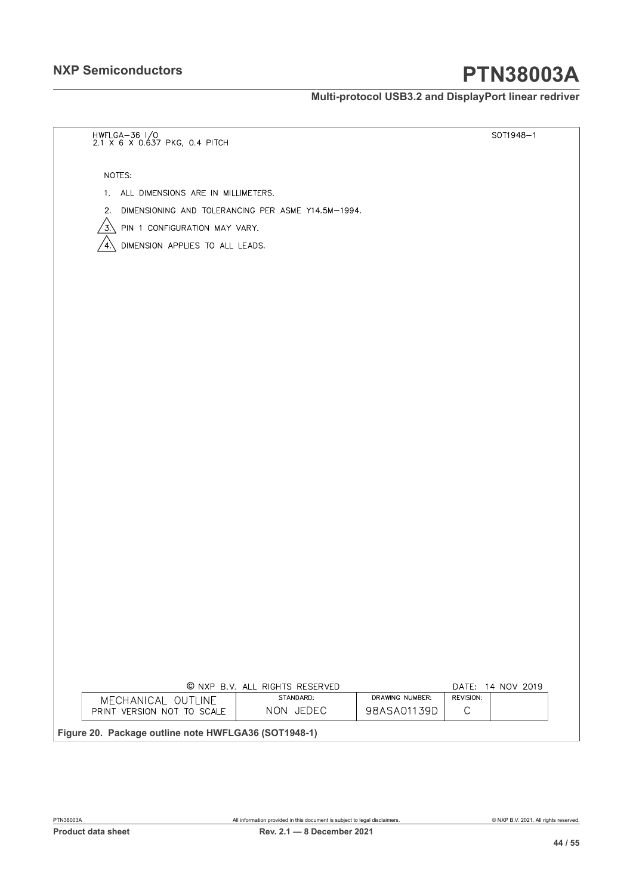**Multi-protocol USB3.2 and DisplayPort linear redriver**

<span id="page-43-0"></span>

| HWFLGA-36 I/O<br>2.1 X 6 X 0.637 PKG, 0.4 PITCH          |                                             |                 |             | SOT1948-1         |
|----------------------------------------------------------|---------------------------------------------|-----------------|-------------|-------------------|
|                                                          |                                             |                 |             |                   |
| NOTES:                                                   |                                             |                 |             |                   |
| 1. ALL DIMENSIONS ARE IN MILLIMETERS.                    |                                             |                 |             |                   |
| DIMENSIONING AND TOLERANCING PER ASME Y14.5M-1994.<br>2. |                                             |                 |             |                   |
| ′3.<br>PIN 1 CONFIGURATION MAY VARY.                     |                                             |                 |             |                   |
| DIMENSION APPLIES TO ALL LEADS.<br>4.                    |                                             |                 |             |                   |
|                                                          |                                             |                 |             |                   |
|                                                          |                                             |                 |             |                   |
|                                                          |                                             |                 |             |                   |
|                                                          |                                             |                 |             |                   |
|                                                          |                                             |                 |             |                   |
|                                                          |                                             |                 |             |                   |
|                                                          |                                             |                 |             |                   |
|                                                          |                                             |                 |             |                   |
|                                                          |                                             |                 |             |                   |
|                                                          |                                             |                 |             |                   |
|                                                          |                                             |                 |             |                   |
|                                                          |                                             |                 |             |                   |
|                                                          |                                             |                 |             |                   |
|                                                          |                                             |                 |             |                   |
|                                                          |                                             |                 |             |                   |
|                                                          |                                             |                 |             |                   |
|                                                          |                                             |                 |             |                   |
|                                                          |                                             |                 |             |                   |
|                                                          |                                             |                 |             |                   |
|                                                          |                                             |                 |             |                   |
|                                                          |                                             |                 |             |                   |
|                                                          |                                             |                 |             |                   |
|                                                          |                                             |                 |             |                   |
|                                                          |                                             |                 |             |                   |
|                                                          | © NXP B.V. ALL RIGHTS RESERVED<br>STANDARD: | DRAWING NUMBER: | REVISION:   | DATE: 14 NOV 2019 |
| MECHANICAL OUTLINE<br>PRINT VERSION NOT TO SCALE         | NON JEDEC                                   | 98ASA01139D     | $\mathsf C$ |                   |
| Figure 20. Package outline note HWFLGA36 (SOT1948-1)     |                                             |                 |             |                   |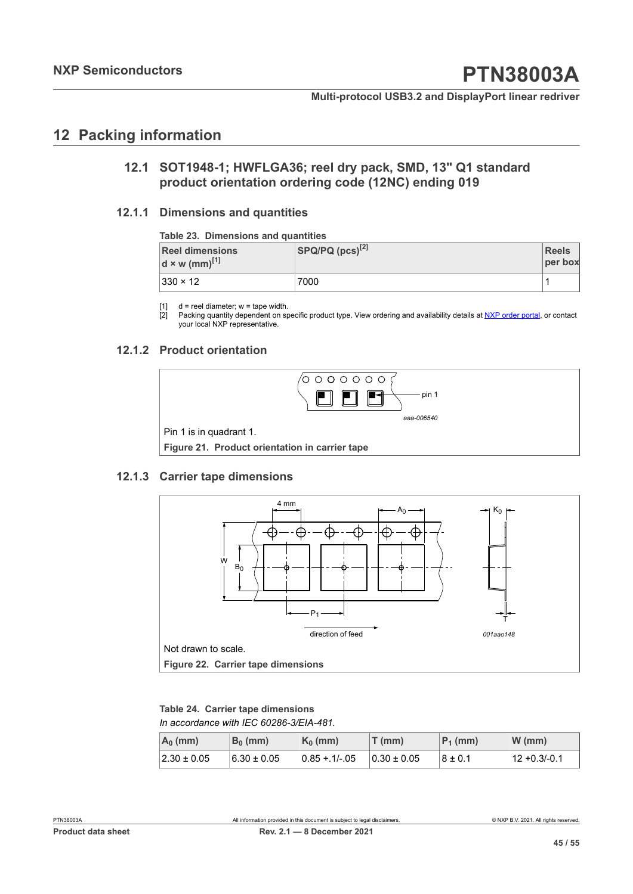## <span id="page-44-6"></span>**12 Packing information**

### <span id="page-44-7"></span><span id="page-44-1"></span><span id="page-44-0"></span>**12.1 SOT1948-1; HWFLGA36; reel dry pack, SMD, 13" Q1 standard product orientation ordering code (12NC) ending 019**

#### **12.1.1 Dimensions and quantities**

#### <span id="page-44-8"></span><span id="page-44-2"></span>**Table 23. Dimensions and quantities**

| <b>Reel dimensions</b><br>$d \times w$ (mm) <sup>[1]</sup> | $ $ SPQ/PQ $(pcs)^{[2]}$ | <b>Reels</b><br>per box |
|------------------------------------------------------------|--------------------------|-------------------------|
| $ 330 \times 12 $                                          | 7000                     |                         |

[1]  $d =$  reel diameter;  $w =$  tape width.<br>[2] Packing quantity dependent on sp

Packing quantity dependent on specific product type. View ordering and availability details at [NXP order portal](http://www.nxp.com/order-portal/), or contact your local NXP representative.

#### **12.1.2 Product orientation**

<span id="page-44-9"></span><span id="page-44-4"></span>

#### **12.1.3 Carrier tape dimensions**

<span id="page-44-10"></span><span id="page-44-5"></span>

<span id="page-44-3"></span>*In accordance with IEC 60286-3/EIA-481.* **Table 24. Carrier tape dimensions**

| $A_0$ (mm)      | $B_0$ (mm)      | $K_0$ (mm)     | $T$ (mm)        | $P_1$ (mm)  | W (mm)         |
|-----------------|-----------------|----------------|-----------------|-------------|----------------|
| $2.30 \pm 0.05$ | $6.30 \pm 0.05$ | $0.85 + 1/-05$ | $0.30 \pm 0.05$ | $8 \pm 0.1$ | l 12 +0.3/-0.1 |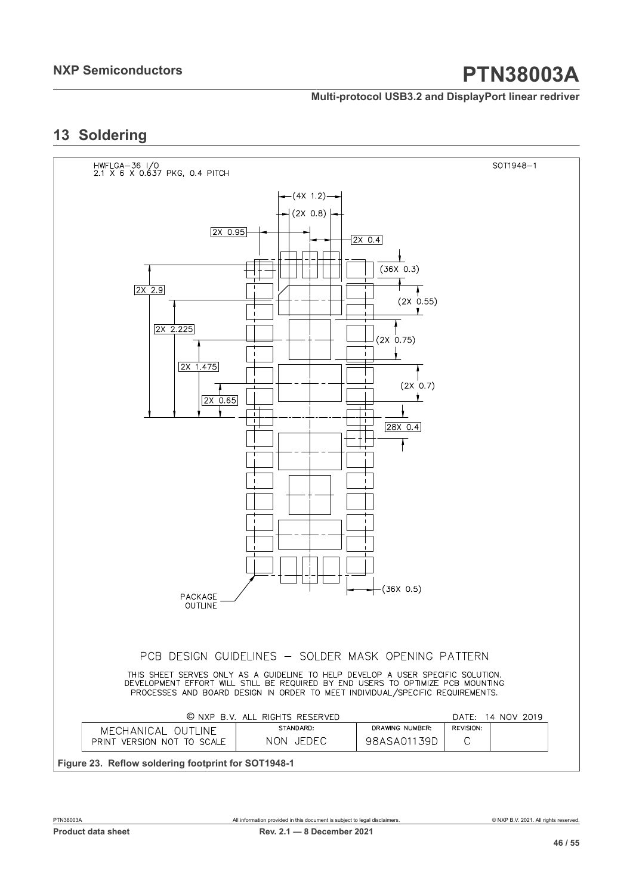#### **Multi-protocol USB3.2 and DisplayPort linear redriver**

## <span id="page-45-1"></span>**13 Soldering**

<span id="page-45-0"></span>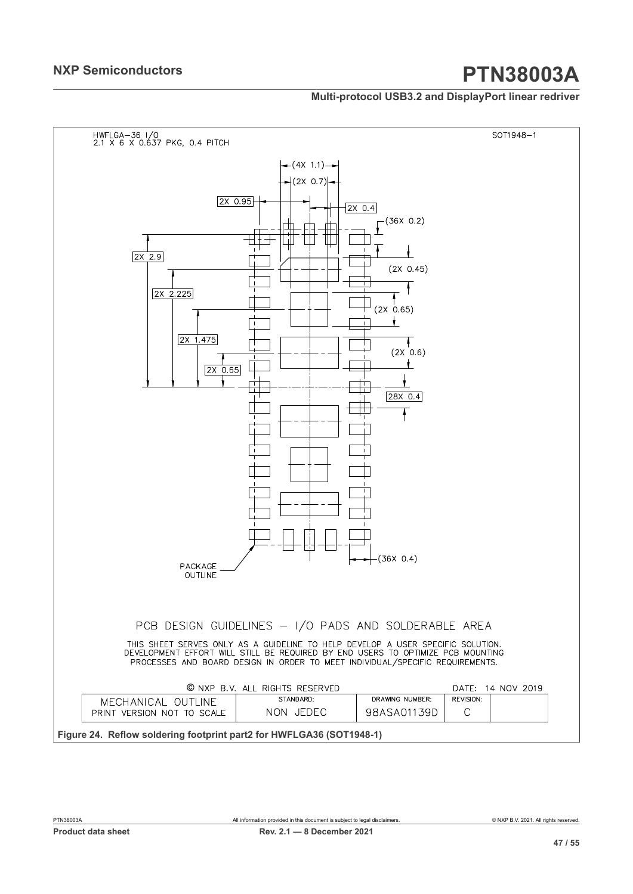#### **Multi-protocol USB3.2 and DisplayPort linear redriver**

<span id="page-46-0"></span>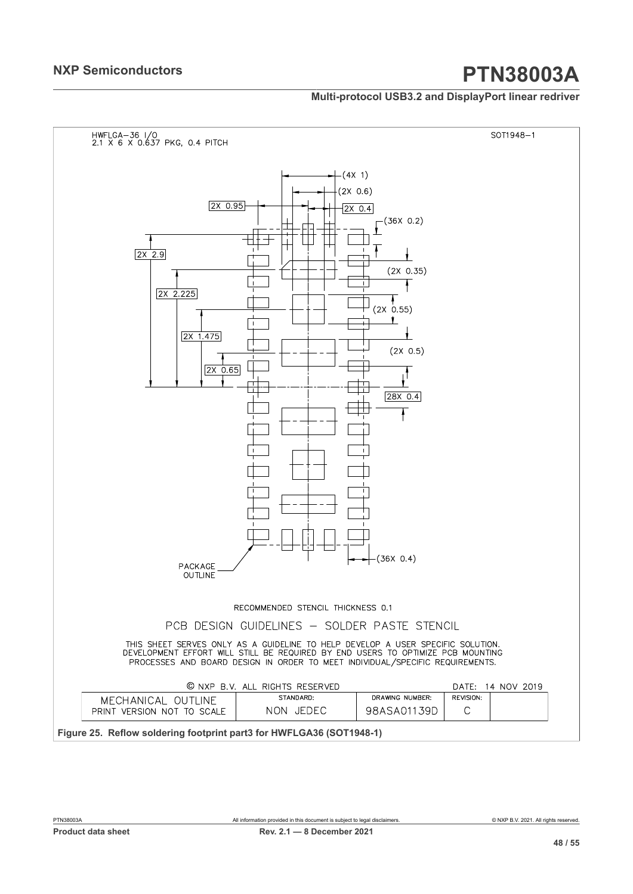#### **Multi-protocol USB3.2 and DisplayPort linear redriver**

<span id="page-47-0"></span>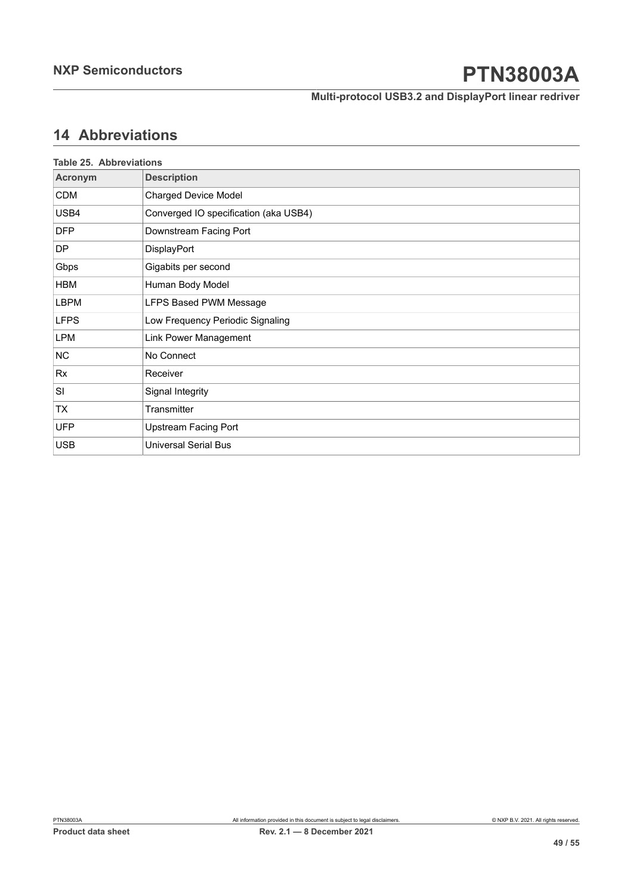**Multi-protocol USB3.2 and DisplayPort linear redriver**

## <span id="page-48-1"></span>**14 Abbreviations**

<span id="page-48-0"></span>

| <b>Table 25. Abbreviations</b> |                                       |
|--------------------------------|---------------------------------------|
| Acronym                        | <b>Description</b>                    |
| CDM                            | <b>Charged Device Model</b>           |
| USB4                           | Converged IO specification (aka USB4) |
| <b>DFP</b>                     | Downstream Facing Port                |
| DP.                            | DisplayPort                           |
| Gbps                           | Gigabits per second                   |
| HBM                            | Human Body Model                      |
| LBPM                           | LFPS Based PWM Message                |
| <b>LFPS</b>                    | Low Frequency Periodic Signaling      |
| LPM                            | Link Power Management                 |
| NC.                            | No Connect                            |
| Rx                             | Receiver                              |
| SI                             | Signal Integrity                      |
| TX                             | Transmitter                           |
| <b>UFP</b>                     | Upstream Facing Port                  |
| <b>USB</b>                     | <b>Universal Serial Bus</b>           |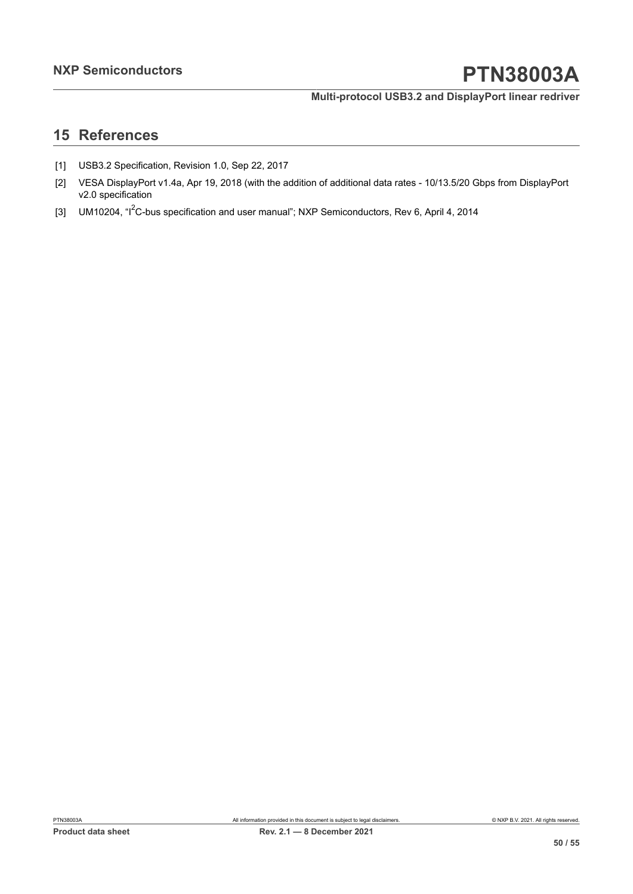#### **Multi-protocol USB3.2 and DisplayPort linear redriver**

## <span id="page-49-0"></span>**15 References**

- [1] USB3.2 Specification, Revision 1.0, Sep 22, 2017
- [2] VESA DisplayPort v1.4a, Apr 19, 2018 (with the addition of additional data rates 10/13.5/20 Gbps from DisplayPort v2.0 specification
- [3] UM10204, "I<sup>2</sup>C-bus specification and user manual"; NXP Semiconductors, Rev 6, April 4, 2014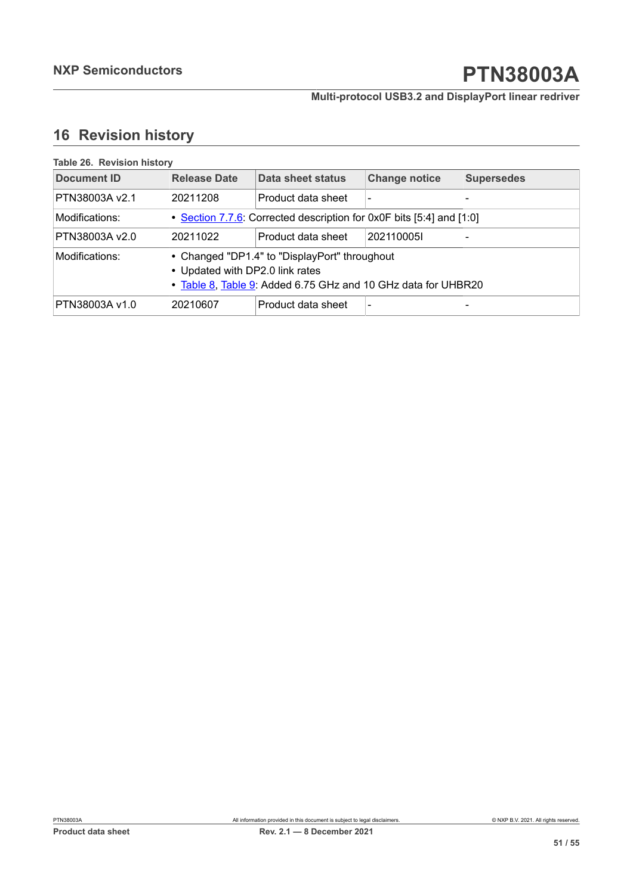### **Multi-protocol USB3.2 and DisplayPort linear redriver**

## <span id="page-50-1"></span>**16 Revision history**

<span id="page-50-0"></span>

| Table 26. Revision history |                                                                                                                                                   |                    |                          |                   |  |  |
|----------------------------|---------------------------------------------------------------------------------------------------------------------------------------------------|--------------------|--------------------------|-------------------|--|--|
| <b>Document ID</b>         | <b>Release Date</b>                                                                                                                               | Data sheet status  | <b>Change notice</b>     | <b>Supersedes</b> |  |  |
| PTN38003A v2.1             | 20211208                                                                                                                                          | Product data sheet |                          |                   |  |  |
| Modifications:             | • Section 7.7.6: Corrected description for 0x0F bits [5:4] and [1:0]                                                                              |                    |                          |                   |  |  |
| PTN38003A v2.0             | 20211022                                                                                                                                          | Product data sheet | 2021100051               |                   |  |  |
| Modifications:             | • Changed "DP1.4" to "DisplayPort" throughout<br>• Updated with DP2.0 link rates<br>• Table 8, Table 9: Added 6.75 GHz and 10 GHz data for UHBR20 |                    |                          |                   |  |  |
| PTN38003A v1.0             | 20210607                                                                                                                                          | Product data sheet | $\overline{\phantom{0}}$ |                   |  |  |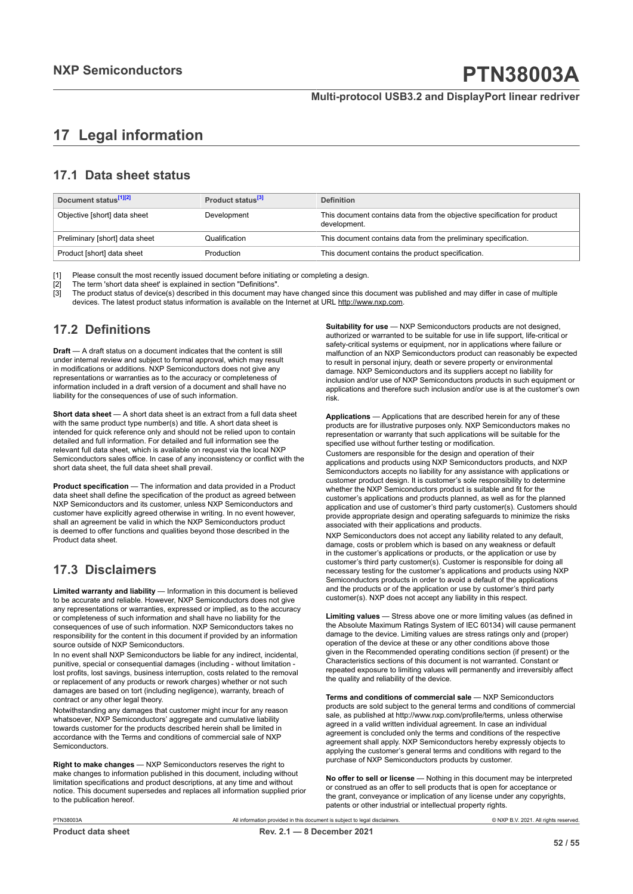## <span id="page-51-0"></span>**17 Legal information**

### **17.1 Data sheet status**

| Document status <sup>[1][2]</sup> | Product status <sup>[3]</sup> | <b>Definition</b>                                                                        |
|-----------------------------------|-------------------------------|------------------------------------------------------------------------------------------|
| Objective [short] data sheet      | Development                   | This document contains data from the objective specification for product<br>development. |
| Preliminary [short] data sheet    | Qualification                 | This document contains data from the preliminary specification.                          |
| Product [short] data sheet        | Production                    | This document contains the product specification.                                        |

[1] Please consult the most recently issued document before initiating or completing a design.<br>[2] The term 'short data sheet' is explained in section "Definitions".

[2] The term 'short data sheet' is explained in section "Definitions".<br>[2] The term 'short data sheet' is explained in section "Definitions".

[3] The product status of device(s) described in this document may have changed since this document was published and may differ in case of multiple devices. The latest product status information is available on the Internet at URL http://www.nxp.com.

### **17.2 Definitions**

**Draft** — A draft status on a document indicates that the content is still under internal review and subject to formal approval, which may result in modifications or additions. NXP Semiconductors does not give any representations or warranties as to the accuracy or completeness of information included in a draft version of a document and shall have no liability for the consequences of use of such information.

**Short data sheet** — A short data sheet is an extract from a full data sheet with the same product type number(s) and title. A short data sheet is intended for quick reference only and should not be relied upon to contain detailed and full information. For detailed and full information see the relevant full data sheet, which is available on request via the local NXP Semiconductors sales office. In case of any inconsistency or conflict with the short data sheet, the full data sheet shall prevail.

**Product specification** — The information and data provided in a Product data sheet shall define the specification of the product as agreed between NXP Semiconductors and its customer, unless NXP Semiconductors and customer have explicitly agreed otherwise in writing. In no event however, shall an agreement be valid in which the NXP Semiconductors product is deemed to offer functions and qualities beyond those described in the Product data sheet.

### **17.3 Disclaimers**

**Limited warranty and liability** — Information in this document is believed to be accurate and reliable. However, NXP Semiconductors does not give any representations or warranties, expressed or implied, as to the accuracy or completeness of such information and shall have no liability for the consequences of use of such information. NXP Semiconductors takes no responsibility for the content in this document if provided by an information source outside of NXP Semiconductors.

In no event shall NXP Semiconductors be liable for any indirect, incidental, punitive, special or consequential damages (including - without limitation lost profits, lost savings, business interruption, costs related to the removal or replacement of any products or rework charges) whether or not such damages are based on tort (including negligence), warranty, breach of contract or any other legal theory.

Notwithstanding any damages that customer might incur for any reason whatsoever, NXP Semiconductors' aggregate and cumulative liability towards customer for the products described herein shall be limited in accordance with the Terms and conditions of commercial sale of NXP Semiconductors.

**Right to make changes** — NXP Semiconductors reserves the right to make changes to information published in this document, including without limitation specifications and product descriptions, at any time and without notice. This document supersedes and replaces all information supplied prior to the publication hereof.

**Suitability for use** — NXP Semiconductors products are not designed, authorized or warranted to be suitable for use in life support, life-critical or safety-critical systems or equipment, nor in applications where failure or malfunction of an NXP Semiconductors product can reasonably be expected to result in personal injury, death or severe property or environmental damage. NXP Semiconductors and its suppliers accept no liability for inclusion and/or use of NXP Semiconductors products in such equipment or applications and therefore such inclusion and/or use is at the customer's own risk.

**Applications** — Applications that are described herein for any of these products are for illustrative purposes only. NXP Semiconductors makes no representation or warranty that such applications will be suitable for the specified use without further testing or modification.

Customers are responsible for the design and operation of their applications and products using NXP Semiconductors products, and NXP Semiconductors accepts no liability for any assistance with applications or customer product design. It is customer's sole responsibility to determine whether the NXP Semiconductors product is suitable and fit for the customer's applications and products planned, as well as for the planned application and use of customer's third party customer(s). Customers should provide appropriate design and operating safeguards to minimize the risks associated with their applications and products.

NXP Semiconductors does not accept any liability related to any default, damage, costs or problem which is based on any weakness or default in the customer's applications or products, or the application or use by customer's third party customer(s). Customer is responsible for doing all necessary testing for the customer's applications and products using NXP Semiconductors products in order to avoid a default of the applications and the products or of the application or use by customer's third party customer(s). NXP does not accept any liability in this respect.

**Limiting values** — Stress above one or more limiting values (as defined in the Absolute Maximum Ratings System of IEC 60134) will cause permanent damage to the device. Limiting values are stress ratings only and (proper) operation of the device at these or any other conditions above those given in the Recommended operating conditions section (if present) or the Characteristics sections of this document is not warranted. Constant or repeated exposure to limiting values will permanently and irreversibly affect the quality and reliability of the device.

**Terms and conditions of commercial sale** — NXP Semiconductors products are sold subject to the general terms and conditions of commercial sale, as published at http://www.nxp.com/profile/terms, unless otherwise agreed in a valid written individual agreement. In case an individual agreement is concluded only the terms and conditions of the respective agreement shall apply. NXP Semiconductors hereby expressly objects to applying the customer's general terms and conditions with regard to the purchase of NXP Semiconductors products by customer.

**No offer to sell or license** — Nothing in this document may be interpreted or construed as an offer to sell products that is open for acceptance or the grant, conveyance or implication of any license under any copyrights, patents or other industrial or intellectual property rights.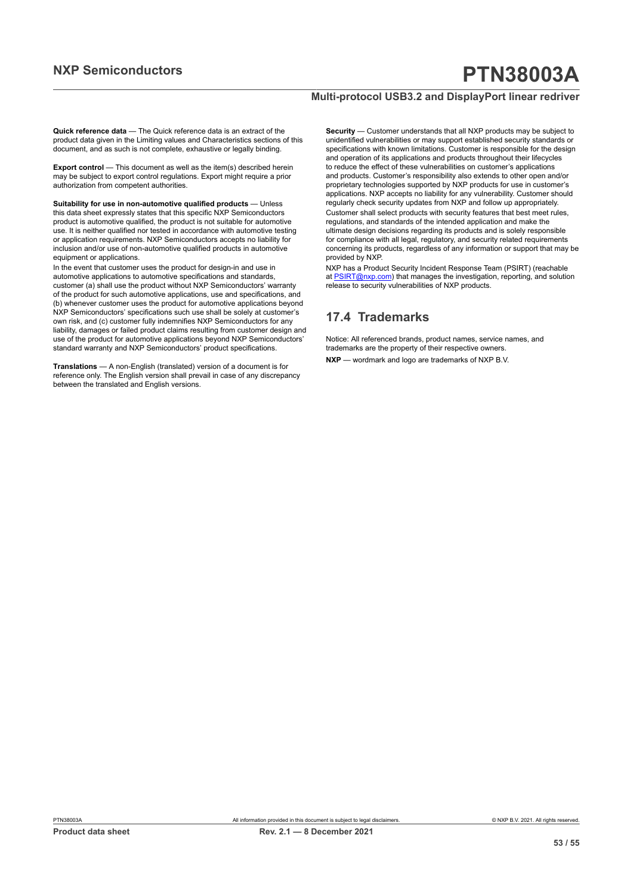#### **Multi-protocol USB3.2 and DisplayPort linear redriver**

**Quick reference data** — The Quick reference data is an extract of the product data given in the Limiting values and Characteristics sections of this document, and as such is not complete, exhaustive or legally binding.

**Export control** — This document as well as the item(s) described herein may be subject to export control regulations. Export might require a prior authorization from competent authorities.

**Suitability for use in non-automotive qualified products** — Unless this data sheet expressly states that this specific NXP Semiconductors product is automotive qualified, the product is not suitable for automotive use. It is neither qualified nor tested in accordance with automotive testing or application requirements. NXP Semiconductors accepts no liability for inclusion and/or use of non-automotive qualified products in automotive equipment or applications.

In the event that customer uses the product for design-in and use in automotive applications to automotive specifications and standards, customer (a) shall use the product without NXP Semiconductors' warranty of the product for such automotive applications, use and specifications, and (b) whenever customer uses the product for automotive applications beyond NXP Semiconductors' specifications such use shall be solely at customer's own risk, and (c) customer fully indemnifies NXP Semiconductors for any liability, damages or failed product claims resulting from customer design and use of the product for automotive applications beyond NXP Semiconductors' standard warranty and NXP Semiconductors' product specifications.

**Translations** — A non-English (translated) version of a document is for reference only. The English version shall prevail in case of any discrepancy between the translated and English versions.

**Security** — Customer understands that all NXP products may be subject to unidentified vulnerabilities or may support established security standards or specifications with known limitations. Customer is responsible for the design and operation of its applications and products throughout their lifecycles to reduce the effect of these vulnerabilities on customer's applications and products. Customer's responsibility also extends to other open and/or proprietary technologies supported by NXP products for use in customer's applications. NXP accepts no liability for any vulnerability. Customer should regularly check security updates from NXP and follow up appropriately. Customer shall select products with security features that best meet rules, regulations, and standards of the intended application and make the ultimate design decisions regarding its products and is solely responsible for compliance with all legal, regulatory, and security related requirements concerning its products, regardless of any information or support that may be provided by NXP.

NXP has a Product Security Incident Response Team (PSIRT) (reachable at [PSIRT@nxp.com](mailto:PSIRT@nxp.com)) that manages the investigation, reporting, and solution release to security vulnerabilities of NXP products.

### **17.4 Trademarks**

Notice: All referenced brands, product names, service names, and trademarks are the property of their respective owners. **NXP** — wordmark and logo are trademarks of NXP B.V.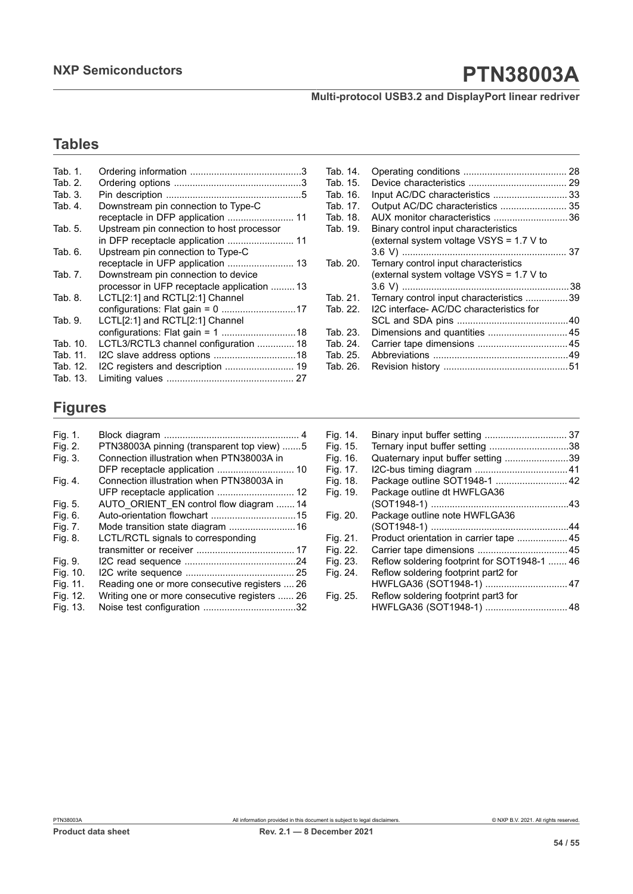**Multi-protocol USB3.2 and DisplayPort linear redriver**

## **Tables**

| Tab. 1.  |                                             |  |
|----------|---------------------------------------------|--|
| Tab. 2.  |                                             |  |
| Tab. 3.  |                                             |  |
| Tab. 4.  | Downstream pin connection to Type-C         |  |
|          |                                             |  |
| Tab. 5.  | Upstream pin connection to host processor   |  |
|          |                                             |  |
| Tab. 6.  | Upstream pin connection to Type-C           |  |
|          |                                             |  |
| Tab. 7.  | Downstream pin connection to device         |  |
|          | processor in UFP receptacle application  13 |  |
| Tab. 8.  | LCTL[2:1] and RCTL[2:1] Channel             |  |
|          |                                             |  |
| Tab. 9.  | LCTL[2:1] and RCTL[2:1] Channel             |  |
|          |                                             |  |
| Tab. 10. | LCTL3/RCTL3 channel configuration  18       |  |
| Tab. 11. |                                             |  |
| Tab. 12. | I2C registers and description  19           |  |
| Tab. 13. |                                             |  |

| Tab. 14. |                                          |    |
|----------|------------------------------------------|----|
| Tab. 15. |                                          |    |
| Tab. 16. | Input AC/DC characteristics  33          |    |
| Tab. 17. | Output AC/DC characteristics  35         |    |
| Tab. 18. | AUX monitor characteristics 36           |    |
| Tab. 19. | Binary control input characteristics     |    |
|          | (external system voltage VSYS = 1.7 V to |    |
|          |                                          |    |
| Tab. 20. | Ternary control input characteristics    |    |
|          | (external system voltage VSYS = 1.7 V to |    |
|          |                                          | 38 |
| Tab. 21. | Ternary control input characteristics 39 |    |
| Tab. 22. | I2C interface- AC/DC characteristics for |    |
|          |                                          |    |
| Tab. 23. | Dimensions and quantities  45            |    |
| Tab. 24. |                                          |    |
| Tab. 25. |                                          |    |
| Tab. 26. |                                          |    |

## **Figures**

| Fig. 1.  |                                               |
|----------|-----------------------------------------------|
| Fig. 2.  | PTN38003A pinning (transparent top view) 5    |
| Fig. 3.  | Connection illustration when PTN38003A in     |
|          | DFP receptacle application  10                |
| Fig. 4.  | Connection illustration when PTN38003A in     |
|          | UFP receptacle application  12                |
| Fig. 5.  | AUTO ORIENT_EN control flow diagram  14       |
| Fig. 6.  |                                               |
| Fig. 7.  | Mode transition state diagram  16             |
| Fig. 8.  | LCTL/RCTL signals to corresponding            |
|          |                                               |
| Fig. 9.  |                                               |
| Fig. 10. |                                               |
| Fig. 11. | Reading one or more consecutive registers  26 |
| Fig. 12. | Writing one or more consecutive registers  26 |
| Fig. 13. |                                               |

| Fig. 14. | Binary input buffer setting  37              |  |
|----------|----------------------------------------------|--|
| Fig. 15. | Ternary input buffer setting 38              |  |
| Fig. 16. | Quaternary input buffer setting 39           |  |
| Fig. 17. |                                              |  |
| Fig. 18. | Package outline SOT1948-1  42                |  |
| Fig. 19. | Package outline dt HWFLGA36                  |  |
|          |                                              |  |
| Fig. 20. | Package outline note HWFLGA36                |  |
|          |                                              |  |
| Fig. 21. | Product orientation in carrier tape 45       |  |
| Fig. 22. |                                              |  |
| Fig. 23. | Reflow soldering footprint for SOT1948-1  46 |  |
| Fig. 24. | Reflow soldering footprint part2 for         |  |
|          | HWFLGA36 (SOT1948-1)  47                     |  |
| Fig. 25. | Reflow soldering footprint part3 for         |  |
|          | HWFLGA36 (SOT1948-1)  48                     |  |
|          |                                              |  |